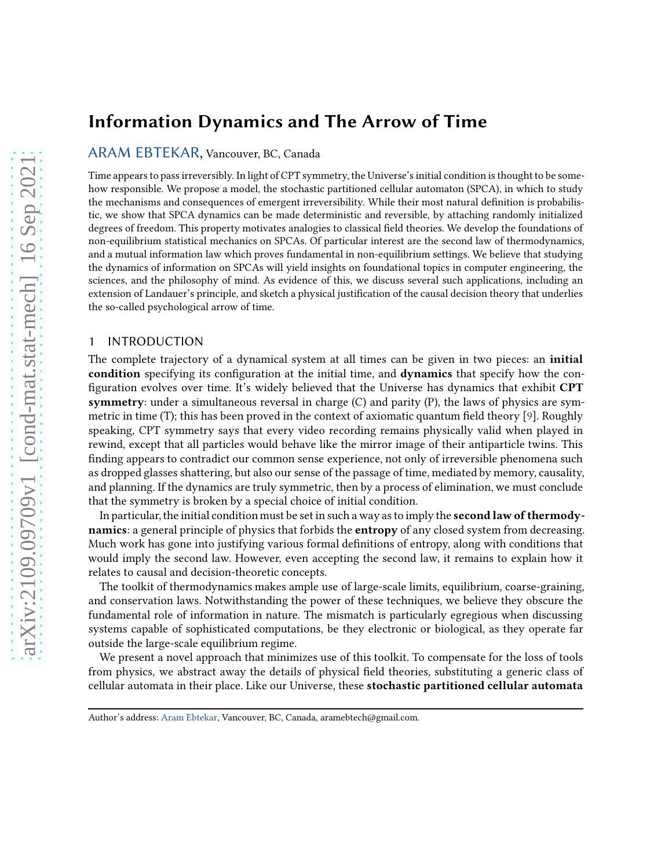# Information Dynamics and The Arrow of Time

[ARAM EBTEKAR,](HTTPS://ORCID.ORG/0000-0002-5827-3373) Vancouver, BC, Canada

Time appears to pass irreversibly. In light of CPT symmetry, the Universe's initial condition is thought to be somehow responsible. We propose a model, the stochastic partitioned cellular automaton (SPCA), in which to study the mechanisms and consequences of emergent irreversibility. While their most natural definition is probabilistic, we show that SPCA dynamics can be made deterministic and reversible, by attaching randomly initialized degrees of freedom. This property motivates analogies to classical field theories. We develop the foundations of non-equilibrium statistical mechanics on SPCAs. Of particular interest are the second law of thermodynamics, and a mutual information law which proves fundamental in non-equilibrium settings. We believe that studying the dynamics of information on SPCAs will yield insights on foundational topics in computer engineering, the sciences, and the philosophy of mind. As evidence of this, we discuss several such applications, including an extension of Landauer's principle, and sketch a physical justification of the causal decision theory that underlies the so-called psychological arrow of time.

# 1 INTRODUCTION

The complete trajectory of a dynamical system at all times can be given in two pieces: an initial condition specifying its configuration at the initial time, and dynamics that specify how the configuration evolves over time. It's widely believed that the Universe has dynamics that exhibit CPT symmetry: under a simultaneous reversal in charge  $(C)$  and parity  $(P)$ , the laws of physics are symmetric in time (T); this has been proved in the context of axiomatic quantum field theory [\[9](#page-42-0)]. Roughly speaking, CPT symmetry says that every video recording remains physically valid when played in rewind, except that all particles would behave like the mirror image of their antiparticle twins. This finding appears to contradict our common sense experience, not only of irreversible phenomena such as dropped glasses shattering, but also our sense of the passage of time, mediated by memory, causality, and planning. If the dynamics are truly symmetric, then by a process of elimination, we must conclude that the symmetry is broken by a special choice of initial condition.

In particular, the initial condition must be set in such a way as to imply the **second law of thermody**namics: a general principle of physics that forbids the **entropy** of any closed system from decreasing. Much work has gone into justifying various formal definitions of entropy, along with conditions that would imply the second law. However, even accepting the second law, it remains to explain how it relates to causal and decision-theoretic concepts.

The toolkit of thermodynamics makes ample use of large-scale limits, equilibrium, coarse-graining, and conservation laws. Notwithstanding the power of these techniques, we believe they obscure the fundamental role of information in nature. The mismatch is particularly egregious when discussing systems capable of sophisticated computations, be they electronic or biological, as they operate far outside the large-scale equilibrium regime.

We present a novel approach that minimizes use of this toolkit. To compensate for the loss of tools from physics, we abstract away the details of physical field theories, substituting a generic class of cellular automata in their place. Like our Universe, these stochastic partitioned cellular automata

Author's address: [Aram Ebtekar,](https://orcid.org/0000-0002-5827-3373) Vancouver, BC, Canada, aramebtech@gmail.com.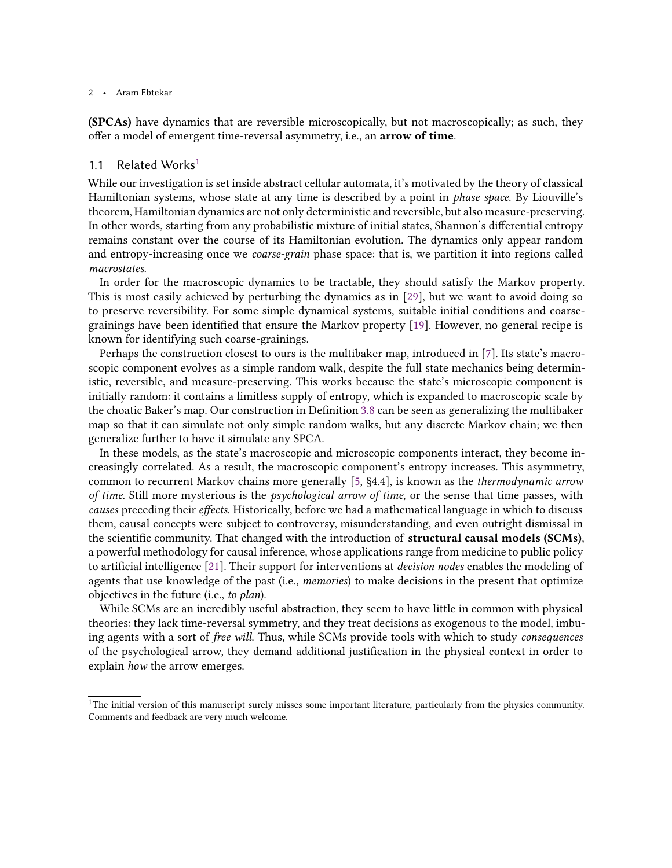(SPCAs) have dynamics that are reversible microscopically, but not macroscopically; as such, they offer a model of emergent time-reversal asymmetry, i.e., an arrow of time.

## <span id="page-1-1"></span>[1](#page-1-0).1 Related Works $<sup>1</sup>$ </sup>

While our investigation is set inside abstract cellular automata, it's motivated by the theory of classical Hamiltonian systems, whose state at any time is described by a point in phase space. By Liouville's theorem, Hamiltonian dynamics are not only deterministic and reversible, but also measure-preserving. In other words, starting from any probabilistic mixture of initial states, Shannon's differential entropy remains constant over the course of its Hamiltonian evolution. The dynamics only appear random and entropy-increasing once we coarse-grain phase space: that is, we partition it into regions called macrostates.

In order for the macroscopic dynamics to be tractable, they should satisfy the Markov property. This is most easily achieved by perturbing the dynamics as in [\[29](#page-43-0)], but we want to avoid doing so to preserve reversibility. For some simple dynamical systems, suitable initial conditions and coarsegrainings have been identified that ensure the Markov property [\[19\]](#page-42-1). However, no general recipe is known for identifying such coarse-grainings.

Perhaps the construction closest to ours is the multibaker map, introduced in [\[7\]](#page-42-2). Its state's macroscopic component evolves as a simple random walk, despite the full state mechanics being deterministic, reversible, and measure-preserving. This works because the state's microscopic component is initially random: it contains a limitless supply of entropy, which is expanded to macroscopic scale by the choatic Baker's map. Our construction in Definition [3.8](#page-17-0) can be seen as generalizing the multibaker map so that it can simulate not only simple random walks, but any discrete Markov chain; we then generalize further to have it simulate any SPCA.

In these models, as the state's macroscopic and microscopic components interact, they become increasingly correlated. As a result, the macroscopic component's entropy increases. This asymmetry, common to recurrent Markov chains more generally [\[5](#page-42-3), §4.4], is known as the thermodynamic arrow of time. Still more mysterious is the *psychological arrow of time*, or the sense that time passes, with causes preceding their effects. Historically, before we had a mathematical language in which to discuss them, causal concepts were subject to controversy, misunderstanding, and even outright dismissal in the scientific community. That changed with the introduction of structural causal models (SCMs), a powerful methodology for causal inference, whose applications range from medicine to public policy to artificial intelligence [\[21](#page-43-1)]. Their support for interventions at decision nodes enables the modeling of agents that use knowledge of the past (i.e., *memories*) to make decisions in the present that optimize objectives in the future (i.e., to plan).

While SCMs are an incredibly useful abstraction, they seem to have little in common with physical theories: they lack time-reversal symmetry, and they treat decisions as exogenous to the model, imbuing agents with a sort of free will. Thus, while SCMs provide tools with which to study consequences of the psychological arrow, they demand additional justification in the physical context in order to explain how the arrow emerges.

<span id="page-1-0"></span> $1$ The initial version of this manuscript surely misses some important literature, particularly from the physics community. Comments and feedback are very much welcome.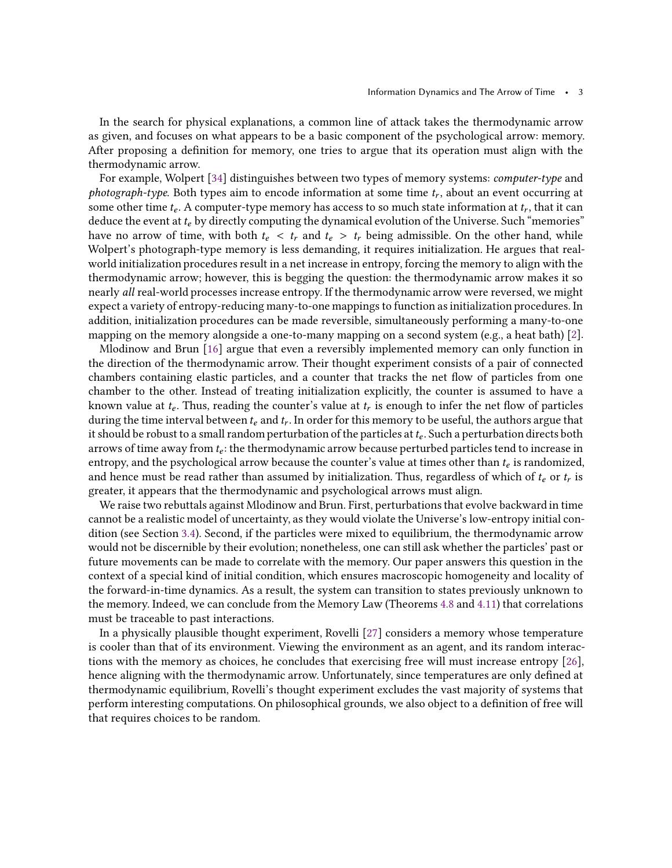In the search for physical explanations, a common line of attack takes the thermodynamic arrow as given, and focuses on what appears to be a basic component of the psychological arrow: memory. After proposing a definition for memory, one tries to argue that its operation must align with the thermodynamic arrow.

For example, Wolpert [\[34\]](#page-43-2) distinguishes between two types of memory systems: computer-type and  $\emph{photograph-type}.$  Both types aim to encode information at some time  $t_r$ , about an event occurring at some other time  $t_e$ . A computer-type memory has access to so much state information at  $t_r$ , that it can deduce the event at  $t_e$  by directly computing the dynamical evolution of the Universe. Such "memories" have no arrow of time, with both  $t_e < t_r$  and  $t_e > t_r$  being admissible. On the other hand, while Wolpert's photograph-type memory is less demanding, it requires initialization. He argues that realworld initialization procedures result in a net increase in entropy, forcing the memory to align with the thermodynamic arrow; however, this is begging the question: the thermodynamic arrow makes it so nearly all real-world processes increase entropy. If the thermodynamic arrow were reversed, we might expect a variety of entropy-reducing many-to-one mappings to function as initialization procedures. In addition, initialization procedures can be made reversible, simultaneously performing a many-to-one mapping on the memory alongside a one-to-many mapping on a second system (e.g., a heat bath) [\[2\]](#page-42-4).

Mlodinow and Brun [\[16](#page-42-5)] argue that even a reversibly implemented memory can only function in the direction of the thermodynamic arrow. Their thought experiment consists of a pair of connected chambers containing elastic particles, and a counter that tracks the net flow of particles from one chamber to the other. Instead of treating initialization explicitly, the counter is assumed to have a known value at  $t_e$ . Thus, reading the counter's value at  $t_r$  is enough to infer the net flow of particles during the time interval between  $t_e$  and  $t_r.$  In order for this memory to be useful, the authors argue that it should be robust to a small random perturbation of the particles at  $t_e$ . Such a perturbation directs both arrows of time away from  $t_{e}$ : the thermodynamic arrow because perturbed particles tend to increase in entropy, and the psychological arrow because the counter's value at times other than  $t_e$  is randomized, and hence must be read rather than assumed by initialization. Thus, regardless of which of  $t_e$  or  $t_r$  is greater, it appears that the thermodynamic and psychological arrows must align.

We raise two rebuttals against Mlodinow and Brun. First, perturbations that evolve backward in time cannot be a realistic model of uncertainty, as they would violate the Universe's low-entropy initial condition (see Section [3.4\)](#page-20-0). Second, if the particles were mixed to equilibrium, the thermodynamic arrow would not be discernible by their evolution; nonetheless, one can still ask whether the particles' past or future movements can be made to correlate with the memory. Our paper answers this question in the context of a special kind of initial condition, which ensures macroscopic homogeneity and locality of the forward-in-time dynamics. As a result, the system can transition to states previously unknown to the memory. Indeed, we can conclude from the Memory Law (Theorems [4.8](#page-27-0) and [4.11\)](#page-29-0) that correlations must be traceable to past interactions.

In a physically plausible thought experiment, Rovelli [\[27](#page-43-3)] considers a memory whose temperature is cooler than that of its environment. Viewing the environment as an agent, and its random interactions with the memory as choices, he concludes that exercising free will must increase entropy [\[26](#page-43-4)], hence aligning with the thermodynamic arrow. Unfortunately, since temperatures are only defined at thermodynamic equilibrium, Rovelli's thought experiment excludes the vast majority of systems that perform interesting computations. On philosophical grounds, we also object to a definition of free will that requires choices to be random.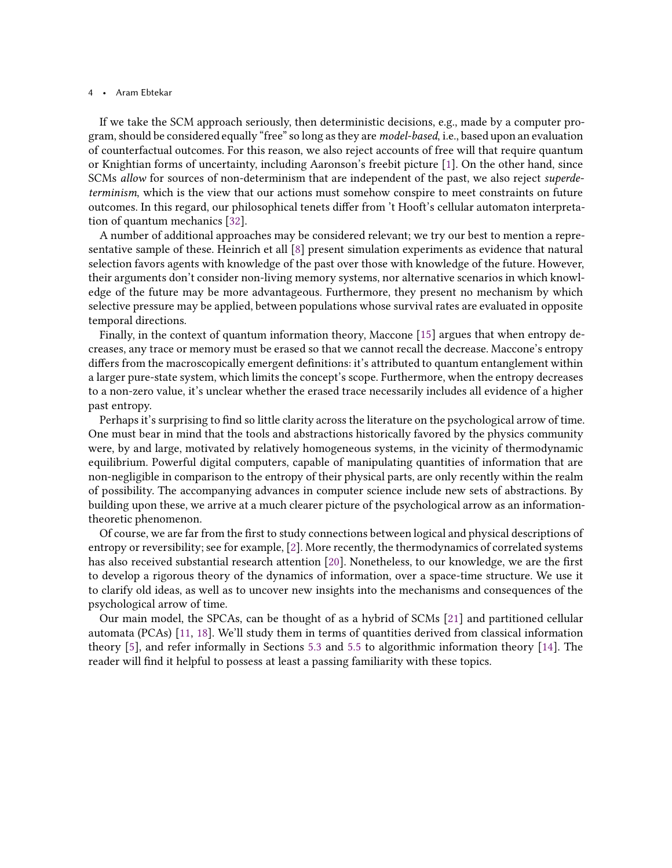If we take the SCM approach seriously, then deterministic decisions, e.g., made by a computer program, should be considered equally "free" so long as they are *model-based*, i.e., based upon an evaluation of counterfactual outcomes. For this reason, we also reject accounts of free will that require quantum or Knightian forms of uncertainty, including Aaronson's freebit picture [\[1](#page-42-6)]. On the other hand, since SCMs allow for sources of non-determinism that are independent of the past, we also reject superdeterminism, which is the view that our actions must somehow conspire to meet constraints on future outcomes. In this regard, our philosophical tenets differ from 't Hooft's cellular automaton interpretation of quantum mechanics [\[32](#page-43-5)].

A number of additional approaches may be considered relevant; we try our best to mention a representative sample of these. Heinrich et all [\[8\]](#page-42-7) present simulation experiments as evidence that natural selection favors agents with knowledge of the past over those with knowledge of the future. However, their arguments don't consider non-living memory systems, nor alternative scenarios in which knowledge of the future may be more advantageous. Furthermore, they present no mechanism by which selective pressure may be applied, between populations whose survival rates are evaluated in opposite temporal directions.

Finally, in the context of quantum information theory, Maccone [\[15](#page-42-8)] argues that when entropy decreases, any trace or memory must be erased so that we cannot recall the decrease. Maccone's entropy differs from the macroscopically emergent definitions: it's attributed to quantum entanglement within a larger pure-state system, which limits the concept's scope. Furthermore, when the entropy decreases to a non-zero value, it's unclear whether the erased trace necessarily includes all evidence of a higher past entropy.

Perhaps it's surprising to find so little clarity across the literature on the psychological arrow of time. One must bear in mind that the tools and abstractions historically favored by the physics community were, by and large, motivated by relatively homogeneous systems, in the vicinity of thermodynamic equilibrium. Powerful digital computers, capable of manipulating quantities of information that are non-negligible in comparison to the entropy of their physical parts, are only recently within the realm of possibility. The accompanying advances in computer science include new sets of abstractions. By building upon these, we arrive at a much clearer picture of the psychological arrow as an informationtheoretic phenomenon.

Of course, we are far from the first to study connections between logical and physical descriptions of entropy or reversibility; see for example, [\[2\]](#page-42-4). More recently, the thermodynamics of correlated systems has also received substantial research attention [\[20](#page-42-9)]. Nonetheless, to our knowledge, we are the first to develop a rigorous theory of the dynamics of information, over a space-time structure. We use it to clarify old ideas, as well as to uncover new insights into the mechanisms and consequences of the psychological arrow of time.

Our main model, the SPCAs, can be thought of as a hybrid of SCMs [\[21](#page-43-1)] and partitioned cellular automata (PCAs) [\[11,](#page-42-10) [18](#page-42-11)]. We'll study them in terms of quantities derived from classical information theory [\[5\]](#page-42-3), and refer informally in Sections [5.3](#page-34-0) and [5.5](#page-37-0) to algorithmic information theory [\[14](#page-42-12)]. The reader will find it helpful to possess at least a passing familiarity with these topics.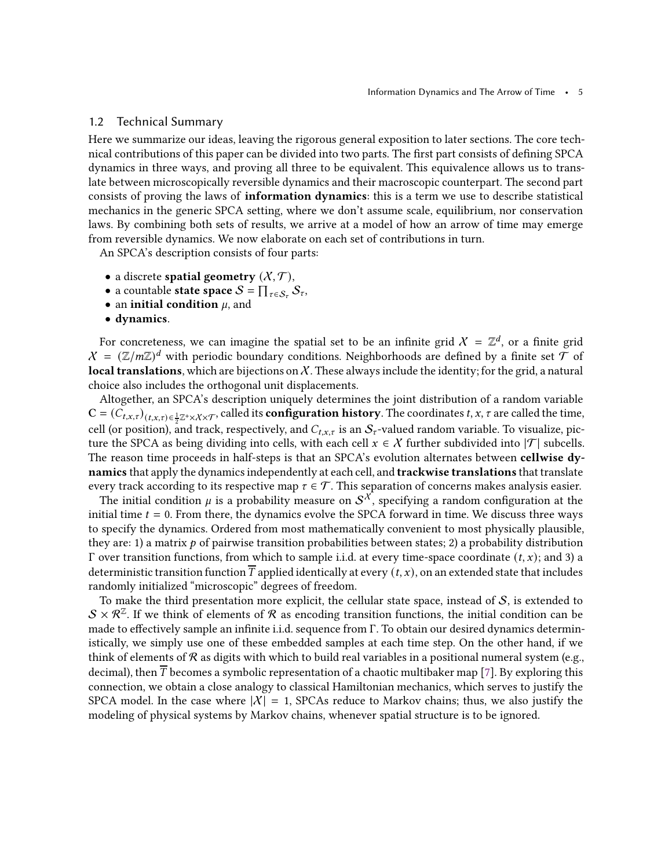# 1.2 Technical Summary

Here we summarize our ideas, leaving the rigorous general exposition to later sections. The core technical contributions of this paper can be divided into two parts. The first part consists of defining SPCA dynamics in three ways, and proving all three to be equivalent. This equivalence allows us to translate between microscopically reversible dynamics and their macroscopic counterpart. The second part consists of proving the laws of information dynamics: this is a term we use to describe statistical mechanics in the generic SPCA setting, where we don't assume scale, equilibrium, nor conservation laws. By combining both sets of results, we arrive at a model of how an arrow of time may emerge from reversible dynamics. We now elaborate on each set of contributions in turn.

An SPCA's description consists of four parts:

- a discrete spatial geometry  $(X, \mathcal{T})$ ,
- a countable state space  $S = \prod_{\tau \in S_{\tau}} S_{\tau}$ ,
- an initial condition  $\mu$ , and
- dynamics.

For concreteness, we can imagine the spatial set to be an infinite grid  $\mathcal{X}\ =\ \mathbb{Z}^d$ , or a finite grid  $X = (\mathbb{Z}/m\mathbb{Z})^d$  with periodic boundary conditions. Neighborhoods are defined by a finite set  $\mathcal T$  of **local translations**, which are bijections on  $X$ . These always include the identity; for the grid, a natural choice also includes the orthogonal unit displacements.

Altogether, an SPCA's description uniquely determines the joint distribution of a random variable  $\mathbf{C}=(\widetilde{C}_{t,x,\tau})_{(t,x,\tau)\in\frac{1}{2}\mathbb{Z}^{+}\times\mathcal{X}\times\mathcal{T}},$  called its **configuration history**. The coordinates  $t,x,\tau$  are called the time, cell (or position), and track, respectively, and  $C_{t,x,\tau}$  is an  $S_{\tau}$ -valued random variable. To visualize, picture the SPCA as being dividing into cells, with each cell  $x \in \mathcal{X}$  further subdivided into  $|\mathcal{T}|$  subcells. The reason time proceeds in half-steps is that an SPCA's evolution alternates between cellwise dynamics that apply the dynamics independently at each cell, and **trackwise translations** that translate every track according to its respective map  $\tau \in \mathcal{T}$ . This separation of concerns makes analysis easier.

The initial condition  $\mu$  is a probability measure on  $\mathcal{S}^\mathcal{X},$  specifying a random configuration at the initial time  $t = 0$ . From there, the dynamics evolve the SPCA forward in time. We discuss three ways to specify the dynamics. Ordered from most mathematically convenient to most physically plausible, they are: 1) a matrix  $p$  of pairwise transition probabilities between states; 2) a probability distribution Γ over transition functions, from which to sample i.i.d. at every time-space coordinate  $(t, x)$ ; and 3) a deterministic transition function  $\overline{T}$  applied identically at every  $(t, x)$ , on an extended state that includes randomly initialized "microscopic" degrees of freedom.

To make the third presentation more explicit, the cellular state space, instead of  $S$ , is extended to  $S \times \mathcal{R}^{\mathbb{Z}}$ . If we think of elements of  $\mathcal R$  as encoding transition functions, the initial condition can be made to effectively sample an infinite i.i.d. sequence from Γ. To obtain our desired dynamics deterministically, we simply use one of these embedded samples at each time step. On the other hand, if we think of elements of R as digits with which to build real variables in a positional numeral system (e.g., decimal), then  $T$  becomes a symbolic representation of a chaotic multibaker map [\[7\]](#page-42-2). By exploring this connection, we obtain a close analogy to classical Hamiltonian mechanics, which serves to justify the SPCA model. In the case where  $|X| = 1$ , SPCAs reduce to Markov chains; thus, we also justify the modeling of physical systems by Markov chains, whenever spatial structure is to be ignored.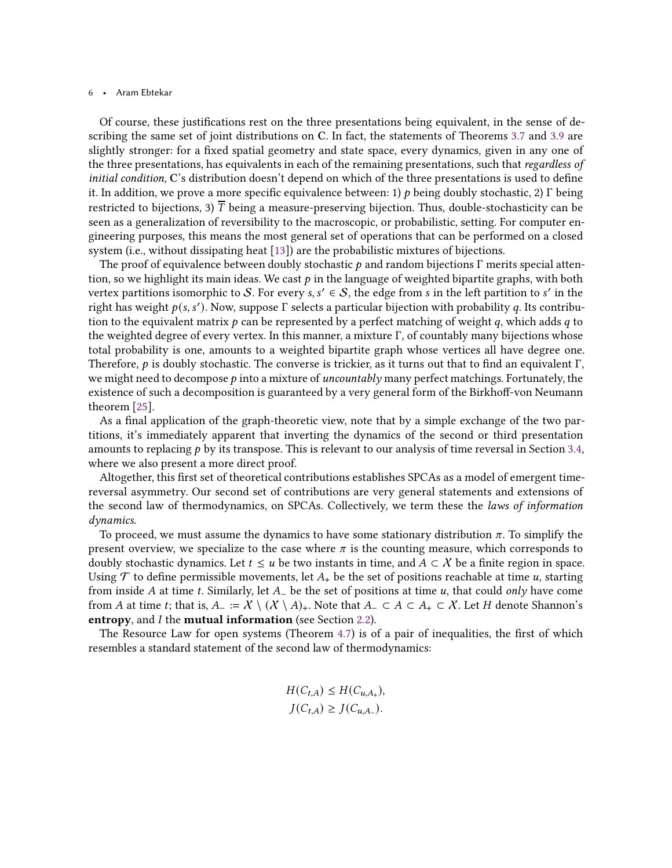Of course, these justifications rest on the three presentations being equivalent, in the sense of describing the same set of joint distributions on C. In fact, the statements of Theorems [3.7](#page-16-0) and [3.9](#page-17-1) are slightly stronger: for a fixed spatial geometry and state space, every dynamics, given in any one of the three presentations, has equivalents in each of the remaining presentations, such that regardless of initial condition, C's distribution doesn't depend on which of the three presentations is used to define it. In addition, we prove a more specific equivalence between: 1)  $p$  being doubly stochastic, 2) Γ being restricted to bijections, 3)  $\overline{T}$  being a measure-preserving bijection. Thus, double-stochasticity can be seen as a generalization of reversibility to the macroscopic, or probabilistic, setting. For computer engineering purposes, this means the most general set of operations that can be performed on a closed system (i.e., without dissipating heat [\[13](#page-42-13)]) are the probabilistic mixtures of bijections.

The proof of equivalence between doubly stochastic  $p$  and random bijections  $\Gamma$  merits special attention, so we highlight its main ideas. We cast  $p$  in the language of weighted bipartite graphs, with both vertex partitions isomorphic to  $S$ . For every  $s, s' \in S$ , the edge from  $s$  in the left partition to  $s'$  in the right has weight  $p(s, s')$ . Now, suppose  $\Gamma$  selects a particular bijection with probability q. Its contribution to the equivalent matrix  $p$  can be represented by a perfect matching of weight  $q$ , which adds  $q$  to the weighted degree of every vertex. In this manner, a mixture  $\Gamma$ , of countably many bijections whose total probability is one, amounts to a weighted bipartite graph whose vertices all have degree one. Therefore,  $p$  is doubly stochastic. The converse is trickier, as it turns out that to find an equivalent Γ, we might need to decompose  $p$  into a mixture of *uncountably* many perfect matchings. Fortunately, the existence of such a decomposition is guaranteed by a very general form of the Birkhoff-von Neumann theorem [\[25\]](#page-43-6).

As a final application of the graph-theoretic view, note that by a simple exchange of the two partitions, it's immediately apparent that inverting the dynamics of the second or third presentation amounts to replacing  $p$  by its transpose. This is relevant to our analysis of time reversal in Section [3.4,](#page-20-0) where we also present a more direct proof.

Altogether, this first set of theoretical contributions establishes SPCAs as a model of emergent timereversal asymmetry. Our second set of contributions are very general statements and extensions of the second law of thermodynamics, on SPCAs. Collectively, we term these the laws of information dynamics.

To proceed, we must assume the dynamics to have some stationary distribution  $\pi$ . To simplify the present overview, we specialize to the case where  $\pi$  is the counting measure, which corresponds to doubly stochastic dynamics. Let  $t \le u$  be two instants in time, and  $A \subset X$  be a finite region in space. Using  $\mathcal T$  to define permissible movements, let  $A_+$  be the set of positions reachable at time u, starting from inside A at time t. Similarly, let  $A_-\$  be the set of positions at time  $u$ , that could only have come from A at time t; that is,  $A_-=\mathcal{X} \setminus (\mathcal{X} \setminus A)_+$ . Note that  $A_-\subset A \subset A_+ \subset \mathcal{X}$ . Let H denote Shannon's entropy, and *I* the mutual information (see Section [2.2\)](#page-8-0).

The Resource Law for open systems (Theorem [4.7\)](#page-27-1) is of a pair of inequalities, the first of which resembles a standard statement of the second law of thermodynamics:

$$
H(C_{t,A}) \le H(C_{u,A_+}),
$$
  

$$
J(C_{t,A}) \ge J(C_{u,A_-}).
$$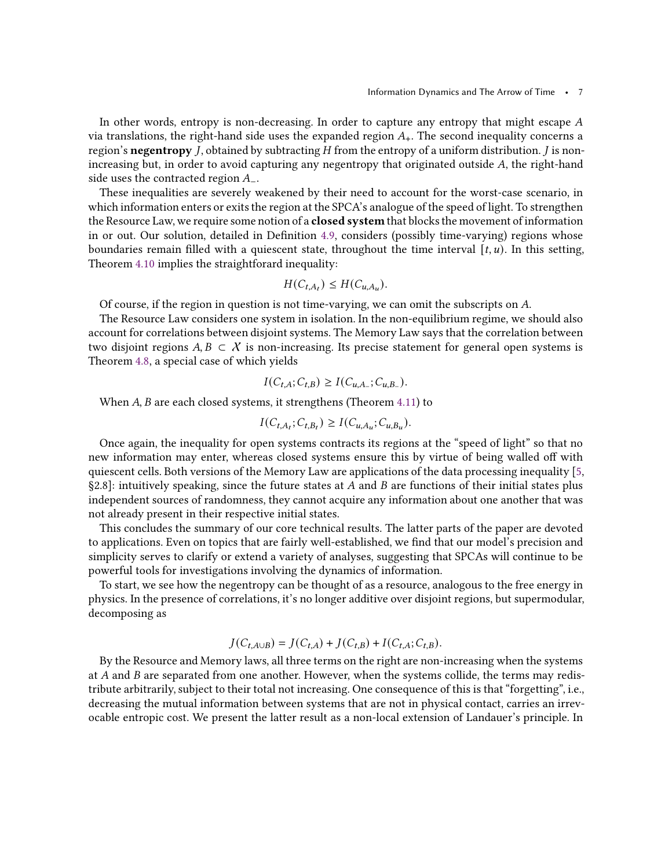In other words, entropy is non-decreasing. In order to capture any entropy that might escape  $A$ via translations, the right-hand side uses the expanded region  $A_{+}$ . The second inequality concerns a region's negentropy  $J$ , obtained by subtracting  $H$  from the entropy of a uniform distribution.  $J$  is nonincreasing but, in order to avoid capturing any negentropy that originated outside  $A$ , the right-hand side uses the contracted region  $A_-\$ .

These inequalities are severely weakened by their need to account for the worst-case scenario, in which information enters or exits the region at the SPCA's analogue of the speed of light. To strengthen the Resource Law, we require some notion of a closed system that blocks the movement of information in or out. Our solution, detailed in Definition [4.9,](#page-28-0) considers (possibly time-varying) regions whose boundaries remain filled with a quiescent state, throughout the time interval  $[t, u)$ . In this setting, Theorem [4.10](#page-28-1) implies the straightforard inequality:

$$
H(C_{t,A_t}) \le H(C_{u,A_u}).
$$

Of course, if the region in question is not time-varying, we can omit the subscripts on A.

The Resource Law considers one system in isolation. In the non-equilibrium regime, we should also account for correlations between disjoint systems. The Memory Law says that the correlation between two disjoint regions  $A, B \subset X$  is non-increasing. Its precise statement for general open systems is Theorem [4.8,](#page-27-0) a special case of which yields

$$
I(C_{t,A}; C_{t,B}) \geq I(C_{u,A_-}; C_{u,B_-}).
$$

When  $A$ ,  $B$  are each closed systems, it strengthens (Theorem [4.11\)](#page-29-0) to

$$
I(C_{t,A_t}; C_{t,B_t}) \geq I(C_{u,A_u}; C_{u,B_u}).
$$

Once again, the inequality for open systems contracts its regions at the "speed of light" so that no new information may enter, whereas closed systems ensure this by virtue of being walled off with quiescent cells. Both versions of the Memory Law are applications of the data processing inequality [\[5](#page-42-3), §2.8]: intuitively speaking, since the future states at A and B are functions of their initial states plus independent sources of randomness, they cannot acquire any information about one another that was not already present in their respective initial states.

This concludes the summary of our core technical results. The latter parts of the paper are devoted to applications. Even on topics that are fairly well-established, we find that our model's precision and simplicity serves to clarify or extend a variety of analyses, suggesting that SPCAs will continue to be powerful tools for investigations involving the dynamics of information.

To start, we see how the negentropy can be thought of as a resource, analogous to the free energy in physics. In the presence of correlations, it's no longer additive over disjoint regions, but supermodular, decomposing as

$$
J(C_{t,A\cup B}) = J(C_{t,A}) + J(C_{t,B}) + I(C_{t,A}; C_{t,B}).
$$

By the Resource and Memory laws, all three terms on the right are non-increasing when the systems at  $A$  and  $B$  are separated from one another. However, when the systems collide, the terms may redistribute arbitrarily, subject to their total not increasing. One consequence of this is that "forgetting", i.e., decreasing the mutual information between systems that are not in physical contact, carries an irrevocable entropic cost. We present the latter result as a non-local extension of Landauer's principle. In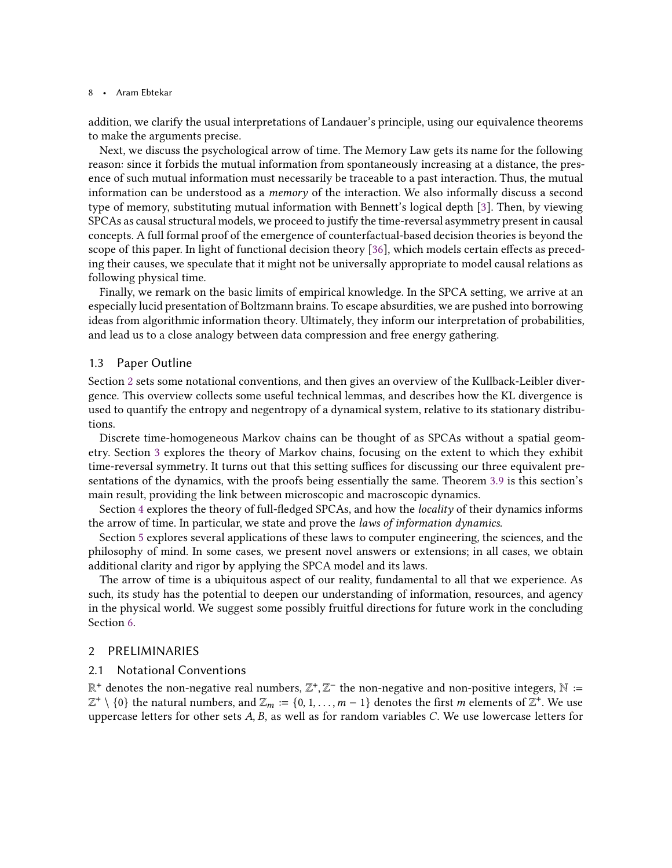addition, we clarify the usual interpretations of Landauer's principle, using our equivalence theorems to make the arguments precise.

Next, we discuss the psychological arrow of time. The Memory Law gets its name for the following reason: since it forbids the mutual information from spontaneously increasing at a distance, the presence of such mutual information must necessarily be traceable to a past interaction. Thus, the mutual information can be understood as a memory of the interaction. We also informally discuss a second type of memory, substituting mutual information with Bennett's logical depth [\[3](#page-42-14)]. Then, by viewing SPCAs as causal structural models, we proceed to justify the time-reversal asymmetry present in causal concepts. A full formal proof of the emergence of counterfactual-based decision theories is beyond the scope of this paper. In light of functional decision theory [\[36](#page-43-7)], which models certain effects as preceding their causes, we speculate that it might not be universally appropriate to model causal relations as following physical time.

Finally, we remark on the basic limits of empirical knowledge. In the SPCA setting, we arrive at an especially lucid presentation of Boltzmann brains. To escape absurdities, we are pushed into borrowing ideas from algorithmic information theory. Ultimately, they inform our interpretation of probabilities, and lead us to a close analogy between data compression and free energy gathering.

## 1.3 Paper Outline

Section [2](#page-7-0) sets some notational conventions, and then gives an overview of the Kullback-Leibler divergence. This overview collects some useful technical lemmas, and describes how the KL divergence is used to quantify the entropy and negentropy of a dynamical system, relative to its stationary distributions.

Discrete time-homogeneous Markov chains can be thought of as SPCAs without a spatial geometry. Section [3](#page-11-0) explores the theory of Markov chains, focusing on the extent to which they exhibit time-reversal symmetry. It turns out that this setting suffices for discussing our three equivalent presentations of the dynamics, with the proofs being essentially the same. Theorem [3.9](#page-17-1) is this section's main result, providing the link between microscopic and macroscopic dynamics.

Section [4](#page-22-0) explores the theory of full-fledged SPCAs, and how the locality of their dynamics informs the arrow of time. In particular, we state and prove the laws of information dynamics.

Section [5](#page-30-0) explores several applications of these laws to computer engineering, the sciences, and the philosophy of mind. In some cases, we present novel answers or extensions; in all cases, we obtain additional clarity and rigor by applying the SPCA model and its laws.

The arrow of time is a ubiquitous aspect of our reality, fundamental to all that we experience. As such, its study has the potential to deepen our understanding of information, resources, and agency in the physical world. We suggest some possibly fruitful directions for future work in the concluding Section [6.](#page-41-0)

# <span id="page-7-0"></span>2 PRELIMINARIES

## 2.1 Notational Conventions

 $\mathbb{R}^+$  denotes the non-negative real numbers,  $\mathbb{Z}^+, \mathbb{Z}^-$  the non-negative and non-positive integers,  $\mathbb{N} :=$  $\mathbb{Z}^+ \setminus \{0\}$  the natural numbers, and  $\mathbb{Z}_m := \{0, 1, \ldots, m-1\}$  denotes the first m elements of  $\mathbb{Z}^+$ . We use uppercase letters for other sets  $A$ ,  $B$ , as well as for random variables  $C$ . We use lowercase letters for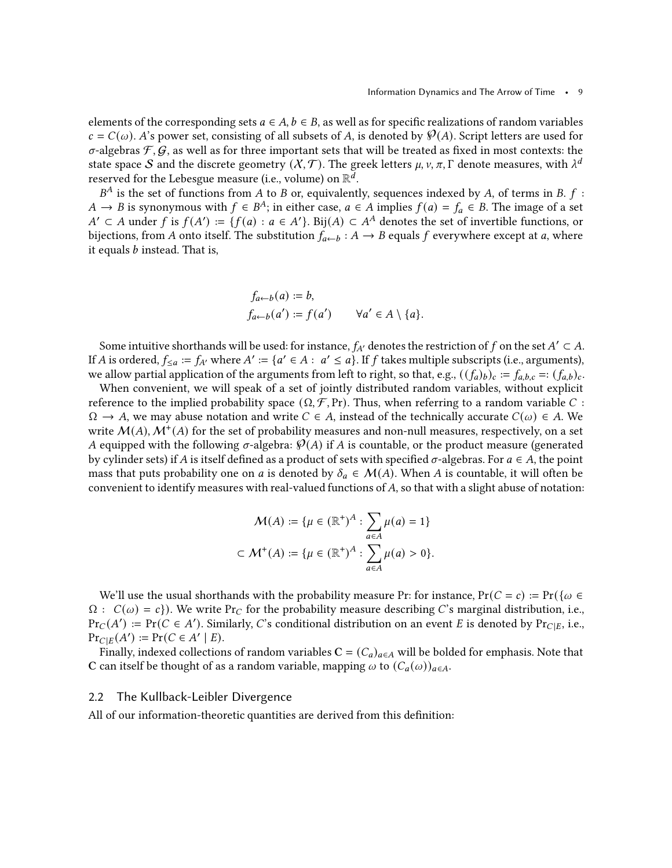elements of the corresponding sets  $a \in A$ ,  $b \in B$ , as well as for specific realizations of random variables  $c = C(\omega)$ . A's power set, consisting of all subsets of A, is denoted by  $\mathcal{P}(A)$ . Script letters are used for  $\sigma$ -algebras  $\mathcal{F}, \mathcal{G}$ , as well as for three important sets that will be treated as fixed in most contexts: the state space S and the discrete geometry  $(X, \mathcal{T})$ . The greek letters  $\mu$ ,  $\nu$ ,  $\pi$ ,  $\Gamma$  denote measures, with  $\lambda^{d}$ reserved for the Lebesgue measure (i.e., volume) on  $\mathbb{R}^{\bar{d}}.$ 

 $B^A$  is the set of functions from A to B or, equivalently, sequences indexed by A, of terms in B.  $f$  :  $A$  →  $B$  is synonymous with  $f \in B^A$ ; in either case,  $a \in A$  implies  $f(a) = f_a \in B$ . The image of a set  $A' \subset A$  under f is  $f(A') := \{f(a) : a \in A'\}$ . Bij $(A) \subset A^A$  denotes the set of invertible functions, or bijections, from A onto itself. The substitution  $f_{a\leftarrow b}: A \rightarrow B$  equals f everywhere except at a, where it equals  $b$  instead. That is,

$$
f_{a\leftarrow b}(a) := b,
$$
  

$$
f_{a\leftarrow b}(a') := f(a') \qquad \forall a' \in A \setminus \{a\}.
$$

Some intuitive shorthands will be used: for instance,  $f_{A'}$  denotes the restriction of  $f$  on the set  $A' \subset A$ . If A is ordered,  $f_{\leq a} := f_{A'}$  where  $A' := \{a' \in A : a' \leq a\}$ . If  $f$  takes multiple subscripts (i.e., arguments), we allow partial application of the arguments from left to right, so that, e.g.,  $((f_a)_b)_c := f_{a,b,c} = ((f_a)_b)_c$ .

When convenient, we will speak of a set of jointly distributed random variables, without explicit reference to the implied probability space  $(\Omega, \mathcal{F}, Pr)$ . Thus, when referring to a random variable C:  $\Omega \to A$ , we may abuse notation and write  $C \in A$ , instead of the technically accurate  $C(\omega) \in A$ . We write  $\mathcal{M}(A), \mathcal{M}^+(A)$  for the set of probability measures and non-null measures, respectively, on a set A equipped with the following  $\sigma$ -algebra:  $\mathcal{P}(A)$  if A is countable, or the product measure (generated by cylinder sets) if A is itself defined as a product of sets with specified  $\sigma$ -algebras. For  $a \in A$ , the point mass that puts probability one on a is denoted by  $\delta_a \in \mathcal{M}(A)$ . When A is countable, it will often be convenient to identify measures with real-valued functions of  $A$ , so that with a slight abuse of notation:

$$
\mathcal{M}(A) := \{ \mu \in (\mathbb{R}^+)^A : \sum_{a \in A} \mu(a) = 1 \}
$$
  

$$
\subset \mathcal{M}^+(A) := \{ \mu \in (\mathbb{R}^+)^A : \sum_{a \in A} \mu(a) > 0 \}.
$$

We'll use the usual shorthands with the probability measure Pr: for instance,  $Pr(C = c) := Pr({\omega \in \mathbb{R}^d})$  $\Omega$  :  $C(\omega) = c$ }). We write Pr<sub>C</sub> for the probability measure describing C's marginal distribution, i.e.,  $Pr_C(A') := Pr(C \in A')$ . Similarly, C's conditional distribution on an event E is denoted by  $Pr_{C|E}$ , i.e.,  $\Pr_{C|E}(A') := \Pr(C \in A' | E).$ 

Finally, indexed collections of random variables  $C = (C_a)_{a \in A}$  will be bolded for emphasis. Note that C can itself be thought of as a random variable, mapping  $\omega$  to  $(C_a(\omega))_{a \in A}$ .

#### <span id="page-8-0"></span>2.2 The Kullback-Leibler Divergence

All of our information-theoretic quantities are derived from this definition: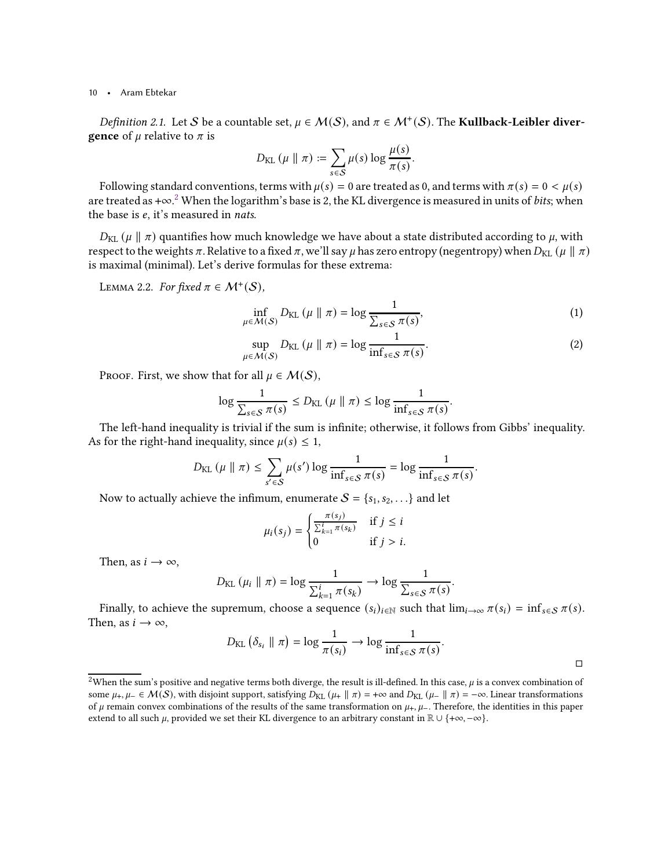Definition 2.1. Let S be a countable set,  $\mu \in \mathcal{M}(\mathcal{S})$ , and  $\pi \in \mathcal{M}^+(\mathcal{S})$ . The Kullback-Leibler diver**gence** of  $\mu$  relative to  $\pi$  is

$$
D_{\text{KL}}(\mu \parallel \pi) \coloneqq \sum_{s \in \mathcal{S}} \mu(s) \log \frac{\mu(s)}{\pi(s)}.
$$

Following standard conventions, terms with  $\mu(s) = 0$  are treated as 0, and terms with  $\pi(s) = 0 < \mu(s)$ are treated as +∞. $^2$  $^2$  When the logarithm's base is 2, the KL divergence is measured in units of  $bits;$  when the base is  $e$ , it's measured in nats.

 $D_{\text{KL}}(\mu \parallel \pi)$  quantifies how much knowledge we have about a state distributed according to  $\mu$ , with respect to the weights  $\pi$ . Relative to a fixed  $\pi$ , we'll say  $\mu$  has zero entropy (negentropy) when  $D_{KL}(\mu \parallel \pi)$ is maximal (minimal). Let's derive formulas for these extrema:

<span id="page-9-3"></span>LEMMA 2.2. For fixed  $\pi \in \mathcal{M}^+(\mathcal{S})$ ,

$$
\inf_{\mu \in \mathcal{M}(S)} D_{\text{KL}}\left(\mu \parallel \pi\right) = \log \frac{1}{\sum_{s \in S} \pi(s)},\tag{1}
$$

$$
\sup_{\mu \in \mathcal{M}(S)} D_{\text{KL}}(\mu \| \pi) = \log \frac{1}{\inf_{s \in S} \pi(s)}.
$$
\n(2)

PROOF. First, we show that for all  $\mu \in \mathcal{M}(\mathcal{S})$ ,

$$
\log \frac{1}{\sum_{s \in \mathcal{S}} \pi(s)} \le D_{\text{KL}}(\mu \parallel \pi) \le \log \frac{1}{\inf_{s \in \mathcal{S}} \pi(s)}.
$$

The left-hand inequality is trivial if the sum is infinite; otherwise, it follows from Gibbs' inequality. As for the right-hand inequality, since  $\mu(s) \leq 1$ ,

$$
D_{\text{KL}}(\mu \parallel \pi) \leq \sum_{s' \in \mathcal{S}} \mu(s') \log \frac{1}{\inf_{s \in \mathcal{S}} \pi(s)} = \log \frac{1}{\inf_{s \in \mathcal{S}} \pi(s)}.
$$

Now to actually achieve the infimum, enumerate  $S = \{s_1, s_2, \ldots\}$  and let

$$
\mu_i(s_j) = \begin{cases} \frac{\pi(s_j)}{\sum_{k=1}^i \pi(s_k)} & \text{if } j \leq i \\ 0 & \text{if } j > i. \end{cases}
$$

Then, as  $i \to \infty$ ,

$$
D_{\text{KL}}\left(\mu_{i} \parallel \pi\right) = \log \frac{1}{\sum_{k=1}^{i} \pi(s_{k})} \rightarrow \log \frac{1}{\sum_{s \in \mathcal{S}} \pi(s)}
$$

Finally, to achieve the supremum, choose a sequence  $(s_i)_{i \in \mathbb{N}}$  such that  $\lim_{i \to \infty} \pi(s_i) = \inf_{s \in \mathcal{S}} \pi(s)$ . Then, as  $i \to \infty$ ,

$$
D_{\text{KL}}\left(\delta_{s_i} \parallel \pi\right) = \log \frac{1}{\pi(s_i)} \to \log \frac{1}{\inf_{s \in \mathcal{S}} \pi(s)}.
$$

<span id="page-9-2"></span><span id="page-9-1"></span>.

 $\Box$ 

<span id="page-9-0"></span><sup>&</sup>lt;sup>2</sup>When the sum's positive and negative terms both diverge, the result is ill-defined. In this case,  $\mu$  is a convex combination of some  $\mu_+$ ,  $\mu_- \in \mathcal{M}(\mathcal{S})$ , with disjoint support, satisfying  $D_{KL}(\mu_+ \parallel \pi) = +\infty$  and  $D_{KL}(\mu_- \parallel \pi) = -\infty$ . Linear transformations of  $\mu$  remain convex combinations of the results of the same transformation on  $\mu_+$ ,  $\mu_-$ . Therefore, the identities in this paper extend to all such  $\mu$ , provided we set their KL divergence to an arbitrary constant in  $\mathbb{R} \cup \{+\infty, -\infty\}$ .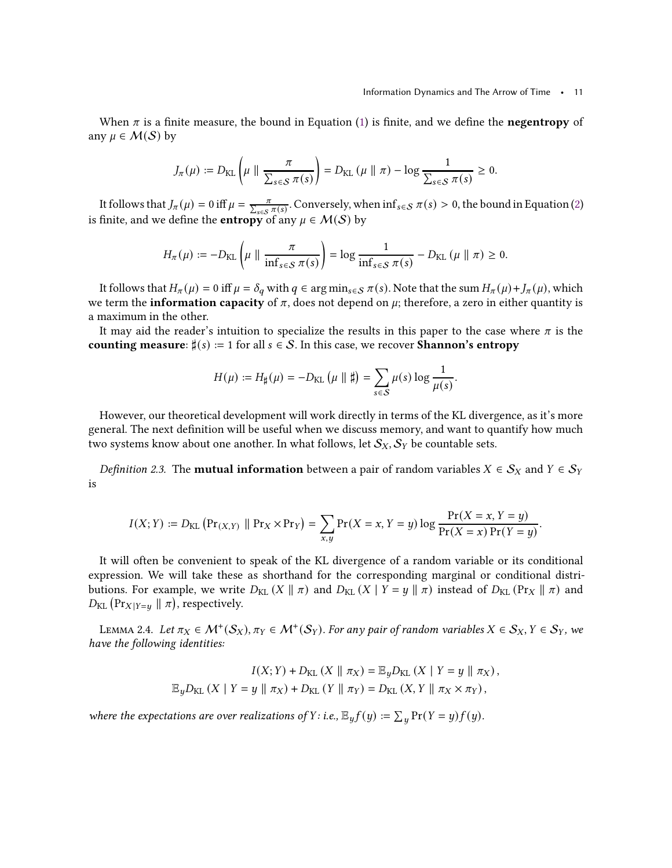When  $\pi$  is a finite measure, the bound in Equation [\(1\)](#page-9-1) is finite, and we define the **negentropy** of any  $\mu \in \mathcal{M}(\mathcal{S})$  by

$$
J_{\pi}(\mu) := D_{\text{KL}}\left(\mu \parallel \frac{\pi}{\sum_{s \in \mathcal{S}} \pi(s)}\right) = D_{\text{KL}}\left(\mu \parallel \pi\right) - \log \frac{1}{\sum_{s \in \mathcal{S}} \pi(s)} \geq 0.
$$

It follows that  $J_\pi(\mu) = 0$  iff  $\mu = \frac{\pi}{\sum_{s \in S} \pi(s)}$ . Conversely, when  $\inf_{s \in S} \pi(s) > 0$ , the bound in Equation [\(2\)](#page-9-2) is finite, and we define the **entropy** of any  $\mu \in \mathcal{M}(\mathcal{S})$  by

$$
H_{\pi}(\mu) := -D_{\text{KL}}\left(\mu \parallel \frac{\pi}{\inf_{s \in \mathcal{S}} \pi(s)}\right) = \log \frac{1}{\inf_{s \in \mathcal{S}} \pi(s)} - D_{\text{KL}}\left(\mu \parallel \pi\right) \geq 0.
$$

It follows that  $H_{\pi}(\mu) = 0$  iff  $\mu = \delta_q$  with  $q \in \arg \min_{s \in S} \pi(s)$ . Note that the sum  $H_{\pi}(\mu) + J_{\pi}(\mu)$ , which we term the **information capacity** of  $\pi$ , does not depend on  $\mu$ ; therefore, a zero in either quantity is a maximum in the other.

It may aid the reader's intuition to specialize the results in this paper to the case where  $\pi$  is the counting measure:  $\sharp(s) := 1$  for all  $s \in S$ . In this case, we recover **Shannon's entropy** 

$$
H(\mu) := H_{\sharp}(\mu) = -D_{\text{KL}}(\mu \parallel \sharp) = \sum_{s \in \mathcal{S}} \mu(s) \log \frac{1}{\mu(s)}.
$$

However, our theoretical development will work directly in terms of the KL divergence, as it's more general. The next definition will be useful when we discuss memory, and want to quantify how much two systems know about one another. In what follows, let  $\mathcal{S}_X, \mathcal{S}_Y$  be countable sets.

*Definition 2.3.* The **mutual information** between a pair of random variables  $X \in S_X$  and  $Y \in S_Y$ is

$$
I(X; Y) := D_{KL} \left( \Pr_{(X,Y)} \parallel \Pr_{X} \times \Pr_{Y} \right) = \sum_{x,y} \Pr(X = x, Y = y) \log \frac{\Pr(X = x, Y = y)}{\Pr(X = x) \Pr(Y = y)}.
$$

It will often be convenient to speak of the KL divergence of a random variable or its conditional expression. We will take these as shorthand for the corresponding marginal or conditional distributions. For example, we write  $D_{KL}(X \parallel \pi)$  and  $D_{KL}(X \mid Y = y \parallel \pi)$  instead of  $D_{KL}(\Pr_X \parallel \pi)$  and  $D_{\text{KL}}\left(\Pr_{X|Y=y} \parallel \pi\right)$ , respectively.

<span id="page-10-0"></span>LEMMA 2.4. Let  $\pi_X \in \mathcal{M}^+(\mathcal{S}_X), \pi_Y \in \mathcal{M}^+(\mathcal{S}_Y)$ . For any pair of random variables  $X \in \mathcal{S}_X, Y \in \mathcal{S}_Y$ , we have the following identities:

$$
I(X;Y) + D_{\text{KL}}(X \parallel \pi_X) = \mathbb{E}_y D_{\text{KL}}(X \mid Y = y \parallel \pi_X),
$$
  

$$
\mathbb{E}_y D_{\text{KL}}(X \mid Y = y \parallel \pi_X) + D_{\text{KL}}(Y \parallel \pi_Y) = D_{\text{KL}}(X, Y \parallel \pi_X \times \pi_Y),
$$

where the expectations are over realizations of Y: i.e.,  $\mathbb{E}_y f(y) := \sum_y \Pr(Y = y) f(y)$ .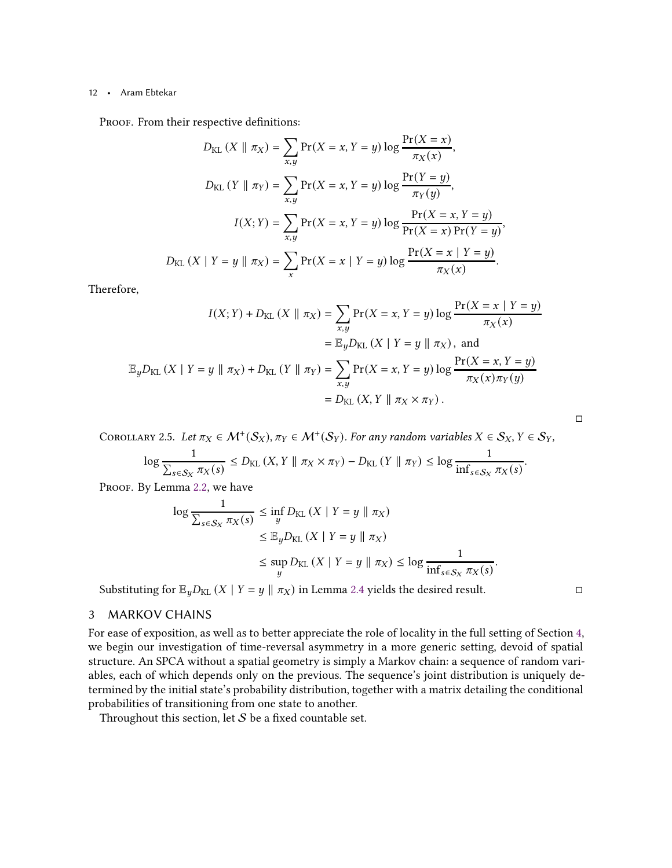PROOF. From their respective definitions:

$$
D_{KL}(X \parallel \pi_X) = \sum_{x,y} \Pr(X = x, Y = y) \log \frac{\Pr(X = x)}{\pi_X(x)},
$$
  
\n
$$
D_{KL}(Y \parallel \pi_Y) = \sum_{x,y} \Pr(X = x, Y = y) \log \frac{\Pr(Y = y)}{\pi_Y(y)},
$$
  
\n
$$
I(X;Y) = \sum_{x,y} \Pr(X = x, Y = y) \log \frac{\Pr(X = x, Y = y)}{\Pr(X = x) \Pr(Y = y)},
$$
  
\n
$$
D_{KL}(X \mid Y = y \parallel \pi_X) = \sum_{x} \Pr(X = x \mid Y = y) \log \frac{\Pr(X = x \mid Y = y)}{\pi_X(x)}.
$$

Therefore,

$$
I(X;Y) + D_{\text{KL}}(X \parallel \pi_X) = \sum_{x,y} \Pr(X = x, Y = y) \log \frac{\Pr(X = x \mid Y = y)}{\pi_X(x)}
$$
  
=  $\mathbb{E}_y D_{\text{KL}}(X \mid Y = y \parallel \pi_X)$ , and  

$$
\mathbb{E}_y D_{\text{KL}}(X \mid Y = y \parallel \pi_X) + D_{\text{KL}}(Y \parallel \pi_Y) = \sum_{x,y} \Pr(X = x, Y = y) \log \frac{\Pr(X = x, Y = y)}{\pi_X(x)\pi_Y(y)}
$$
  
=  $D_{\text{KL}}(X, Y \parallel \pi_X \times \pi_Y)$ .

<span id="page-11-1"></span>COROLLARY 2.5. Let  $\pi_X \in \mathcal{M}^+(\mathcal{S}_X), \pi_Y \in \mathcal{M}^+(\mathcal{S}_Y)$ . For any random variables  $X \in \mathcal{S}_X, Y \in \mathcal{S}_Y$ ,

$$
\log \frac{1}{\sum_{s \in \mathcal{S}_X} \pi_X(s)} \le D_{\text{KL}}\left(X, Y \parallel \pi_X \times \pi_Y\right) - D_{\text{KL}}\left(Y \parallel \pi_Y\right) \le \log \frac{1}{\inf_{s \in \mathcal{S}_X} \pi_X(s)}.
$$

PROOF. By Lemma [2.2,](#page-9-3) we have

$$
\log \frac{1}{\sum_{s \in S_X} \pi_X(s)} \leq \inf_{y} D_{\text{KL}} (X \mid Y = y \parallel \pi_X)
$$
  

$$
\leq \mathbb{E}_y D_{\text{KL}} (X \mid Y = y \parallel \pi_X)
$$
  

$$
\leq \sup_{y} D_{\text{KL}} (X \mid Y = y \parallel \pi_X) \leq \log \frac{1}{\inf_{s \in S_X} \pi_X(s)}
$$

Substituting for  $\mathbb{E}_y D_{\text{KL}}(X | Y = y \| \pi_X)$  in Lemma [2.4](#page-10-0) yields the desired result.

.

 $\Box$ 

# <span id="page-11-0"></span>3 MARKOV CHAINS

For ease of exposition, as well as to better appreciate the role of locality in the full setting of Section [4,](#page-22-0) we begin our investigation of time-reversal asymmetry in a more generic setting, devoid of spatial structure. An SPCA without a spatial geometry is simply a Markov chain: a sequence of random variables, each of which depends only on the previous. The sequence's joint distribution is uniquely determined by the initial state's probability distribution, together with a matrix detailing the conditional probabilities of transitioning from one state to another.

Throughout this section, let  $S$  be a fixed countable set.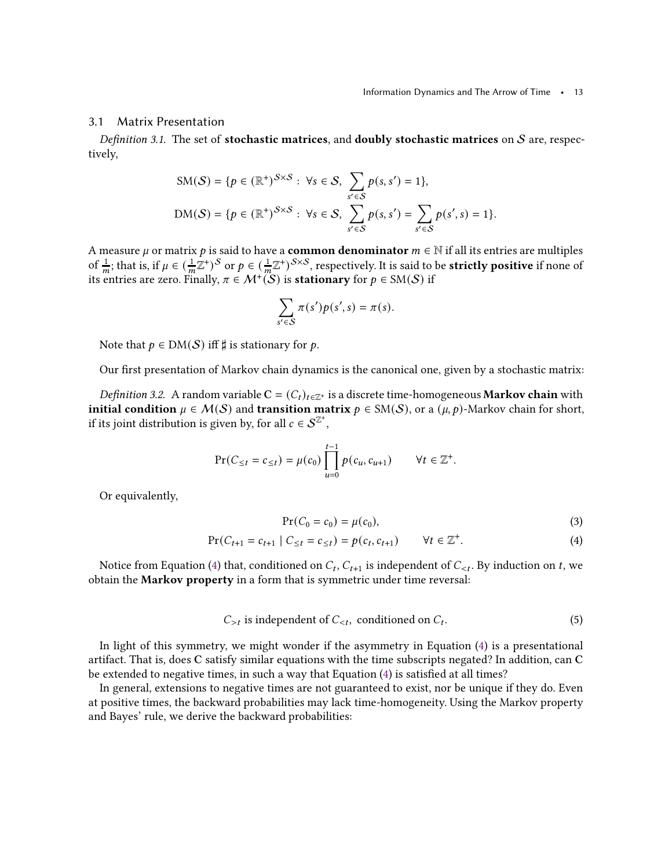### 3.1 Matrix Presentation

Definition 3.1. The set of stochastic matrices, and doubly stochastic matrices on  $S$  are, respectively,

$$
SM(S) = \{p \in (\mathbb{R}^+)^{S \times S} : \forall s \in S, \sum_{s' \in S} p(s, s') = 1\},\
$$
  

$$
DM(S) = \{p \in (\mathbb{R}^+)^{S \times S} : \forall s \in S, \sum_{s' \in S} p(s, s') = \sum_{s' \in S} p(s', s) = 1\}.
$$

A measure  $\mu$  or matrix  $p$  is said to have a  ${\bf common}$  denominator  $m\in\mathbb{N}$  if all its entries are multiples of  $\frac{1}{m}$ ; that is, if  $\mu \in (\frac{1}{m}\mathbb{Z}^+)^S$  or  $p \in (\frac{1}{m}\mathbb{Z}^+)^{S \times S}$ , respectively. It is said to be **strictly positive** if none of its entries are zero. Finally,  $\pi \in \mathcal{M}^{+}(\mathcal{S})$  is **stationary** for  $p \in \mathrm{SM}(\mathcal{S})$  if

$$
\sum_{s' \in S} \pi(s')p(s',s) = \pi(s).
$$

Note that  $p \in DM(S)$  iff  $\sharp$  is stationary for p.

<span id="page-12-2"></span>Our first presentation of Markov chain dynamics is the canonical one, given by a stochastic matrix:

*Definition 3.2.* A random variable  $C = (C_t)_{t \in \mathbb{Z}^+}$  is a discrete time-homogeneous **Markov chain** with initial condition  $\mu \in \mathcal{M}(\mathcal{S})$  and transition matrix  $p \in SM(\mathcal{S})$ , or a  $(\mu, p)$ -Markov chain for short, if its joint distribution is given by, for all  $c \in \mathcal{S}^{\mathbb{Z}^+}$ ,

$$
\Pr(C_{\leq t} = c_{\leq t}) = \mu(c_0) \prod_{u=0}^{t-1} p(c_u, c_{u+1}) \qquad \forall t \in \mathbb{Z}^+.
$$

Or equivalently,

<span id="page-12-1"></span><span id="page-12-0"></span>
$$
Pr(C_0 = c_0) = \mu(c_0),
$$
\n(3)

$$
Pr(C_{t+1} = c_{t+1} | C_{\leq t} = c_{\leq t}) = p(c_t, c_{t+1}) \qquad \forall t \in \mathbb{Z}^+.
$$
 (4)

Notice from Equation [\(4\)](#page-12-0) that, conditioned on  $C_t$ ,  $C_{t+1}$  is independent of  $C_{\leq t}$ . By induction on t, we obtain the Markov property in a form that is symmetric under time reversal:

$$
C_{>t}
$$
 is independent of  $C_{, conditioned on  $C_t$ . (5)$ 

In light of this symmetry, we might wonder if the asymmetry in Equation [\(4\)](#page-12-0) is a presentational artifact. That is, does C satisfy similar equations with the time subscripts negated? In addition, can C be extended to negative times, in such a way that Equation [\(4\)](#page-12-0) is satisfied at all times?

In general, extensions to negative times are not guaranteed to exist, nor be unique if they do. Even at positive times, the backward probabilities may lack time-homogeneity. Using the Markov property and Bayes' rule, we derive the backward probabilities: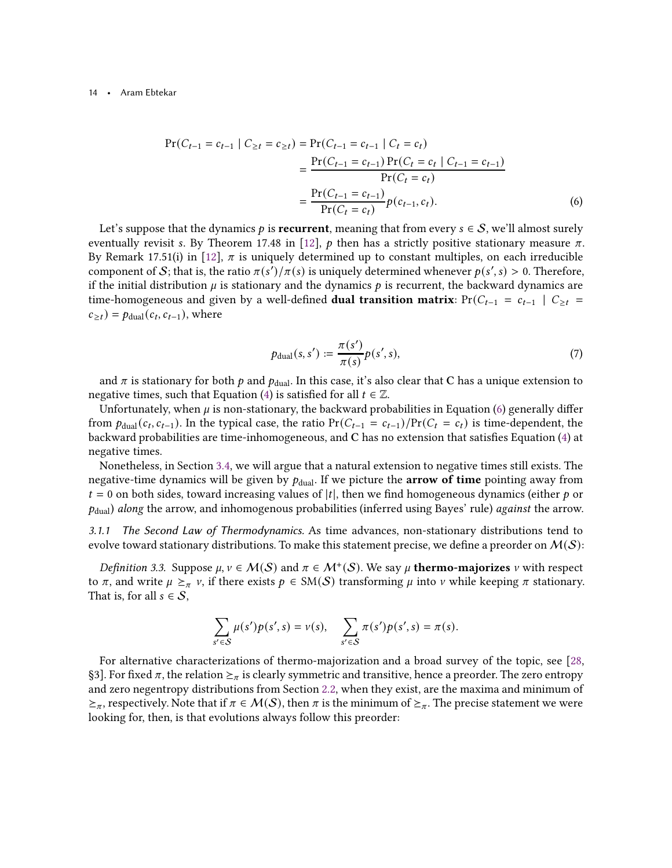$$
\Pr(C_{t-1} = c_{t-1} | C_{\geq t} = c_{\geq t}) = \Pr(C_{t-1} = c_{t-1} | C_t = c_t)
$$
  
= 
$$
\frac{\Pr(C_{t-1} = c_{t-1}) \Pr(C_t = c_t | C_{t-1} = c_{t-1})}{\Pr(C_t = c_t)}
$$
  
= 
$$
\frac{\Pr(C_{t-1} = c_{t-1})}{\Pr(C_t = c_t)} p(c_{t-1}, c_t).
$$
 (6)

Let's suppose that the dynamics  $p$  is recurrent, meaning that from every  $s \in S$ , we'll almost surely eventually revisit s. By Theorem 17.48 in [\[12](#page-42-15)],  $p$  then has a strictly positive stationary measure  $\pi$ . By Remark 17.51(i) in [\[12](#page-42-15)],  $\pi$  is uniquely determined up to constant multiples, on each irreducible component of S; that is, the ratio  $\pi(s')/\pi(s)$  is uniquely determined whenever  $p(s', s) > 0$ . Therefore, if the initial distribution  $\mu$  is stationary and the dynamics  $p$  is recurrent, the backward dynamics are time-homogeneous and given by a well-defined **dual transition matrix**:  $Pr(C_{t-1} = c_{t-1} | C_{\geq t} =$  $c_{\geq t}$ ) =  $p_{\text{dual}}(c_t, c_{t-1})$ , where

<span id="page-13-1"></span><span id="page-13-0"></span>
$$
p_{\text{dual}}(s, s') := \frac{\pi(s')}{\pi(s)} p(s', s),
$$
\n(7)

and  $\pi$  is stationary for both  $p$  and  $p_{\text{dual}}$ . In this case, it's also clear that C has a unique extension to negative times, such that Equation [\(4\)](#page-12-0) is satisfied for all  $t \in \mathbb{Z}$ .

Unfortunately, when  $\mu$  is non-stationary, the backward probabilities in Equation [\(6\)](#page-13-0) generally differ from  $p_{\text{dual}}(c_t, c_{t-1})$ . In the typical case, the ratio  $Pr(C_{t-1} = c_{t-1})/Pr(C_t = c_t)$  is time-dependent, the backward probabilities are time-inhomogeneous, and C has no extension that satisfies Equation [\(4\)](#page-12-0) at negative times.

Nonetheless, in Section [3.4,](#page-20-0) we will argue that a natural extension to negative times still exists. The negative-time dynamics will be given by  $p_{\text{dual}}$ . If we picture the **arrow of time** pointing away from  $t = 0$  on both sides, toward increasing values of |t|, then we find homogeneous dynamics (either  $p$  or  $p_{\text{dual}}$ ) along the arrow, and inhomogenous probabilities (inferred using Bayes' rule) against the arrow.

<span id="page-13-3"></span>3.1.1 The Second Law of Thermodynamics. As time advances, non-stationary distributions tend to evolve toward stationary distributions. To make this statement precise, we define a preorder on  $\mathcal{M}(\mathcal{S})$ :

Definition 3.3. Suppose  $\mu$ ,  $\nu \in M(S)$  and  $\pi \in M^+(S)$ . We say  $\mu$  thermo-majorizes  $\nu$  with respect to  $\pi$ , and write  $\mu \geq_{\pi} \nu$ , if there exists  $p \in SM(S)$  transforming  $\mu$  into  $\nu$  while keeping  $\pi$  stationary. That is, for all  $s \in \mathcal{S}$ ,

$$
\sum_{s' \in S} \mu(s')p(s',s) = \nu(s), \quad \sum_{s' \in S} \pi(s')p(s',s) = \pi(s).
$$

<span id="page-13-2"></span>For alternative characterizations of thermo-majorization and a broad survey of the topic, see [\[28](#page-43-8), §3]. For fixed  $\pi$ , the relation  $\succeq_{\pi}$  is clearly symmetric and transitive, hence a preorder. The zero entropy and zero negentropy distributions from Section [2.2,](#page-8-0) when they exist, are the maxima and minimum of  $\geq_{\pi}$ , respectively. Note that if  $\pi \in \mathcal{M}(\mathcal{S})$ , then  $\pi$  is the minimum of  $\geq_{\pi}$ . The precise statement we were looking for, then, is that evolutions always follow this preorder: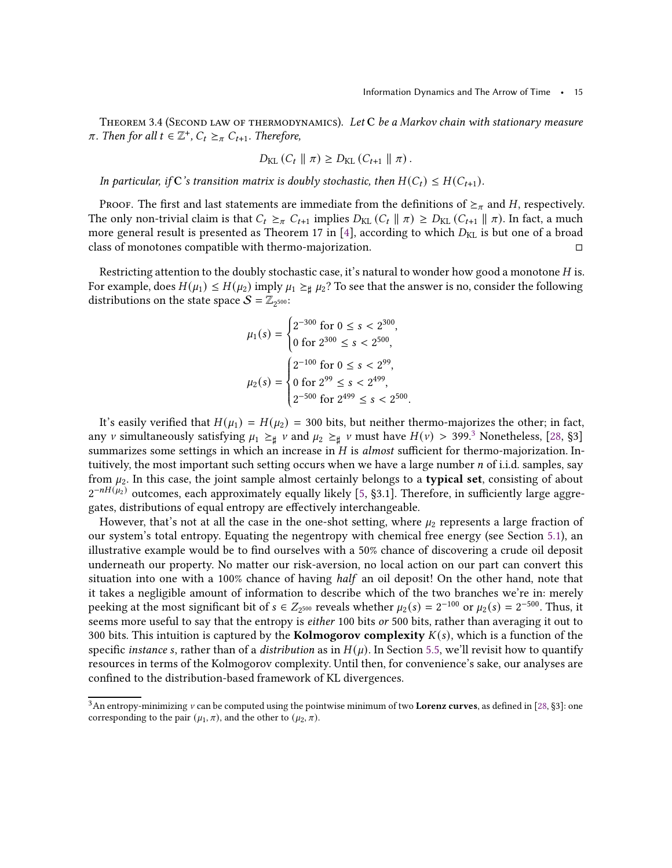THEOREM 3.4 (SECOND LAW OF THERMODYNAMICS). Let C be a Markov chain with stationary measure  $\pi$ . Then for all  $t \in \mathbb{Z}^+$ ,  $C_t \geq_{\pi} C_{t+1}$ . Therefore,

$$
D_{\text{KL}}(C_t \parallel \pi) \geq D_{\text{KL}}(C_{t+1} \parallel \pi).
$$

In particular, if C's transition matrix is doubly stochastic, then  $H(C_t) \leq H(C_{t+1})$ .

PROOF. The first and last statements are immediate from the definitions of  $\geq_{\pi}$  and H, respectively. The only non-trivial claim is that  $C_t \geq_{\pi} C_{t+1}$  implies  $D_{KL}(C_t || \pi) \geq D_{KL}(C_{t+1} || \pi)$ . In fact, a much more general result is presented as Theorem 17 in [\[4](#page-42-16)], according to which  $D_{KL}$  is but one of a broad class of monotones compatible with thermo-majorization.

Restricting attention to the doubly stochastic case, it's natural to wonder how good a monotone  $H$  is. For example, does  $H(\mu_1) \leq H(\mu_2)$  imply  $\mu_1 \geq \mu_2$ ? To see that the answer is no, consider the following distributions on the state space  $S = \mathbb{Z}_{2^{500}}$ :

$$
\mu_1(s) = \begin{cases} 2^{-300} \text{ for } 0 \le s < 2^{300}, \\ 0 \text{ for } 2^{300} \le s < 2^{500}, \end{cases}
$$
\n
$$
\mu_2(s) = \begin{cases} 2^{-100} \text{ for } 0 \le s < 2^{99}, \\ 0 \text{ for } 2^{99} \le s < 2^{499}, \\ 2^{-500} \text{ for } 2^{499} \le s < 2^{500}. \end{cases}
$$

It's easily verified that  $H(\mu_1) = H(\mu_2) = 300$  bits, but neither thermo-majorizes the other; in fact, any v simultaneously satisfying  $\mu_1 \geq \mu$  v and  $\mu_2 \geq \mu$  v must have  $H(\nu) > 399.3$  $H(\nu) > 399.3$  $H(\nu) > 399.3$  Nonetheless, [\[28](#page-43-8), §3] summarizes some settings in which an increase in  $H$  is almost sufficient for thermo-majorization. Intuitively, the most important such setting occurs when we have a large number  $n$  of i.i.d. samples, say from  $\mu_2$ . In this case, the joint sample almost certainly belongs to a **typical set**, consisting of about  $2^{-nH(\mu_2)}$  outcomes, each approximately equally likely [\[5](#page-42-3), §3.1]. Therefore, in sufficiently large aggregates, distributions of equal entropy are effectively interchangeable.

However, that's not at all the case in the one-shot setting, where  $\mu_2$  represents a large fraction of our system's total entropy. Equating the negentropy with chemical free energy (see Section [5.1\)](#page-31-0), an illustrative example would be to find ourselves with a 50% chance of discovering a crude oil deposit underneath our property. No matter our risk-aversion, no local action on our part can convert this situation into one with a 100% chance of having half an oil deposit! On the other hand, note that it takes a negligible amount of information to describe which of the two branches we're in: merely peeking at the most significant bit of  $s \in Z_{2^{500}}$  reveals whether  $\mu_2(s) = 2^{-100}$  or  $\mu_2(s) = 2^{-500}$ . Thus, it seems more useful to say that the entropy is *either* 100 bits or 500 bits, rather than averaging it out to 300 bits. This intuition is captured by the **Kolmogorov complexity**  $K(s)$ , which is a function of the specific instance s, rather than of a distribution as in  $H(\mu)$ . In Section [5.5,](#page-37-0) we'll revisit how to quantify resources in terms of the Kolmogorov complexity. Until then, for convenience's sake, our analyses are confined to the distribution-based framework of KL divergences.

<span id="page-14-0"></span> $3$ An entropy-minimizing  $v$  can be computed using the pointwise minimum of two Lorenz curves, as defined in [\[28](#page-43-8), §3]: one corresponding to the pair  $(\mu_1, \pi)$ , and the other to  $(\mu_2, \pi)$ .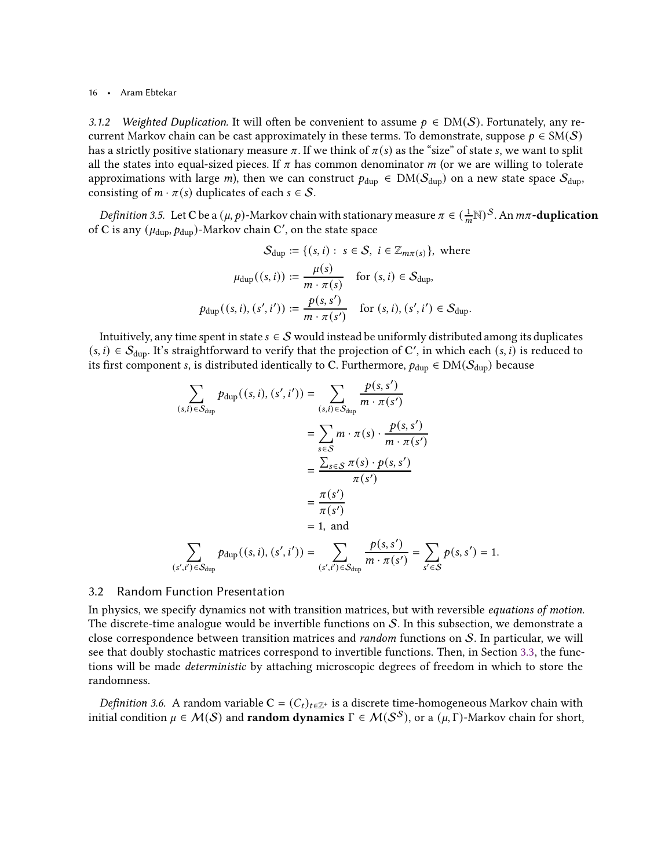3.1.2 Weighted Duplication. It will often be convenient to assume  $p \in DM(S)$ . Fortunately, any recurrent Markov chain can be cast approximately in these terms. To demonstrate, suppose  $p \in SM(S)$ has a strictly positive stationary measure  $\pi$ . If we think of  $\pi(s)$  as the "size" of state s, we want to split all the states into equal-sized pieces. If  $\pi$  has common denominator  $m$  (or we are willing to tolerate approximations with large *m*), then we can construct  $p_{dup} \in DM(S_{dup})$  on a new state space  $S_{dup}$ , consisting of  $m \cdot \pi(s)$  duplicates of each  $s \in S$ .

<span id="page-15-1"></span>*Definition 3.5.* Let C be a  $(\mu, p)$ -Markov chain with stationary measure  $\pi \in (\frac{1}{m} \mathbb{N})^S$ . An  $m\pi$ -duplication of C is any  $(\mu_{\text{dup}}, p_{\text{dup}})$ -Markov chain C', on the state space

$$
S_{\text{dup}} := \{(s, i) : s \in S, i \in \mathbb{Z}_{m\pi(s)}\}, \text{ where}
$$

$$
\mu_{\text{dup}}((s, i)) := \frac{\mu(s)}{m \cdot \pi(s)} \quad \text{for } (s, i) \in S_{\text{dup}},
$$

$$
p_{\text{dup}}((s, i), (s', i')) := \frac{p(s, s')}{m \cdot \pi(s')} \quad \text{for } (s, i), (s', i') \in S_{\text{dup}}.
$$

Intuitively, any time spent in state  $s \in S$  would instead be uniformly distributed among its duplicates  $(s, i) \in S_{\text{dup}}$ . It's straightforward to verify that the projection of C', in which each  $(s, i)$  is reduced to its first component *s*, is distributed identically to C. Furthermore,  $p_{\text{dup}} \in DM(S_{\text{dup}})$  because

$$
\sum_{(s,i)\in S_{\text{dup}}} p_{\text{dup}}((s,i),(s',i')) = \sum_{(s,i)\in S_{\text{dup}}} \frac{p(s,s')}{m \cdot \pi(s')}
$$

$$
= \sum_{s\in S} m \cdot \pi(s) \cdot \frac{p(s,s')}{m \cdot \pi(s')}
$$

$$
= \frac{\sum_{s\in S} \pi(s) \cdot p(s,s')}{\pi(s')}
$$

$$
= \frac{\pi(s')}{\pi(s')}
$$

$$
= 1, \text{ and}
$$

$$
\sum_{(s',i')\in S_{\text{dup}}} p_{\text{dup}}((s,i),(s',i')) = \sum_{(s',i')\in S_{\text{dup}}} \frac{p(s,s')}{m \cdot \pi(s')} = \sum_{s'\in S} p(s,s') = 1.
$$

#### 3.2 Random Function Presentation

In physics, we specify dynamics not with transition matrices, but with reversible equations of motion. The discrete-time analogue would be invertible functions on  $S$ . In this subsection, we demonstrate a close correspondence between transition matrices and *random* functions on  $S$ . In particular, we will see that doubly stochastic matrices correspond to invertible functions. Then, in Section [3.3,](#page-16-1) the functions will be made deterministic by attaching microscopic degrees of freedom in which to store the randomness.

<span id="page-15-0"></span>*Definition 3.6.* A random variable  $C = (C_t)_{t \in \mathbb{Z}^+}$  is a discrete time-homogeneous Markov chain with initial condition  $\mu \in \mathcal{M}(\mathcal{S})$  and **random dynamics**  $\Gamma \in \mathcal{M}(\mathcal{S}^{\mathcal{S}})$ , or a  $(\mu, \Gamma)$ -Markov chain for short,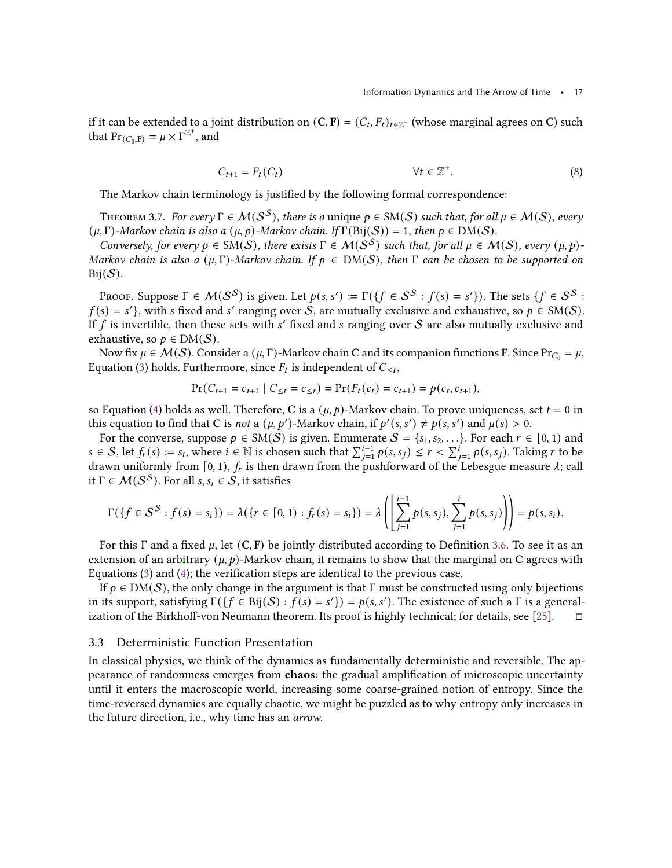if it can be extended to a joint distribution on  $(C, F) = (C_t, F_t)_{t \in \mathbb{Z}^+}$  (whose marginal agrees on C) such that  $Pr_{(C_0, F)} = \mu \times \Gamma^{\mathbb{Z}^+}$ , and

$$
C_{t+1} = F_t(C_t) \qquad \forall t \in \mathbb{Z}^+.
$$
 (8)

<span id="page-16-0"></span>The Markov chain terminology is justified by the following formal correspondence:

THEOREM 3.7. For every  $\Gamma \in \mathcal{M}(S^S)$ , there is a unique  $p \in SM(S)$  such that, for all  $\mu \in \mathcal{M}(S)$ , every  $(\mu, \Gamma)$ -Markov chain is also a  $(\mu, p)$ -Markov chain. If  $\Gamma(\text{Bij}(\mathcal{S})) = 1$ , then  $p \in \text{DM}(\mathcal{S})$ .

Conversely, for every  $p \in SM(S)$ , there exists  $\Gamma \in M(S^S)$  such that, for all  $\mu \in M(S)$ , every  $(\mu, p)$ -Markov chain is also a  $(\mu, \Gamma)$ -Markov chain. If  $p \in DM(S)$ , then  $\Gamma$  can be chosen to be supported on  $\text{Bij}(\mathcal{S})$ .

Proof. Suppose  $\Gamma \in \mathcal{M}(\mathcal{S}^{\mathcal{S}})$  is given. Let  $p(s,s')\coloneqq \Gamma(\{f\in \mathcal{S}^{\mathcal{S}}:f(s)=s'\}).$  The sets  $\{f\in \mathcal{S}^{\mathcal{S}}:f(s)=s'\}$  $f(s) = s'$ , with s fixed and s' ranging over S, are mutually exclusive and exhaustive, so  $p \in SM(S)$ . If  $f$  is invertible, then these sets with  $s'$  fixed and  $s$  ranging over  $\mathcal S$  are also mutually exclusive and exhaustive, so  $p \in DM(S)$ .

Now fix  $\mu \in \mathcal{M}(\mathcal{S})$ . Consider a  $(\mu, \Gamma)$ -Markov chain C and its companion functions F. Since Pr<sub>C<sub>0</sub></sub> =  $\mu$ , Equation [\(3\)](#page-12-1) holds. Furthermore, since  $F_t$  is independent of  $C_{\leq t}$ ,

$$
Pr(C_{t+1} = c_{t+1} | C_{\leq t} = c_{\leq t}) = Pr(F_t(c_t) = c_{t+1}) = p(c_t, c_{t+1}),
$$

so Equation [\(4\)](#page-12-0) holds as well. Therefore, C is a  $(\mu, p)$ -Markov chain. To prove uniqueness, set  $t = 0$  in this equation to find that C is *not* a  $(\mu, p')$ -Markov chain, if  $p'(s, s') \neq p(s, s')$  and  $\mu(s) > 0$ .

For the converse, suppose  $p \in SM(S)$  is given. Enumerate  $S = \{s_1, s_2, ...\}$ . For each  $r \in [0, 1)$  and  $s \in S$ , let  $f_r(s) := s_i$ , where  $i \in \mathbb{N}$  is chosen such that  $\sum_{j=1}^{i-1} p(s, s_j) \le r < \sum_{j=1}^{i} p(s, s_j)$ . Taking r to be drawn uniformly from [0, 1),  $f_r$  is then drawn from the pushforward of the Lebesgue measure  $\lambda$ ; call it  $\Gamma \in \mathcal{M}(\mathcal{S}^{\mathcal{S}})$ . For all  $s, s_i \in \mathcal{S}$ , it satisfies

$$
\Gamma(\{f \in S^S : f(s) = s_i\}) = \lambda(\{r \in [0,1) : f_r(s) = s_i\}) = \lambda \left( \left[ \sum_{j=1}^{i-1} p(s,s_j), \sum_{j=1}^i p(s,s_j) \right] \right) = p(s,s_i).
$$

For this  $\Gamma$  and a fixed  $\mu$ , let  $(C, F)$  be jointly distributed according to Definition [3.6.](#page-15-0) To see it as an extension of an arbitrary  $(\mu, p)$ -Markov chain, it remains to show that the marginal on C agrees with Equations [\(3\)](#page-12-1) and [\(4\)](#page-12-0); the verification steps are identical to the previous case.

If  $p \in DM(S)$ , the only change in the argument is that  $\Gamma$  must be constructed using only bijections in its support, satisfying  $\Gamma({f \in Bij(S) : f(s) = s'}) = p(s, s')$ . The existence of such a  $\Gamma$  is a general-ization of the Birkhoff-von Neumann theorem. Its proof is highly technical; for details, see [\[25](#page-43-6)].  $\square$ 

# <span id="page-16-1"></span>3.3 Deterministic Function Presentation

In classical physics, we think of the dynamics as fundamentally deterministic and reversible. The appearance of randomness emerges from chaos: the gradual amplification of microscopic uncertainty until it enters the macroscopic world, increasing some coarse-grained notion of entropy. Since the time-reversed dynamics are equally chaotic, we might be puzzled as to why entropy only increases in the future direction, i.e., why time has an arrow.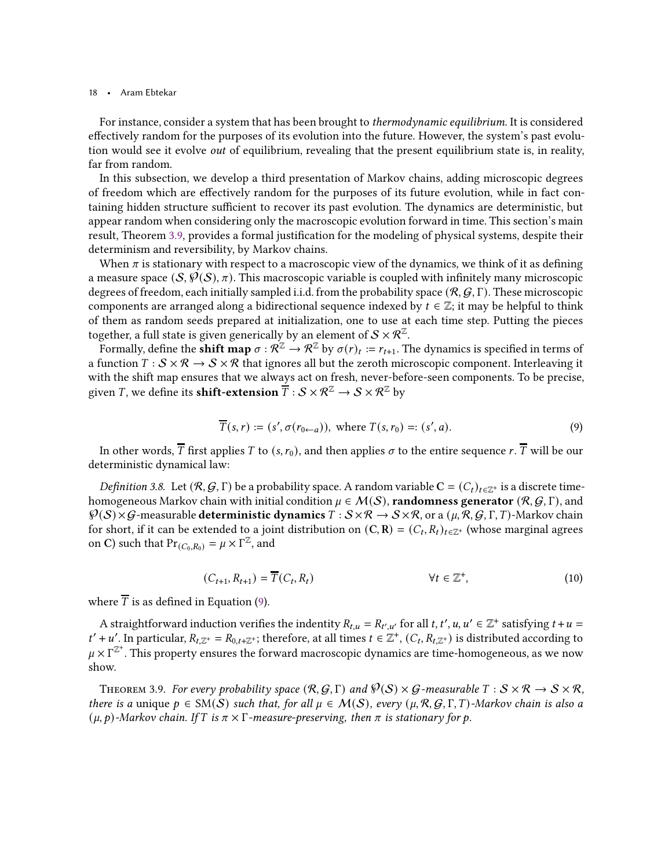For instance, consider a system that has been brought to thermodynamic equilibrium. It is considered effectively random for the purposes of its evolution into the future. However, the system's past evolution would see it evolve *out* of equilibrium, revealing that the present equilibrium state is, in reality, far from random.

In this subsection, we develop a third presentation of Markov chains, adding microscopic degrees of freedom which are effectively random for the purposes of its future evolution, while in fact containing hidden structure sufficient to recover its past evolution. The dynamics are deterministic, but appear random when considering only the macroscopic evolution forward in time. This section's main result, Theorem [3.9,](#page-17-1) provides a formal justification for the modeling of physical systems, despite their determinism and reversibility, by Markov chains.

When  $\pi$  is stationary with respect to a macroscopic view of the dynamics, we think of it as defining a measure space  $(S, \mathcal{P}(S), \pi)$ . This macroscopic variable is coupled with infinitely many microscopic degrees of freedom, each initially sampled i.i.d. from the probability space  $(\mathcal{R}, \mathcal{G}, \Gamma)$ . These microscopic components are arranged along a bidirectional sequence indexed by  $t \in \mathbb{Z}$ ; it may be helpful to think of them as random seeds prepared at initialization, one to use at each time step. Putting the pieces together, a full state is given generically by an element of  $S \times \mathcal{R}^{\mathbb{Z}}$ .

Formally, define the  $\sinh f$  map  $\sigma: R^{\mathbb{Z}} \to R^{\mathbb{Z}}$  by  $\sigma(r)_t := r_{t+1}.$  The dynamics is specified in terms of a function  $T : S \times \mathcal{R} \to S \times \mathcal{R}$  that ignores all but the zeroth microscopic component. Interleaving it with the shift map ensures that we always act on fresh, never-before-seen components. To be precise, given *T*, we define its **shift-extension**  $\overline{T}$  :  $S \times \mathbb{R}^{\mathbb{Z}} \to S \times \mathbb{R}^{\mathbb{Z}}$  by

<span id="page-17-2"></span>
$$
\overline{T}(s,r) := (s', \sigma(r_{0\leftarrow a})), \text{ where } T(s,r_0) = (s',a). \tag{9}
$$

<span id="page-17-0"></span>In other words,  $\overline{T}$  first applies  $T$  to  $(s, r_0)$ , and then applies  $\sigma$  to the entire sequence  $r$ .  $\overline{T}$  will be our deterministic dynamical law:

Definition 3.8. Let  $(R, G, \Gamma)$  be a probability space. A random variable  $C = (C_t)_{t \in \mathbb{Z}^+}$  is a discrete timehomogeneous Markov chain with initial condition  $\mu \in \mathcal{M}(S)$ , randomness generator  $(\mathcal{R}, \mathcal{G}, \Gamma)$ , and  $\mathcal{P}(S) \times \mathcal{G}$ -measurable **deterministic dynamics**  $T : S \times \mathcal{R} \to S \times \mathcal{R}$ , or a  $(\mu, \mathcal{R}, \mathcal{G}, \Gamma, T)$ -Markov chain for short, if it can be extended to a joint distribution on  $(C, R) = (C_t, R_t)_{t \in \mathbb{Z}^+}$  (whose marginal agrees on C) such that  $Pr_{(C_0, R_0)} = \mu \times \Gamma^{\mathbb{Z}}$ , and

<span id="page-17-3"></span>
$$
(C_{t+1}, R_{t+1}) = \overline{T}(C_t, R_t) \qquad \forall t \in \mathbb{Z}^+, \tag{10}
$$

where  $\overline{T}$  is as defined in Equation [\(9\)](#page-17-2).

A straightforward induction verifies the indentity  $R_{t,u} = R_{t',u'}$  for all  $t, t', u, u' \in \mathbb{Z}^+$  satisfying  $t + u =$  $t' + u'$ . In particular,  $R_{t,\mathbb{Z}^+} = R_{0,t+\mathbb{Z}^+}$ ; therefore, at all times  $t \in \mathbb{Z}^+$ ,  $(C_t, R_{t,\mathbb{Z}^+})$  is distributed according to  $\mu \times \Gamma^{\mathbb{Z}^+}$ . This property ensures the forward macroscopic dynamics are time-homogeneous, as we now show.

<span id="page-17-1"></span>THEOREM 3.9. For every probability space  $(R, G, \Gamma)$  and  $\mathcal{P}(S) \times G$ -measurable  $T : S \times \mathcal{R} \to S \times \mathcal{R}$ , there is a unique  $p \in SM(S)$  such that, for all  $\mu \in \mathcal{M}(S)$ , every  $(\mu, \mathcal{R}, \mathcal{G}, \Gamma, T)$ -Markov chain is also a  $(\mu, p)$ -Markov chain. If T is  $\pi \times \Gamma$ -measure-preserving, then  $\pi$  is stationary for  $p$ .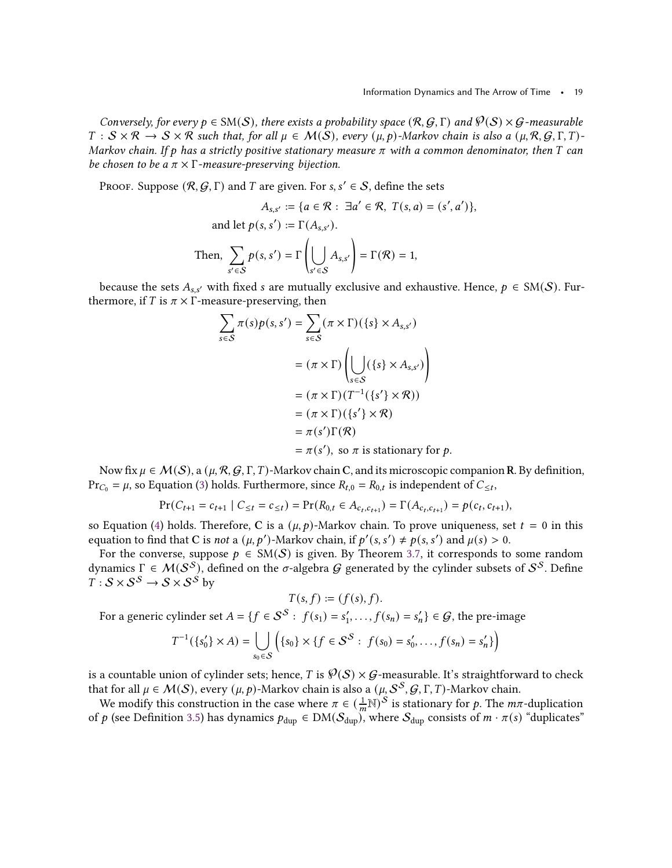Conversely, for every  $p \in SM(S)$ , there exists a probability space  $(R, G, \Gamma)$  and  $\mathcal{P}(S) \times G$ -measurable  $T : S \times \mathcal{R} \to S \times \mathcal{R}$  such that, for all  $\mu \in \mathcal{M}(S)$ , every  $(\mu, \rho)$ -Markov chain is also a  $(\mu, \mathcal{R}, \mathcal{G}, \Gamma, T)$ -Markov chain. If p has a strictly positive stationary measure  $\pi$  with a common denominator, then T can be chosen to be a  $\pi \times \Gamma$ -measure-preserving bijection.

PROOF. Suppose  $(R, G, \Gamma)$  and T are given. For s, s'  $\in \mathcal{S}$ , define the sets

$$
A_{s,s'} := \{ a \in \mathcal{R} : \exists a' \in \mathcal{R}, \ T(s, a) = (s', a') \},
$$
  
and let  $p(s, s') := \Gamma(A_{s,s'})$ .  
Then, 
$$
\sum_{s' \in \mathcal{S}} p(s, s') = \Gamma\left(\bigcup_{s' \in \mathcal{S}} A_{s,s'}\right) = \Gamma(\mathcal{R}) = 1,
$$

because the sets  $A_{s,s'}$  with fixed s are mutually exclusive and exhaustive. Hence,  $p \in SM(S)$ . Furthermore, if T is  $\pi \times \Gamma$ -measure-preserving, then

$$
\sum_{s \in S} \pi(s) p(s, s') = \sum_{s \in S} (\pi \times \Gamma)(\{s\} \times A_{s, s'})
$$
  

$$
= (\pi \times \Gamma) \left( \bigcup_{s \in S} (\{s\} \times A_{s, s'}) \right)
$$
  

$$
= (\pi \times \Gamma)(T^{-1}(\{s'\} \times \mathcal{R}))
$$
  

$$
= (\pi \times \Gamma)(\{s'\} \times \mathcal{R})
$$
  

$$
= \pi(s') \Gamma(\mathcal{R})
$$
  

$$
= \pi(s'), \text{ so } \pi \text{ is stationary for } p.
$$

Now fix  $\mu \in \mathcal{M}(\mathcal{S})$ , a  $(\mu, \mathcal{R}, \mathcal{G}, \Gamma, T)$ -Markov chain C, and its microscopic companion R. By definition,  $\Pr_{C_0} = \mu$ , so Equation [\(3\)](#page-12-1) holds. Furthermore, since  $R_{t,0} = R_{0,t}$  is independent of  $C_{\leq t}$ ,

$$
Pr(C_{t+1} = c_{t+1} | C_{\leq t} = c_{\leq t}) = Pr(R_{0,t} \in A_{c_t, c_{t+1}}) = \Gamma(A_{c_t, c_{t+1}}) = p(c_t, c_{t+1}),
$$

so Equation [\(4\)](#page-12-0) holds. Therefore, C is a  $(\mu, p)$ -Markov chain. To prove uniqueness, set  $t = 0$  in this equation to find that C is *not* a  $(\mu, p')$ -Markov chain, if  $p'(s, s') \neq p(s, s')$  and  $\mu(s) > 0$ .

For the converse, suppose  $p \in SM(S)$  is given. By Theorem [3.7,](#page-16-0) it corresponds to some random dynamics Γ  $\in M(S^{\mathcal{S}})$ , defined on the σ-algebra G generated by the cylinder subsets of  $\mathcal{S}^{\mathcal{S}}$ . Define  $T : \mathcal{S} \times \mathcal{S}^{\mathcal{S}} \to \mathcal{S} \times \mathcal{S}^{\mathcal{S}}$  by

$$
T(s,f) := (f(s),f).
$$

For a generic cylinder set  $A = \{f \in S^S : f(s_1) = s'_1, \ldots, f(s_n) = s'_n\} \in G$ , the pre-image

$$
T^{-1}(\{s_0'\} \times A) = \bigcup_{s_0 \in S} \left( \{s_0\} \times \{f \in S^S : f(s_0) = s_0', \dots, f(s_n) = s_n'\} \right)
$$

is a countable union of cylinder sets; hence, T is  $\mathcal{P}(S) \times \mathcal{G}$ -measurable. It's straightforward to check that for all  $\mu \in \mathcal{M}(\mathcal{S}),$  every  $(\mu, p)$ -Markov chain is also a  $(\mu, \mathcal{S}^\mathcal{S}, \mathcal{G}, \Gamma, T)$ -Markov chain.

We modify this construction in the case where  $\pi \in (\frac{1}{m} \mathbb{N})^S$  is stationary for p. The  $m\pi$ -duplication of p (see Definition [3.5\)](#page-15-1) has dynamics  $p_{\text{dup}} \in DM(S_{\text{dup}})$ , where  $S_{\text{dup}}$  consists of  $m \cdot \pi(s)$  "duplicates"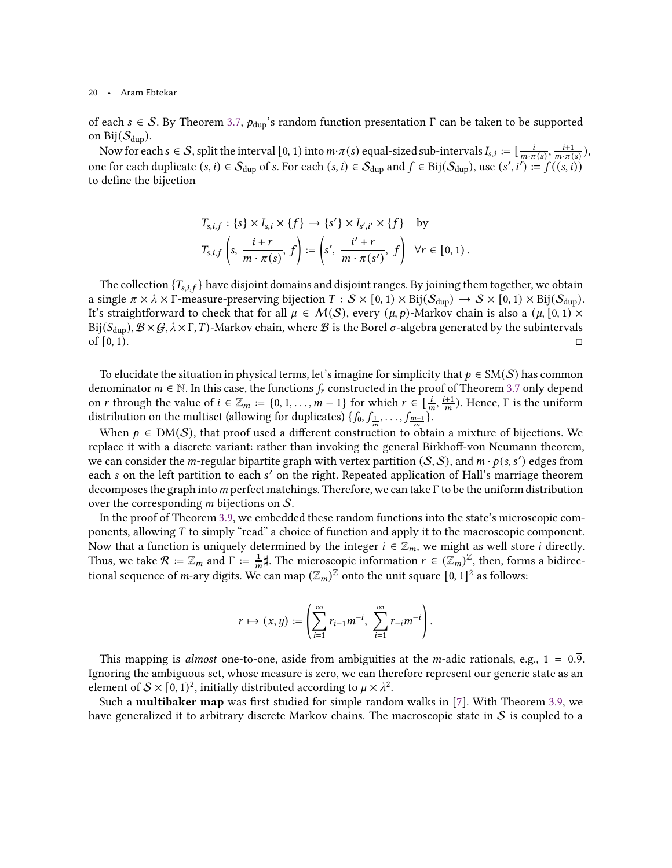of each  $s \in S$ . By Theorem [3.7,](#page-16-0)  $p_{\text{dup}}$ 's random function presentation  $\Gamma$  can be taken to be supported on Bij $(\mathcal{S}_{\text{dup}})$ .

Now for each  $s \in S$ , split the interval  $[0, 1)$  into  $m \cdot \pi(s)$  equal-sized sub-intervals  $I_{s,i} := [\frac{i}{m \cdot \pi(s)}, \frac{i+1}{m \cdot \pi(s)}]$  $\frac{l+1}{m \cdot \pi(s)}$ ), one for each duplicate  $(s, i) \in S_{\text{dup}}$  of  $s$ . For each  $(s, i) \in S_{\text{dup}}$  and  $f \in \text{Bij}(S_{\text{dup}})$ , use  $(s', i') := f((s, i))$ to define the bijection

$$
T_{s,i,f}: \{s\} \times I_{s,i} \times \{f\} \to \{s'\} \times I_{s',i'} \times \{f\} \text{ by}
$$
  

$$
T_{s,i,f}\left(s, \frac{i+r}{m \cdot \pi(s)}, f\right) := \left(s', \frac{i'+r}{m \cdot \pi(s')}, f\right) \ \forall r \in [0,1).
$$

The collection  ${T_{s,i,f}}$  have disjoint domains and disjoint ranges. By joining them together, we obtain a single  $\pi \times \lambda \times \Gamma$ -measure-preserving bijection  $T : S \times [0, 1) \times Bij(S_{dup}) \rightarrow S \times [0, 1) \times Bij(S_{dup})$ . It's straightforward to check that for all  $\mu \in \mathcal{M}(\mathcal{S})$ , every  $(\mu, p)$ -Markov chain is also a  $(\mu, [0, 1) \times$ Bij( $S_{\text{dup}}$ ),  $\mathcal{B} \times \mathcal{G}$ ,  $\lambda \times \Gamma$ ,  $T$ )-Markov chain, where  $\mathcal{B}$  is the Borel  $\sigma$ -algebra generated by the subintervals of  $[0, 1)$ .

To elucidate the situation in physical terms, let's imagine for simplicity that  $p \in SM(S)$  has common denominator  $m \in \mathbb{N}$ . In this case, the functions  $f_r$  constructed in the proof of Theorem [3.7](#page-16-0) only depend on *r* through the value of  $i \in \mathbb{Z}_m := \{0, 1, \ldots, m-1\}$  for which  $r \in \left[\frac{i}{m}, \frac{i+1}{m}\right]$  $\frac{(n+1)}{m}$ ). Hence,  $\Gamma$  is the uniform distribution on the multiset (allowing for duplicates)  $\{f_0, f_{\frac{1}{m}}, \ldots, f_{\frac{m-1}{m}}\}$ .

When  $p \in DM(S)$ , that proof used a different construction to obtain a mixture of bijections. We replace it with a discrete variant: rather than invoking the general Birkhoff-von Neumann theorem, we can consider the m-regular bipartite graph with vertex partition  $(S, S)$ , and  $m \cdot p(s, s')$  edges from each s on the left partition to each s' on the right. Repeated application of Hall's marriage theorem decomposes the graph into  $m$  perfect matchings. Therefore, we can take  $\Gamma$  to be the uniform distribution over the corresponding  $m$  bijections on  $S$ .

In the proof of Theorem [3.9,](#page-17-1) we embedded these random functions into the state's microscopic components, allowing  $T$  to simply "read" a choice of function and apply it to the macroscopic component. Now that a function is uniquely determined by the integer  $i \in \mathbb{Z}_m$ , we might as well store *i* directly. Thus, we take  $\mathcal{R} := \mathbb{Z}_m$  and  $\Gamma := \frac{1}{m}$  $\frac{1}{m}$ #. The microscopic information  $r \in (\mathbb{Z}_m)^{\mathbb{Z}}$ , then, forms a bidirectional sequence of *m*-ary digits. We can map  $(\mathbb{Z}_m)^{\mathbb{Z}}$  onto the unit square  $[0, 1]^2$  as follows:

$$
r\mapsto (x,y):=\left(\sum_{i=1}^\infty r_{i-1}m^{-i},\ \sum_{i=1}^\infty r_{-i}m^{-i}\right).
$$

This mapping is almost one-to-one, aside from ambiguities at the *m*-adic rationals, e.g.,  $1 = 0.\overline{9}$ . Ignoring the ambiguous set, whose measure is zero, we can therefore represent our generic state as an element of  $\mathcal{S} \times [0, 1)^2$ , initially distributed according to  $\mu \times \lambda^2$ .

Such a multibaker map was first studied for simple random walks in [\[7](#page-42-2)]. With Theorem [3.9,](#page-17-1) we have generalized it to arbitrary discrete Markov chains. The macroscopic state in  $S$  is coupled to a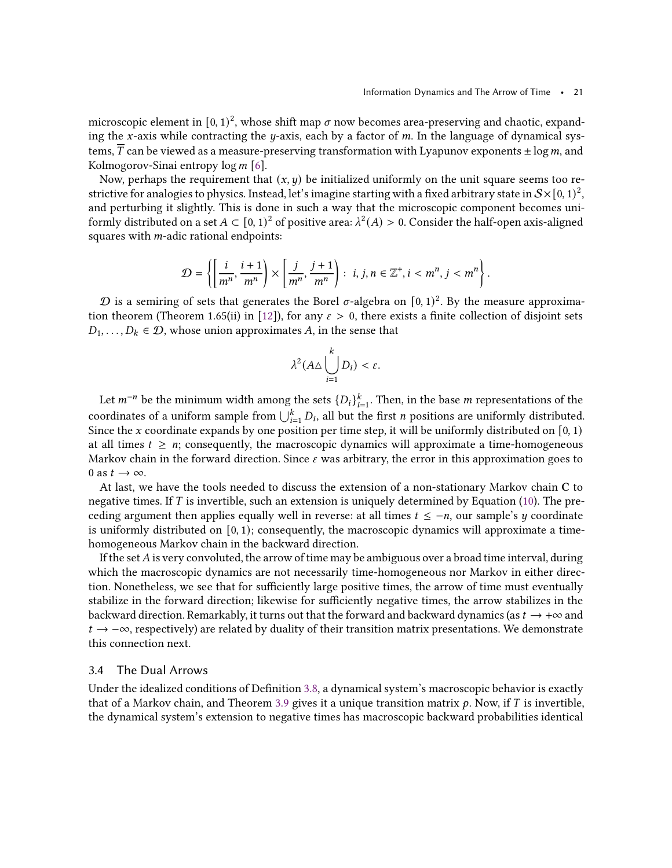microscopic element in  $[0, 1)^2$ , whose shift map  $\sigma$  now becomes area-preserving and chaotic, expanding the x-axis while contracting the y-axis, each by a factor of  $m$ . In the language of dynamical systems,  $\overline{T}$  can be viewed as a measure-preserving transformation with Lyapunov exponents  $\pm \log m$ , and Kolmogorov-Sinai entropy  $\log m$  [\[6](#page-42-17)].

Now, perhaps the requirement that  $(x, y)$  be initialized uniformly on the unit square seems too restrictive for analogies to physics. Instead, let's imagine starting with a fixed arbitrary state in  $\mathcal{S}\times [0,1)^2$  , and perturbing it slightly. This is done in such a way that the microscopic component becomes uniformly distributed on a set  $A \subset [0, 1)^2$  of positive area:  $\lambda^2(A) > 0$ . Consider the half-open axis-aligned squares with  $m$ -adic rational endpoints:

$$
\mathcal{D} = \left\{ \left[ \frac{i}{m^n}, \frac{i+1}{m^n} \right] \times \left[ \frac{j}{m^n}, \frac{j+1}{m^n} \right] : i, j, n \in \mathbb{Z}^+, i < m^n, j < m^n \right\}.
$$

 ${\cal D}$  is a semiring of sets that generates the Borel  $\sigma$ -algebra on  $[0,1)^2$ . By the measure approxima-tion theorem (Theorem 1.65(ii) in [\[12\]](#page-42-15)), for any  $\varepsilon > 0$ , there exists a finite collection of disjoint sets  $D_1, \ldots, D_k \in \mathcal{D}$ , whose union approximates A, in the sense that

$$
\lambda^2 (A \triangle \bigcup_{i=1}^k D_i) < \varepsilon.
$$

Let  $m^{-n}$  be the minimum width among the sets  $\{D_i\}_{i=1}^k$ . Then, in the base  $m$  representations of the coordinates of a uniform sample from  $\bigcup_{i=1}^k D_i$ , all but the first  $n$  positions are uniformly distributed. Since the x coordinate expands by one position per time step, it will be uniformly distributed on  $[0, 1)$ at all times  $t \geq n$ ; consequently, the macroscopic dynamics will approximate a time-homogeneous Markov chain in the forward direction. Since  $\varepsilon$  was arbitrary, the error in this approximation goes to 0 as  $t \to \infty$ .

At last, we have the tools needed to discuss the extension of a non-stationary Markov chain C to negative times. If T is invertible, such an extension is uniquely determined by Equation [\(10\)](#page-17-3). The preceding argument then applies equally well in reverse: at all times  $t \leq -n$ , our sample's  $\gamma$  coordinate is uniformly distributed on  $[0, 1)$ ; consequently, the macroscopic dynamics will approximate a timehomogeneous Markov chain in the backward direction.

If the set  $A$  is very convoluted, the arrow of time may be ambiguous over a broad time interval, during which the macroscopic dynamics are not necessarily time-homogeneous nor Markov in either direction. Nonetheless, we see that for sufficiently large positive times, the arrow of time must eventually stabilize in the forward direction; likewise for sufficiently negative times, the arrow stabilizes in the backward direction. Remarkably, it turns out that the forward and backward dynamics (as  $t \to +\infty$  and  $t \to -\infty$ , respectively) are related by duality of their transition matrix presentations. We demonstrate this connection next.

# <span id="page-20-0"></span>3.4 The Dual Arrows

Under the idealized conditions of Definition [3.8,](#page-17-0) a dynamical system's macroscopic behavior is exactly that of a Markov chain, and Theorem [3.9](#page-17-1) gives it a unique transition matrix  $p$ . Now, if  $T$  is invertible, the dynamical system's extension to negative times has macroscopic backward probabilities identical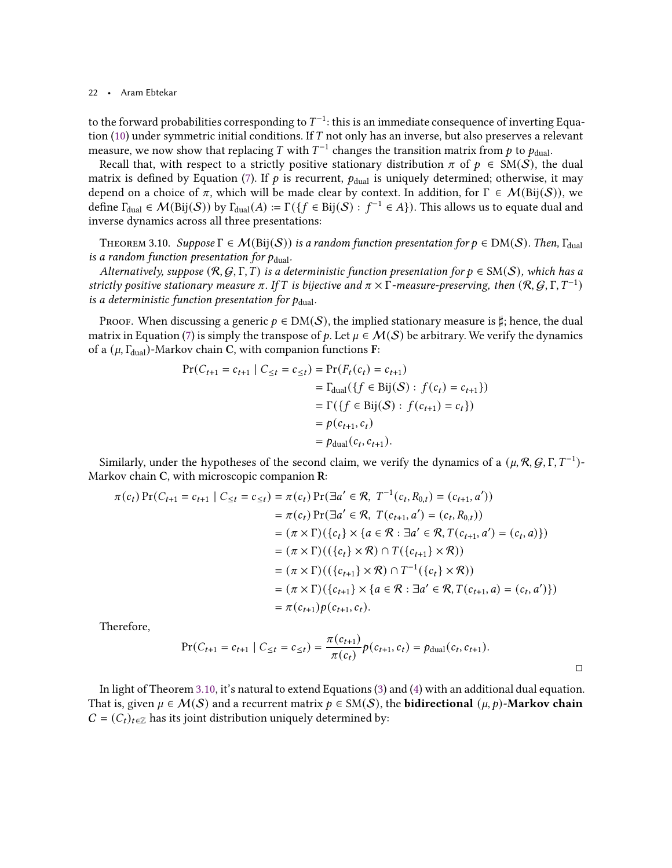to the forward probabilities corresponding to  $T^{-1}$ : this is an immediate consequence of inverting Equation  $(10)$  under symmetric initial conditions. If T not only has an inverse, but also preserves a relevant measure, we now show that replacing  $T$  with  $T^{-1}$  changes the transition matrix from  $p$  to  $p_{\mathrm{dual}}.$ 

Recall that, with respect to a strictly positive stationary distribution  $\pi$  of  $p \in SM(S)$ , the dual matrix is defined by Equation [\(7\)](#page-13-1). If  $p$  is recurrent,  $p_{\text{dual}}$  is uniquely determined; otherwise, it may depend on a choice of  $\pi$ , which will be made clear by context. In addition, for  $\Gamma \in \mathcal{M}(\text{Bij}(\mathcal{S}))$ , we define  $\Gamma_{\rm dual}\in\mathcal{M}(\mathrm{Bij}(\mathcal{S}))$  by  $\Gamma_{\rm dual}(A):=\Gamma(\{f\in\mathrm{Bij}(\mathcal{S}):$   $f^{-1}\in A\}).$  This allows us to equate dual and inverse dynamics across all three presentations:

<span id="page-21-0"></span>THEOREM 3.10. Suppose  $\Gamma \in \mathcal{M}(\text{Bij}(\mathcal{S}))$  is a random function presentation for  $p \in \text{DM}(\mathcal{S})$ . Then,  $\Gamma_{\text{dual}}$ is a random function presentation for  $p_{\text{dual}}$ .

Alternatively, suppose  $(R, G, \Gamma, T)$  is a deterministic function presentation for  $p \in SM(S)$ , which has a strictly positive stationary measure  $\pi$ . If T is bijective and  $\pi \times \Gamma$ -measure-preserving, then  $(R, G, \Gamma, T^{-1})$ is a deterministic function presentation for  $p_{\mathrm{dual}}$ .

PROOF. When discussing a generic  $p \in DM(S)$ , the implied stationary measure is ‡; hence, the dual matrix in Equation [\(7\)](#page-13-1) is simply the transpose of p. Let  $\mu \in \mathcal{M}(\mathcal{S})$  be arbitrary. We verify the dynamics of a  $(\mu, \Gamma_{\text{dual}})$ -Markov chain C, with companion functions F:

$$
\Pr(C_{t+1} = c_{t+1} | C_{\leq t} = c_{\leq t}) = \Pr(F_t(c_t) = c_{t+1})
$$
  
=  $\Gamma_{\text{dual}}(\{f \in \text{Bij}(\mathcal{S}) : f(c_t) = c_{t+1}\})$   
=  $\Gamma(\{f \in \text{Bij}(\mathcal{S}) : f(c_{t+1}) = c_t\})$   
=  $p(c_{t+1}, c_t)$   
=  $p_{\text{dual}}(c_t, c_{t+1}).$ 

Similarly, under the hypotheses of the second claim, we verify the dynamics of a  $(\mu, \mathcal{R}, \mathcal{G}, \Gamma, T^{-1})$ -Markov chain C, with microscopic companion R:

$$
\pi(c_t) \Pr(C_{t+1} = c_{t+1} | C_{\leq t} = c_{\leq t}) = \pi(c_t) \Pr(\exists a' \in \mathcal{R}, T^{-1}(c_t, R_{0,t}) = (c_{t+1}, a'))
$$
  
\n
$$
= \pi(c_t) \Pr(\exists a' \in \mathcal{R}, T(c_{t+1}, a') = (c_t, R_{0,t}))
$$
  
\n
$$
= (\pi \times \Gamma)(\{c_t\} \times \{a \in \mathcal{R} : \exists a' \in \mathcal{R}, T(c_{t+1}, a') = (c_t, a)\})
$$
  
\n
$$
= (\pi \times \Gamma)((\{c_t\} \times \mathcal{R}) \cap T(\{c_{t+1}\} \times \mathcal{R}))
$$
  
\n
$$
= (\pi \times \Gamma)((\{c_{t+1}\} \times \mathcal{R}) \cap T^{-1}(\{c_t\} \times \mathcal{R}))
$$
  
\n
$$
= (\pi \times \Gamma)(\{c_{t+1}\} \times \{a \in \mathcal{R} : \exists a' \in \mathcal{R}, T(c_{t+1}, a) = (c_t, a')\})
$$
  
\n
$$
= \pi(c_{t+1}) p(c_{t+1}, c_t).
$$

Therefore,

$$
Pr(C_{t+1} = c_{t+1} | C_{\leq t} = c_{\leq t}) = \frac{\pi(c_{t+1})}{\pi(c_t)} p(c_{t+1}, c_t) = p_{\text{dual}}(c_t, c_{t+1}).
$$

In light of Theorem [3.10,](#page-21-0) it's natural to extend Equations [\(3\)](#page-12-1) and [\(4\)](#page-12-0) with an additional dual equation. That is, given  $\mu \in \mathcal{M}(\mathcal{S})$  and a recurrent matrix  $p \in SM(\mathcal{S})$ , the **bidirectional**  $(\mu, p)$ -**Markov chain**  $C = (C_t)_{t \in \mathbb{Z}}$  has its joint distribution uniquely determined by: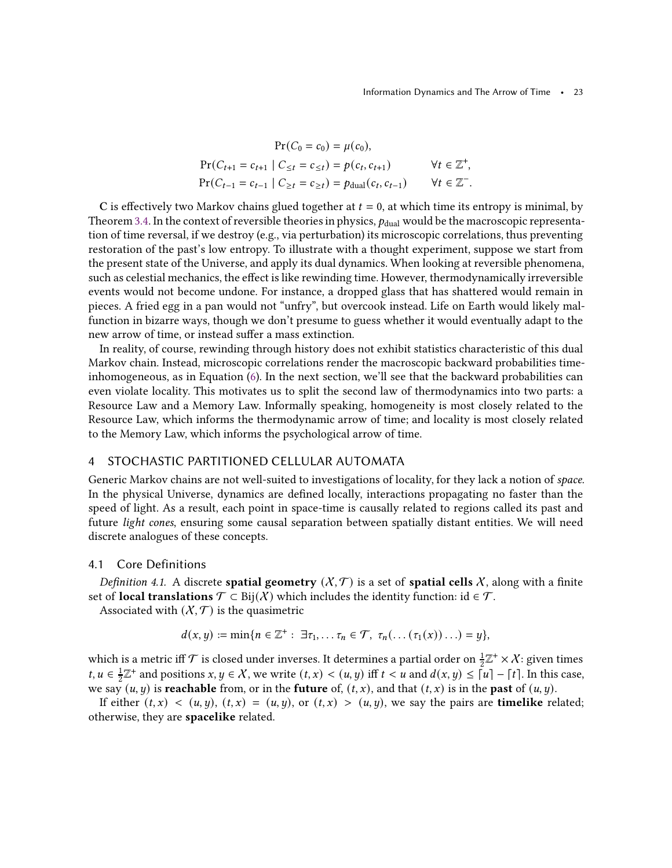$$
\Pr(C_0 = c_0) = \mu(c_0),
$$
\n
$$
\Pr(C_{t+1} = c_{t+1} | C_{\leq t} = c_{\leq t}) = p(c_t, c_{t+1}) \qquad \forall t \in \mathbb{Z}^+,
$$
\n
$$
\Pr(C_{t-1} = c_{t-1} | C_{\geq t} = c_{\geq t}) = p_{\text{dual}}(c_t, c_{t-1}) \qquad \forall t \in \mathbb{Z}^-.
$$

C is effectively two Markov chains glued together at  $t = 0$ , at which time its entropy is minimal, by Theorem [3.4.](#page-13-2) In the context of reversible theories in physics,  $p_{\text{dual}}$  would be the macroscopic representation of time reversal, if we destroy (e.g., via perturbation) its microscopic correlations, thus preventing restoration of the past's low entropy. To illustrate with a thought experiment, suppose we start from the present state of the Universe, and apply its dual dynamics. When looking at reversible phenomena, such as celestial mechanics, the effect is like rewinding time. However, thermodynamically irreversible events would not become undone. For instance, a dropped glass that has shattered would remain in pieces. A fried egg in a pan would not "unfry", but overcook instead. Life on Earth would likely malfunction in bizarre ways, though we don't presume to guess whether it would eventually adapt to the new arrow of time, or instead suffer a mass extinction.

In reality, of course, rewinding through history does not exhibit statistics characteristic of this dual Markov chain. Instead, microscopic correlations render the macroscopic backward probabilities timeinhomogeneous, as in Equation [\(6\)](#page-13-0). In the next section, we'll see that the backward probabilities can even violate locality. This motivates us to split the second law of thermodynamics into two parts: a Resource Law and a Memory Law. Informally speaking, homogeneity is most closely related to the Resource Law, which informs the thermodynamic arrow of time; and locality is most closely related to the Memory Law, which informs the psychological arrow of time.

### <span id="page-22-0"></span>4 STOCHASTIC PARTITIONED CELLULAR AUTOMATA

Generic Markov chains are not well-suited to investigations of locality, for they lack a notion of space. In the physical Universe, dynamics are defined locally, interactions propagating no faster than the speed of light. As a result, each point in space-time is causally related to regions called its past and future light cones, ensuring some causal separation between spatially distant entities. We will need discrete analogues of these concepts.

# 4.1 Core Definitions

Definition 4.1. A discrete spatial geometry  $(X, \mathcal{T})$  is a set of spatial cells X, along with a finite set of **local translations**  $\mathcal{T} \subset \text{Bij}(X)$  which includes the identity function: id  $\in \mathcal{T}$ .

Associated with  $(X, \mathcal{T})$  is the quasimetric

$$
d(x,y) := \min\{n \in \mathbb{Z}^+ : \exists \tau_1, \ldots \tau_n \in \mathcal{T}, \ \tau_n(\ldots(\tau_1(x))\ldots) = y\},\
$$

which is a metric iff  $\mathcal T$  is closed under inverses. It determines a partial order on  $\frac12 \mathbb Z^+ \times \mathcal X$ : given times  $t, u \in \frac{1}{2}$  $\frac{1}{2}\mathbb{Z}^+$  and positions  $x, y \in \mathcal{X}$ , we write  $(t, x) < (u, y)$  iff  $t < u$  and  $d(x, y) \le |u| - |t|$ . In this case, we say  $(u, y)$  is **reachable** from, or in the **future** of,  $(t, x)$ , and that  $(t, x)$  is in the **past** of  $(u, y)$ .

If either  $(t, x) < (u, y)$ ,  $(t, x) = (u, y)$ , or  $(t, x) > (u, y)$ , we say the pairs are **timelike** related; otherwise, they are spacelike related.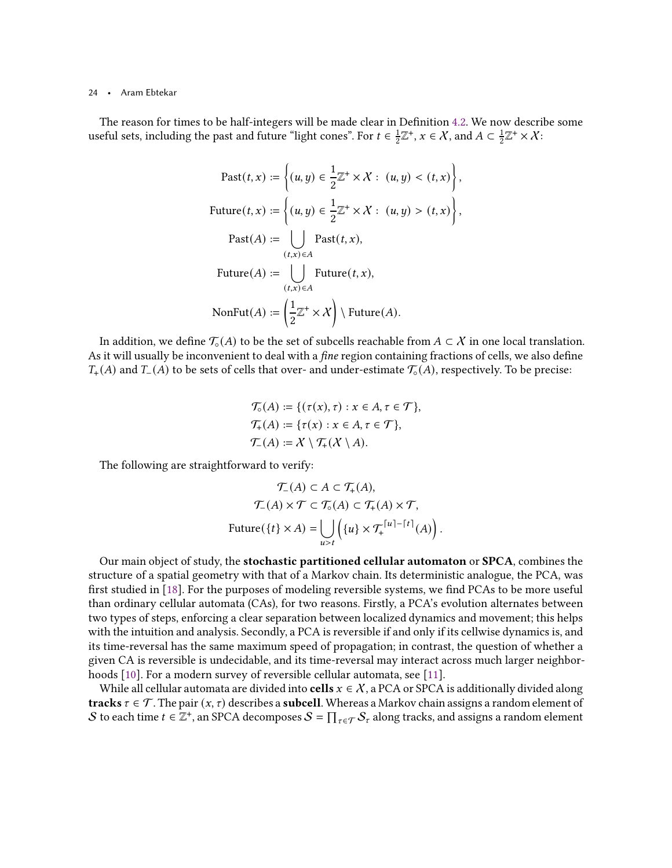The reason for times to be half-integers will be made clear in Definition [4.2.](#page-24-0) We now describe some useful sets, including the past and future "light cones". For  $t \in \frac{1}{2}$  $\frac{1}{2}\mathbb{Z}^+, x \in \mathcal{X}$ , and  $A \subset \frac{1}{2}$  $\frac{1}{2}\mathbb{Z}^+\times\mathcal{X}$ :

$$
\text{Fast}(t, x) := \left\{ (u, y) \in \frac{1}{2} \mathbb{Z}^+ \times \mathcal{X} : (u, y) < (t, x) \right\},
$$
\n
$$
\text{Future}(t, x) := \left\{ (u, y) \in \frac{1}{2} \mathbb{Z}^+ \times \mathcal{X} : (u, y) > (t, x) \right\},
$$
\n
$$
\text{Fast}(A) := \bigcup_{(t, x) \in A} \text{Fast}(t, x),
$$
\n
$$
\text{Future}(A) := \bigcup_{(t, x) \in A} \text{Future}(t, x),
$$
\n
$$
\text{NonFut}(A) := \left( \frac{1}{2} \mathbb{Z}^+ \times \mathcal{X} \right) \setminus \text{Future}(A).
$$

,

In addition, we define  $\mathcal{T}_{\circ}(A)$  to be the set of subcells reachable from  $A \subset \mathcal{X}$  in one local translation. As it will usually be inconvenient to deal with a *fine* region containing fractions of cells, we also define  $T_+(A)$  and  $T_-(A)$  to be sets of cells that over- and under-estimate  $\mathcal{T}_{\circ}(A)$ , respectively. To be precise:

$$
\mathcal{T}_{\circ}(A) := \{ (\tau(x), \tau) : x \in A, \tau \in \mathcal{T} \},
$$
  

$$
\mathcal{T}_{+}(A) := \{ \tau(x) : x \in A, \tau \in \mathcal{T} \},
$$
  

$$
\mathcal{T}_{-}(A) := X \setminus \mathcal{T}_{+}(X \setminus A).
$$

The following are straightforward to verify:

$$
\mathcal{T}_{-}(A) \subset A \subset \mathcal{T}_{+}(A),
$$

$$
\mathcal{T}_{-}(A) \times \mathcal{T} \subset \mathcal{T}_{\circ}(A) \subset \mathcal{T}_{+}(A) \times \mathcal{T},
$$
Future( $\{t\} \times A$ ) = 
$$
\bigcup_{u > t} \left( \{u\} \times \mathcal{T}_{+}^{\lceil u \rceil - \lceil t \rceil}(A) \right).
$$

Our main object of study, the stochastic partitioned cellular automaton or SPCA, combines the structure of a spatial geometry with that of a Markov chain. Its deterministic analogue, the PCA, was first studied in [\[18](#page-42-11)]. For the purposes of modeling reversible systems, we find PCAs to be more useful than ordinary cellular automata (CAs), for two reasons. Firstly, a PCA's evolution alternates between two types of steps, enforcing a clear separation between localized dynamics and movement; this helps with the intuition and analysis. Secondly, a PCA is reversible if and only if its cellwise dynamics is, and its time-reversal has the same maximum speed of propagation; in contrast, the question of whether a given CA is reversible is undecidable, and its time-reversal may interact across much larger neighborhoods [\[10](#page-42-18)]. For a modern survey of reversible cellular automata, see [\[11\]](#page-42-10).

While all cellular automata are divided into **cells**  $x \in \mathcal{X}$ , a PCA or SPCA is additionally divided along **tracks**  $\tau \in \mathcal{T}$ . The pair  $(x, \tau)$  describes a **subcell**. Whereas a Markov chain assigns a random element of  $\mathcal S$  to each time  $t\in\Z^+$ , an SPCA decomposes  $\mathcal S=\prod_{\tau\in\mathcal T}\mathcal S_\tau$  along tracks, and assigns a random element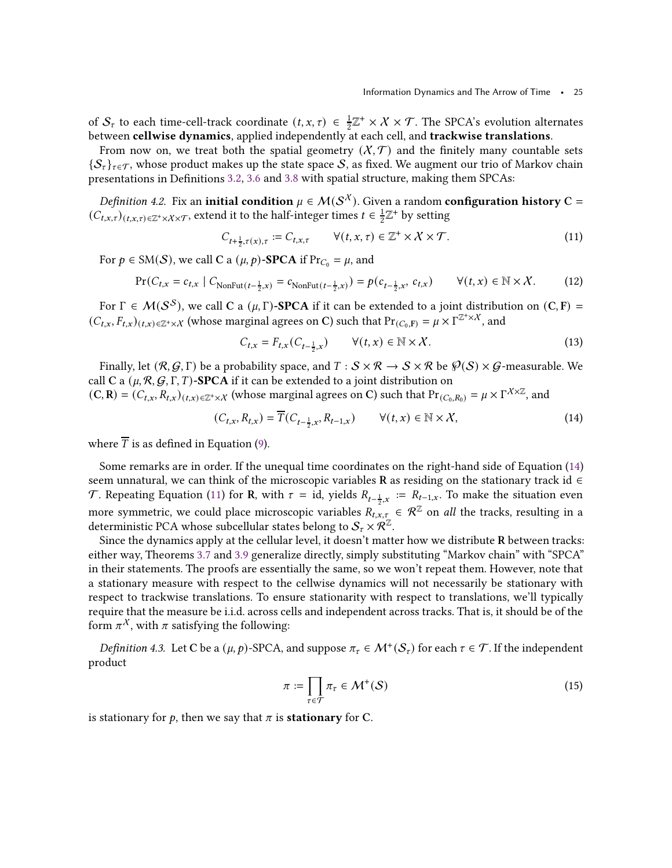of  $S_{\tau}$  to each time-cell-track coordinate  $(t, x, \tau) \in \frac{1}{2}\mathbb{Z}^+ \times \mathcal{X} \times \mathcal{T}$ . The SPCA's evolution alternates between cellwise dynamics, applied independently at each cell, and trackwise translations.

From now on, we treat both the spatial geometry  $(X, \mathcal{T})$  and the finitely many countable sets  ${S_{\tau}}_{\tau\in\tau}$ , whose product makes up the state space S, as fixed. We augment our trio of Markov chain presentations in Definitions [3.2,](#page-12-2) [3.6](#page-15-0) and [3.8](#page-17-0) with spatial structure, making them SPCAs:

<span id="page-24-0"></span>Definition 4.2. Fix an initial condition  $\mu \in \mathcal{M}(\mathcal{S}^X)$ . Given a random configuration history C =  $(C_{t,x,\tau})_{(t,x,\tau)\in\mathbb{Z}^+\times\mathcal{X}\times\mathcal{T}}$ , extend it to the half-integer times  $t\in\frac{1}{2}$  $\frac{1}{2}\mathbb{Z}^+$  by setting

$$
C_{t+\frac{1}{2},\tau(x),\tau} := C_{t,x,\tau} \qquad \forall (t,x,\tau) \in \mathbb{Z}^+ \times \mathcal{X} \times \mathcal{T}.
$$
\n
$$
(11)
$$

For  $p \in SM(S)$ , we call C a  $(\mu, p)$ -SPCA if Pr<sub>C<sub>0</sub></sub> =  $\mu$ , and

$$
\Pr(C_{t,x} = c_{t,x} \mid C_{\text{NonFut}(t-\frac{1}{2},x)} = c_{\text{NonFut}(t-\frac{1}{2},x)}) = p(c_{t-\frac{1}{2},x}, c_{t,x}) \qquad \forall (t,x) \in \mathbb{N} \times \mathcal{X}.
$$
 (12)

For  $\Gamma \in \mathcal{M}(\mathcal{S}^{\mathcal{S}})$ , we call C a ( $\mu$ , Γ)-**SPCA** if it can be extended to a joint distribution on (C, F) =  $(C_{t,x}, F_{t,x})_{(t,x)\in\mathbb{Z}^+\times\mathcal{X}}$  (whose marginal agrees on C) such that  $Pr_{(C_0,F)} = \mu \times \Gamma^{\mathbb{Z}^+\times\mathcal{X}}$ , and

<span id="page-24-3"></span><span id="page-24-2"></span><span id="page-24-1"></span>
$$
C_{t,x} = F_{t,x}(C_{t-\frac{1}{2},x}) \qquad \forall (t,x) \in \mathbb{N} \times \mathcal{X}.
$$
 (13)

Finally, let  $(\mathcal{R}, \mathcal{G}, \Gamma)$  be a probability space, and  $T : S \times \mathcal{R} \to S \times \mathcal{R}$  be  $\mathcal{P}(S) \times \mathcal{G}$ -measurable. We call C a  $(\mu, \mathcal{R}, \mathcal{G}, \Gamma, T)$ -SPCA if it can be extended to a joint distribution on  $(C, R) = (C_{t,x}, R_{t,x})_{(t,x) \in \mathbb{Z}^+ \times \mathbb{X}}$  (whose marginal agrees on C) such that  $Pr_{(C_0, R_0)} = \mu \times \Gamma^{\chi \times \mathbb{Z}}$ , and

$$
(C_{t,x}, R_{t,x}) = \overline{T}(C_{t-\frac{1}{2},x}, R_{t-1,x}) \qquad \forall (t,x) \in \mathbb{N} \times X,
$$
 (14)

where  $\overline{T}$  is as defined in Equation [\(9\)](#page-17-2).

Some remarks are in order. If the unequal time coordinates on the right-hand side of Equation [\(14\)](#page-24-1) seem unnatural, we can think of the microscopic variables R as residing on the stationary track id  $\in$ T. Repeating Equation [\(11\)](#page-24-2) for R, with  $\tau = id$ , yields  $R_{t-\frac{1}{2},x} := R_{t-1,x}$ . To make the situation even more symmetric, we could place microscopic variables  $R_{t,x,\tau} \in \mathcal{R}^{\mathbb{Z}}$  on all the tracks, resulting in a deterministic PCA whose subcellular states belong to  $\mathcal{S}_{\tau}\times\mathcal{R}^{\mathbb{Z}}$ .

Since the dynamics apply at the cellular level, it doesn't matter how we distribute R between tracks: either way, Theorems [3.7](#page-16-0) and [3.9](#page-17-1) generalize directly, simply substituting "Markov chain" with "SPCA" in their statements. The proofs are essentially the same, so we won't repeat them. However, note that a stationary measure with respect to the cellwise dynamics will not necessarily be stationary with respect to trackwise translations. To ensure stationarity with respect to translations, we'll typically require that the measure be i.i.d. across cells and independent across tracks. That is, it should be of the form  $\pi^{\mathcal{X}}$ , with  $\pi$  satisfying the following:

<span id="page-24-5"></span>Definition 4.3. Let C be a  $(\mu, p)$ -SPCA, and suppose  $\pi_{\tau} \in \mathcal{M}^+(\mathcal{S}_{\tau})$  for each  $\tau \in \mathcal{T}$ . If the independent product

<span id="page-24-4"></span>
$$
\pi := \prod_{\tau \in \mathcal{T}} \pi_{\tau} \in \mathcal{M}^+(\mathcal{S}) \tag{15}
$$

is stationary for p, then we say that  $\pi$  is **stationary** for C.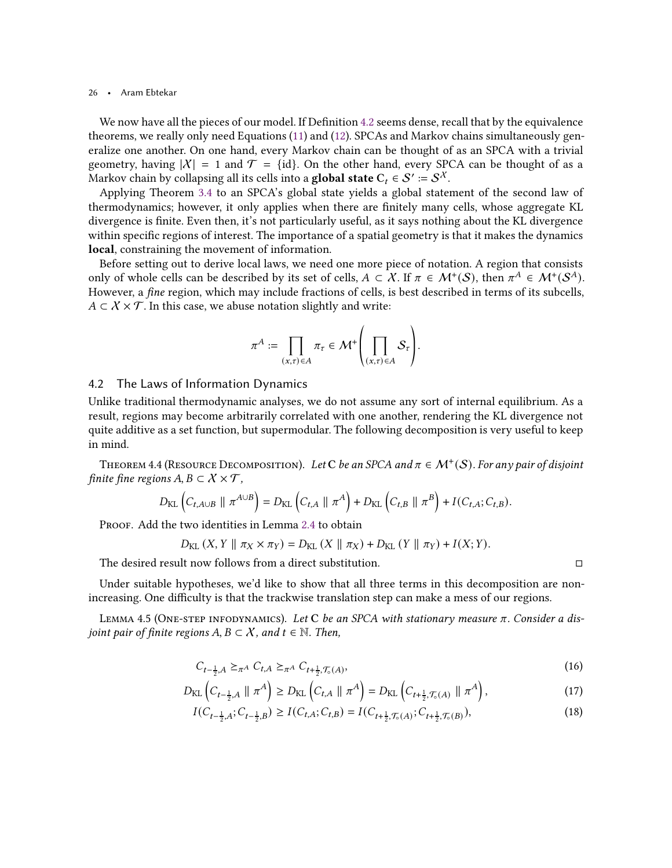We now have all the pieces of our model. If Definition [4.2](#page-24-0) seems dense, recall that by the equivalence theorems, we really only need Equations [\(11\)](#page-24-2) and [\(12\)](#page-24-3). SPCAs and Markov chains simultaneously generalize one another. On one hand, every Markov chain can be thought of as an SPCA with a trivial geometry, having  $|X| = 1$  and  $\mathcal{T} = \{\text{id}\}\$ . On the other hand, every SPCA can be thought of as a Markov chain by collapsing all its cells into a **global state**  $C_t \in \mathcal{S}' \coloneqq \mathcal{S}^{\mathcal{X}}.$ 

Applying Theorem [3.4](#page-13-2) to an SPCA's global state yields a global statement of the second law of thermodynamics; however, it only applies when there are finitely many cells, whose aggregate KL divergence is finite. Even then, it's not particularly useful, as it says nothing about the KL divergence within specific regions of interest. The importance of a spatial geometry is that it makes the dynamics local, constraining the movement of information.

Before setting out to derive local laws, we need one more piece of notation. A region that consists only of whole cells can be described by its set of cells,  $A \subset \mathcal{X}$ . If  $\pi \in \mathcal{M}^+(\mathcal{S})$ , then  $\pi^A \in \mathcal{M}^+(\mathcal{S}^A)$ . However, a *fine* region, which may include fractions of cells, is best described in terms of its subcells,  $A \subset \mathcal{X} \times \mathcal{T}$ . In this case, we abuse notation slightly and write:

$$
\pi^A := \prod_{(x,\tau)\in A} \pi_\tau \in \mathcal{M}^+\left(\prod_{(x,\tau)\in A} \mathcal{S}_\tau\right).
$$

# 4.2 The Laws of Information Dynamics

Unlike traditional thermodynamic analyses, we do not assume any sort of internal equilibrium. As a result, regions may become arbitrarily correlated with one another, rendering the KL divergence not quite additive as a set function, but supermodular. The following decomposition is very useful to keep in mind.

<span id="page-25-3"></span>THEOREM 4.4 (RESOURCE DECOMPOSITION). Let C be an SPCA and  $\pi \in \mathcal{M}^{+}(\mathcal{S})$ . For any pair of disjoint finite fine regions  $A, B \subset X \times \mathcal{T}$ ,

$$
D_{\text{KL}}\left(C_{t,A\cup B} \parallel \pi^{A \cup B}\right) = D_{\text{KL}}\left(C_{t,A} \parallel \pi^{A}\right) + D_{\text{KL}}\left(C_{t,B} \parallel \pi^{B}\right) + I(C_{t,A}; C_{t,B}).
$$

Proof. Add the two identities in Lemma [2.4](#page-10-0) to obtain

$$
D_{\text{KL}}(X, Y \parallel \pi_X \times \pi_Y) = D_{\text{KL}}(X \parallel \pi_X) + D_{\text{KL}}(Y \parallel \pi_Y) + I(X; Y).
$$

The desired result now follows from a direct substitution.

<span id="page-25-2"></span>Under suitable hypotheses, we'd like to show that all three terms in this decomposition are nonincreasing. One difficulty is that the trackwise translation step can make a mess of our regions.

LEMMA 4.5 (ONE-STEP INFODYNAMICS). Let  $C$  be an SPCA with stationary measure  $\pi$ . Consider a disjoint pair of finite regions  $A, B \subset \mathcal{X}$ , and  $t \in \mathbb{N}$ . Then,

$$
C_{t-\frac{1}{2},A} \geq_{\pi^A} C_{t,A} \geq_{\pi^A} C_{t+\frac{1}{2},\mathcal{T}_0(A)},
$$
\n(16)

$$
D_{\text{KL}}\left(C_{t-\frac{1}{2},A} \parallel \pi^A\right) \ge D_{\text{KL}}\left(C_{t,A} \parallel \pi^A\right) = D_{\text{KL}}\left(C_{t+\frac{1}{2},\mathcal{T}_{\circ}(A)} \parallel \pi^A\right),\tag{17}
$$

$$
I(C_{t-\frac{1}{2},A}; C_{t-\frac{1}{2},B}) \ge I(C_{t,A}; C_{t,B}) = I(C_{t+\frac{1}{2},\mathcal{T}_{0}(A)}; C_{t+\frac{1}{2},\mathcal{T}_{0}(B)}),
$$
\n(18)

<span id="page-25-1"></span><span id="page-25-0"></span>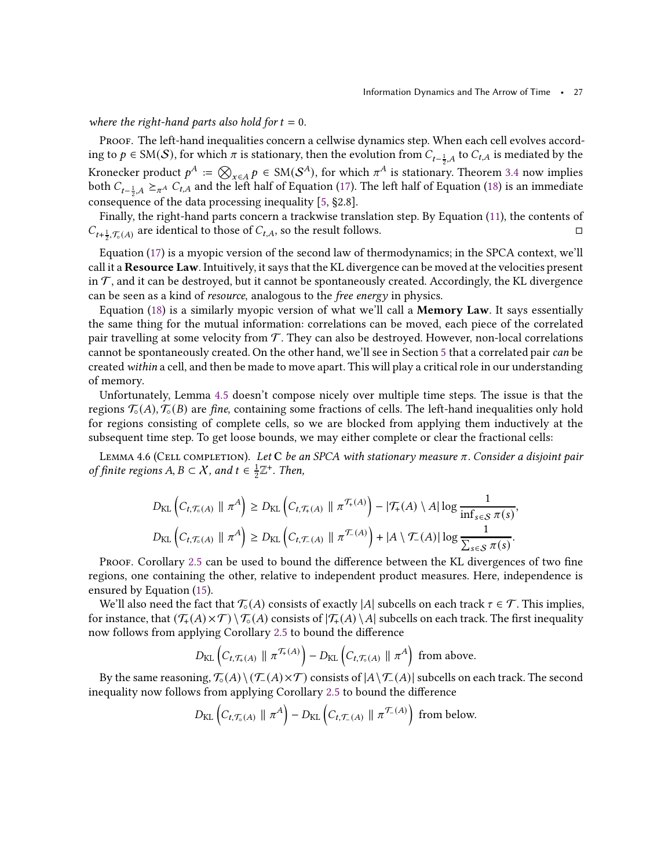### where the right-hand parts also hold for  $t = 0$ .

Proof. The left-hand inequalities concern a cellwise dynamics step. When each cell evolves according to  $p ∈ {\rm SM}(\mathcal{S})$ , for which  $\pi$  is stationary, then the evolution from  $C_{t-\frac{1}{2},A}$  to  $C_{t,A}$  is mediated by the Kronecker product  $p^A := \bigotimes_{x \in A} p \in SM(S^A)$ , for which  $\pi^A$  is stationary. Theorem [3.4](#page-13-2) now implies both  $C_{t-\frac{1}{2},A} \geq_{\pi^A} C_{t,A}$  and the left half of Equation [\(17\)](#page-25-0). The left half of Equation [\(18\)](#page-25-1) is an immediate consequence of the data processing inequality [\[5](#page-42-3), §2.8].

Finally, the right-hand parts concern a trackwise translation step. By Equation [\(11\)](#page-24-2), the contents of  $C_{t+\frac{1}{2},\mathcal{T}_{\circ}(A)}$  are identical to those of  $C_{t,A}$ , so the result follows.

Equation [\(17\)](#page-25-0) is a myopic version of the second law of thermodynamics; in the SPCA context, we'll call it a Resource Law. Intuitively, it says that the KL divergence can be moved at the velocities present in  $\mathcal T$ , and it can be destroyed, but it cannot be spontaneously created. Accordingly, the KL divergence can be seen as a kind of resource, analogous to the free energy in physics.

Equation  $(18)$  is a similarly myopic version of what we'll call a **Memory Law**. It says essentially the same thing for the mutual information: correlations can be moved, each piece of the correlated pair travelling at some velocity from  $\mathcal T$ . They can also be destroyed. However, non-local correlations cannot be spontaneously created. On the other hand, we'll see in Section [5](#page-30-0) that a correlated pair can be created within a cell, and then be made to move apart. This will play a critical role in our understanding of memory.

Unfortunately, Lemma [4.5](#page-25-2) doesn't compose nicely over multiple time steps. The issue is that the regions  $\mathcal{T}_{\circ}(A), \mathcal{T}_{\circ}(B)$  are fine, containing some fractions of cells. The left-hand inequalities only hold for regions consisting of complete cells, so we are blocked from applying them inductively at the subsequent time step. To get loose bounds, we may either complete or clear the fractional cells:

<span id="page-26-0"></span>LEMMA 4.6 (CELL COMPLETION). Let C be an SPCA with stationary measure  $\pi$ . Consider a disjoint pair of finite regions  $A, B \subset \mathcal{X}$ , and  $t \in \frac{1}{2}$  $\frac{1}{2}\mathbb{Z}^+$ . Then,

$$
D_{\text{KL}}\left(C_{t,\mathcal{T}_{\circ}(A)} \parallel \pi^{A}\right) \geq D_{\text{KL}}\left(C_{t,\mathcal{T}_{+}(A)} \parallel \pi^{\mathcal{T}_{+}(A)}\right) - |\mathcal{T}_{+}(A) \setminus A| \log \frac{1}{\inf_{s \in S} \pi(s)},
$$
  

$$
D_{\text{KL}}\left(C_{t,\mathcal{T}_{\circ}(A)} \parallel \pi^{A}\right) \geq D_{\text{KL}}\left(C_{t,\mathcal{T}_{-}(A)} \parallel \pi^{\mathcal{T}_{-}(A)}\right) + |A \setminus \mathcal{T}_{-}(A)| \log \frac{1}{\sum_{s \in S} \pi(s)}.
$$

PROOF. Corollary [2.5](#page-11-1) can be used to bound the difference between the KL divergences of two fine regions, one containing the other, relative to independent product measures. Here, independence is ensured by Equation [\(15\)](#page-24-4).

We'll also need the fact that  $\mathcal{T}_{\circ}(A)$  consists of exactly  $|A|$  subcells on each track  $\tau \in \mathcal{T}$ . This implies, for instance, that  $(\mathcal{T}_+(A) \times \mathcal{T}) \setminus \mathcal{T}_{\circ}(A)$  consists of  $|\mathcal{T}_{+}(A) \setminus A|$  subcells on each track. The first inequality now follows from applying Corollary [2.5](#page-11-1) to bound the difference

$$
D_{\text{KL}}\left(C_{t,\mathcal{T}_{+}(A)} \parallel \pi^{\mathcal{T}_{+}(A)}\right) - D_{\text{KL}}\left(C_{t,\mathcal{T}_{\circ}(A)} \parallel \pi^{A}\right) \text{ from above.}
$$

By the same reasoning,  $\mathcal{T}_{\circ}(A) \setminus (\mathcal{T}_{-}(A) \times \mathcal{T})$  consists of  $|A \setminus \mathcal{T}_{-}(A)|$  subcells on each track. The second inequality now follows from applying Corollary [2.5](#page-11-1) to bound the difference

$$
D_{\text{KL}}\left(C_{t,\mathcal{T}_{\circ}(A)} \parallel \pi^{A}\right) - D_{\text{KL}}\left(C_{t,\mathcal{T}_{\circ}(A)} \parallel \pi^{\mathcal{T}_{\circ}(A)}\right) \text{ from below.}
$$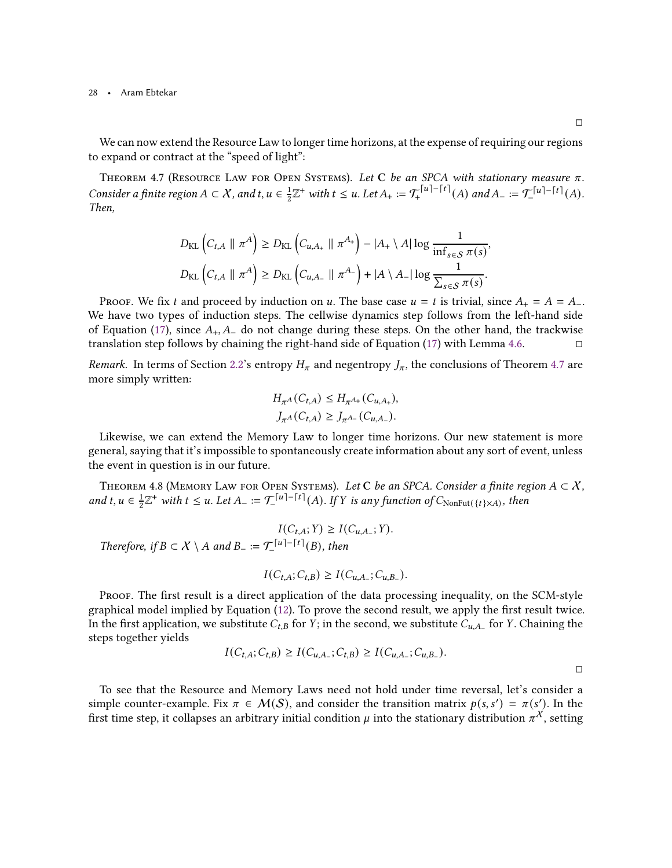<span id="page-27-1"></span>We can now extend the Resource Law to longer time horizons, at the expense of requiring our regions to expand or contract at the "speed of light":

THEOREM 4.7 (RESOURCE LAW FOR OPEN SYSTEMS). Let C be an SPCA with stationary measure  $\pi$ . Consider a finite region  $A \subset \mathcal{X}$ , and  $t, u \in \frac{1}{2}$  $\frac{1}{2}\mathbb{Z}^+$  with  $t \leq u$ . Let  $A_+ := \mathcal{T}_+^{\lceil u \rceil - \lceil t \rceil}(A)$  and  $A_- := \mathcal{T}_-^{\lceil u \rceil - \lceil t \rceil}(A)$ . Then,

$$
D_{\text{KL}}\left(C_{t,A} \parallel \pi^A\right) \ge D_{\text{KL}}\left(C_{u,A_+} \parallel \pi^{A_+}\right) - |A_+ \setminus A| \log \frac{1}{\inf_{s \in S} \pi(s)},
$$
  

$$
D_{\text{KL}}\left(C_{t,A} \parallel \pi^A\right) \ge D_{\text{KL}}\left(C_{u,A_-} \parallel \pi^{A_-}\right) + |A \setminus A_-| \log \frac{1}{\sum_{s \in S} \pi(s)}.
$$

PROOF. We fix t and proceed by induction on u. The base case  $u = t$  is trivial, since  $A_+ = A = A_-$ . We have two types of induction steps. The cellwise dynamics step follows from the left-hand side of Equation [\(17\)](#page-25-0), since  $A_+$ ,  $A_-$  do not change during these steps. On the other hand, the trackwise translation step follows by chaining the right-hand side of Equation [\(17\)](#page-25-0) with Lemma [4.6.](#page-26-0)

*Remark.* In terms of Section [2.2'](#page-8-0)s entropy  $H_{\pi}$  and negentropy  $J_{\pi}$ , the conclusions of Theorem [4.7](#page-27-1) are more simply written:

$$
H_{\pi^A}(C_{t,A}) \le H_{\pi^{A_+}}(C_{u,A_+}),
$$
  

$$
J_{\pi^A}(C_{t,A}) \ge J_{\pi^{A_-}}(C_{u,A_-}).
$$

Likewise, we can extend the Memory Law to longer time horizons. Our new statement is more general, saying that it's impossible to spontaneously create information about any sort of event, unless the event in question is in our future.

<span id="page-27-0"></span>THEOREM 4.8 (MEMORY LAW FOR OPEN SYSTEMS). Let C be an SPCA. Consider a finite region  $A \subset \mathcal{X}$ , and  $t, u \in \frac{1}{2}$  $\frac{1}{2}\mathbb{Z}^+$  with  $t \leq u$ . Let  $A_- := \mathcal{T}^{[u]-\lceil t \rceil}(A)$ . If Y is any function of  $C_{\text{NonFut}(\lbrace t \rbrace \times A)}$ , then

$$
I(C_{t,A}; Y) \ge I(C_{u,A_*}; Y).
$$
  
Therefore, if  $B \subset X \setminus A$  and  $B_- := \mathcal{T}^{\lfloor u \rfloor - \lceil t \rceil}(B)$ , then

$$
I(C_{t,A}; C_{t,B}) \geq I(C_{u,A_{-}}; C_{u,B_{-}}).
$$

Proof. The first result is a direct application of the data processing inequality, on the SCM-style graphical model implied by Equation [\(12\)](#page-24-3). To prove the second result, we apply the first result twice. In the first application, we substitute  $C_{t,B}$  for  $Y$ ; in the second, we substitute  $C_{u,A_-}$  for  $Y$ . Chaining the steps together yields

$$
I(C_{t,A}; C_{t,B}) \ge I(C_{u,A_-}; C_{t,B}) \ge I(C_{u,A_-}; C_{u,B_-}).
$$

To see that the Resource and Memory Laws need not hold under time reversal, let's consider a simple counter-example. Fix  $\pi \in \mathcal{M}(\mathcal{S})$ , and consider the transition matrix  $p(s, s') = \pi(s')$ . In the first time step, it collapses an arbitrary initial condition  $\mu$  into the stationary distribution  $\pi^\mathcal{X}$ , setting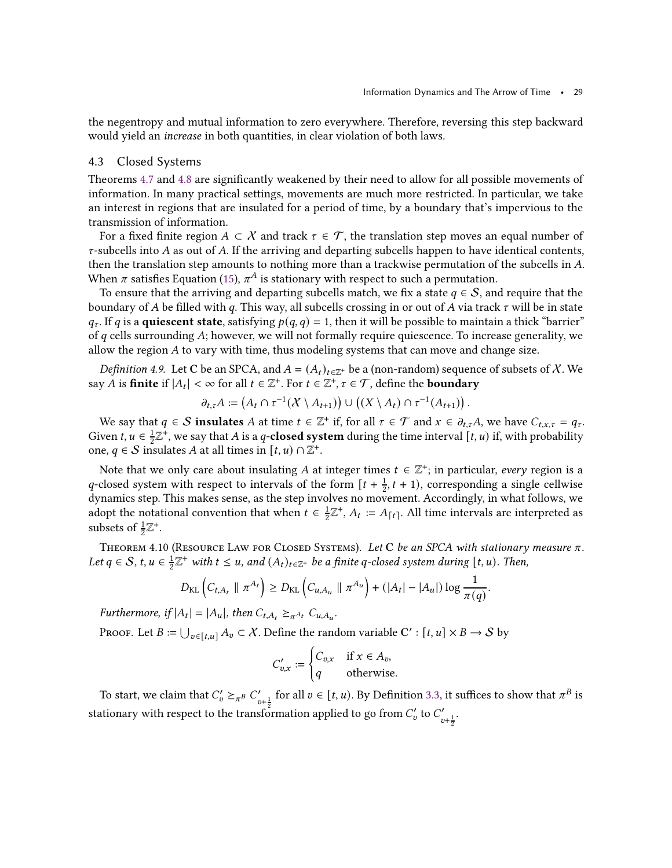the negentropy and mutual information to zero everywhere. Therefore, reversing this step backward would yield an increase in both quantities, in clear violation of both laws.

# 4.3 Closed Systems

Theorems [4.7](#page-27-1) and [4.8](#page-27-0) are significantly weakened by their need to allow for all possible movements of information. In many practical settings, movements are much more restricted. In particular, we take an interest in regions that are insulated for a period of time, by a boundary that's impervious to the transmission of information.

For a fixed finite region  $A \subset \mathcal{X}$  and track  $\tau \in \mathcal{T}$ , the translation step moves an equal number of  $\tau$ -subcells into A as out of A. If the arriving and departing subcells happen to have identical contents, then the translation step amounts to nothing more than a trackwise permutation of the subcells in A. When  $\pi$  satisfies Equation [\(15\)](#page-24-4),  $\pi^A$  is stationary with respect to such a permutation.

To ensure that the arriving and departing subcells match, we fix a state  $q \in S$ , and require that the boundary of A be filled with q. This way, all subcells crossing in or out of A via track  $\tau$  will be in state  $q_{\tau}$ . If q is a **quiescent state**, satisfying  $p(q, q) = 1$ , then it will be possible to maintain a thick "barrier" of  $q$  cells surrounding  $A$ ; however, we will not formally require quiescence. To increase generality, we allow the region  $A$  to vary with time, thus modeling systems that can move and change size.

<span id="page-28-0"></span>*Definition 4.9.* Let C be an SPCA, and  $A = (A_t)_{t \in \mathbb{Z}^+}$  be a (non-random) sequence of subsets of X. We say  $A$  is finite if  $|A_t| < \infty$  for all  $t \in \mathbb{Z}^+$ . For  $t \in \mathbb{Z}^+$ ,  $\tau \in \mathcal{T}$ , define the boundary

$$
\partial_{t,\tau}A:=\left(A_t\cap \tau^{-1}(X\setminus A_{t+1})\right)\cup \left((X\setminus A_t)\cap \tau^{-1}(A_{t+1})\right).
$$

We say that  $q \in S$  insulates A at time  $t \in \mathbb{Z}^+$  if, for all  $\tau \in \mathcal{T}$  and  $x \in \partial_{t,\tau}A$ , we have  $C_{t,x,\tau} = q_{\tau}$ . Given  $t, u \in \frac{1}{2}$  $\frac{1}{2}\mathbb{Z}^+$ , we say that A is a q-**closed system** during the time interval  $[t, u)$  if, with probability one,  $q \in S$  insulates A at all times in  $[t, u) \cap \mathbb{Z}^+$ .

Note that we only care about insulating A at integer times  $t \in \mathbb{Z}^+$ ; in particular, every region is a q-closed system with respect to intervals of the form  $[t + \frac{1}{2}]$  $\frac{1}{2}$ , t + 1), corresponding a single cellwise dynamics step. This makes sense, as the step involves no movement. Accordingly, in what follows, we adopt the notational convention that when  $t \in \frac{1}{2}$  $\frac{1}{2}\mathbb{Z}^+$ ,  $A_t := A_{\lceil t \rceil}$ . All time intervals are interpreted as subsets of  $\frac{1}{2}\mathbb{Z}^+$ .

<span id="page-28-1"></span>THEOREM 4.10 (RESOURCE LAW FOR CLOSED SYSTEMS). Let C be an SPCA with stationary measure  $\pi$ . Let  $q \in \mathcal{S}$ ,  $t, u \in \frac{1}{2}$  $\frac{1}{2}\mathbb{Z}^+$  with  $t \leq u$ , and  $(A_t)_{t \in \mathbb{Z}^+}$  be a finite q-closed system during  $[t, u)$ . Then,

$$
D_{\text{KL}}\left(C_{t,A_t} \parallel \pi^{A_t}\right) \geq D_{\text{KL}}\left(C_{u,A_u} \parallel \pi^{A_u}\right) + \left(|A_t| - |A_u|\right) \log \frac{1}{\pi(q)}.
$$

Furthermore, if  $|A_t| = |A_u|$ , then  $C_{t,A_t} \geq_{\pi^{A_t}} C_{u,A_u}$ .

Proof. Let  $B := \bigcup_{v \in [t,u]} A_v \subset \mathcal{X}$ . Define the random variable  $\mathsf{C}' : [t,u] \times B \to \mathcal{S}$  by

$$
C'_{v,x} := \begin{cases} C_{v,x} & \text{if } x \in A_v, \\ q & \text{otherwise.} \end{cases}
$$

To start, we claim that  $C'_v \geq_{\pi^B} C'_v$  $\int_{v+\frac{1}{2}}^{v}$  for all  $v \in [t, u)$ . By Definition [3.3,](#page-13-3) it suffices to show that  $\pi^B$  is stationary with respect to the transformation applied to go from  $C_v'$  to  $C_n'$  $v + \frac{1}{2}$ .

2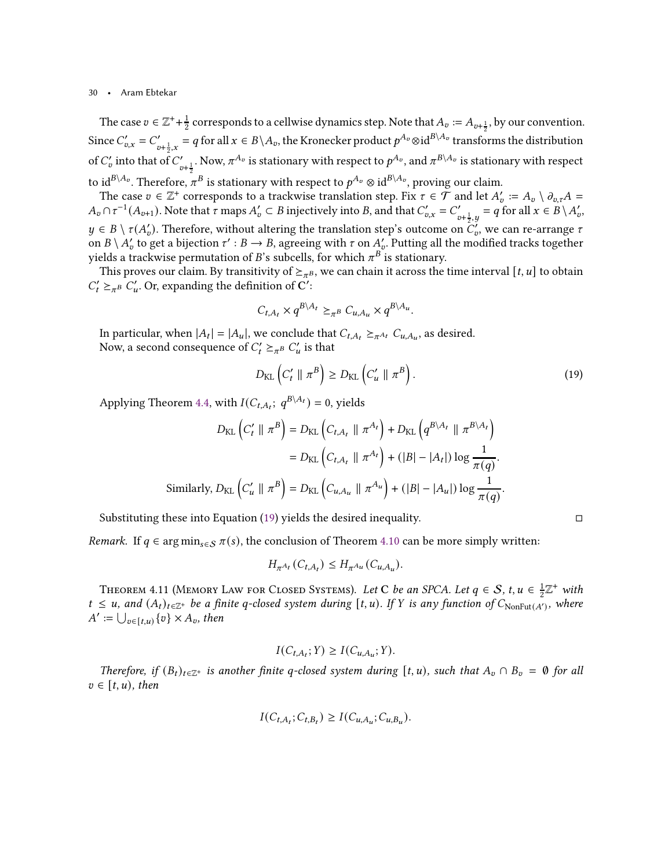The case  $v \in \mathbb{Z}^+$ + $\frac{1}{2}$  $\frac{1}{2}$  corresponds to a cellwise dynamics step. Note that  $A_v := A_{v+\frac{1}{2}}$ , by our convention. Since  $C'_{v,x} = C'_{v+\frac{1}{2},x} = q$  for all  $x \in B \setminus A_v$ , the Kronecker product  $p^{A_v} \otimes id^{B \setminus A_v}$  transformed  $\int_{v+\frac{1}{2},x}^{\prime}=q$  for all  $x\in B\setminus A_v,$  the Kronecker product  $p^{A_v}\otimes {\rm id}^{B\setminus A_v}$  transforms the distribution of  $C'_v$  into that of  $C'_v$  $\int_{v+\frac{1}{2}}^{\prime}$ . Now,  $\pi^{A_v}$  is stationary with respect to  $p^{A_v}$ , and  $\pi^{B\setminus A_v}$  is stationary with respect to id $^{B\setminus A_v}.$  Therefore,  $\pi^B$  is stationary with respect to  $p^{A_v}\otimes\mathrm{id}^{B\setminus A_v},$  proving our claim.

The case  $v \in \mathbb{Z}^+$  corresponds to a trackwise translation step. Fix  $\tau \in \mathcal{T}$  and let  $A'_v := A_v \setminus \partial_{v,\tau} A =$  $A_v \cap \tau^{-1}(A_{v+1})$ . Note that  $\tau$  maps  $A'_v \subset B$  injectively into B, and that  $C'_{v,x} = C'_v$  $y'_{v+\frac{1}{2},y} = q$  for all  $x \in B \setminus A_v'$ ,  $y \in B \setminus \tau(A'_v)$ . Therefore, without altering the translation step's outcome on  $C'_v$ , we can re-arrange  $\tau$ on  $B \setminus A'_v$  to get a bijection  $\tau': B \to B$ , agreeing with  $\tau$  on  $A'_v$ . Putting all the modified tracks together yields a trackwise permutation of  $B$ 's subcells, for which  $\pi^B$  is stationary.

This proves our claim. By transitivity of  $\geq_{\pi^B}$ , we can chain it across the time interval  $[t, u]$  to obtain  $C'_t \geq_{\pi}^B C'_u$ . Or, expanding the definition of C':

$$
C_{t,A_t} \times q^{B \setminus A_t} \geq_{\pi^B} C_{u,A_u} \times q^{B \setminus A_u}.
$$

In particular, when  $|A_t| = |A_u|$ , we conclude that  $C_{t,A_t} \succeq_{\pi^{A_t}} C_{u,A_u}$ , as desired. Now, a second consequence of  $C_t' \geq_{\pi^B} C_u'$  is that

<span id="page-29-1"></span>
$$
D_{\text{KL}}\left(C'_t \parallel \pi^B\right) \ge D_{\text{KL}}\left(C'_u \parallel \pi^B\right). \tag{19}
$$

Applying Theorem [4.4,](#page-25-3) with  $I(C_{t, A_t}; q^{B \setminus A_t}) = 0$ , yields

$$
D_{\text{KL}}\left(C'_{t} \parallel \pi^{B}\right) = D_{\text{KL}}\left(C_{t,A_{t}} \parallel \pi^{A_{t}}\right) + D_{\text{KL}}\left(q^{B\setminus A_{t}} \parallel \pi^{B\setminus A_{t}}\right)
$$

$$
= D_{\text{KL}}\left(C_{t,A_{t}} \parallel \pi^{A_{t}}\right) + (|B| - |A_{t}|) \log \frac{1}{\pi(q)}.
$$
Similarly,  $D_{\text{KL}}\left(C'_{u} \parallel \pi^{B}\right) = D_{\text{KL}}\left(C_{u,A_{u}} \parallel \pi^{A_{u}}\right) + (|B| - |A_{u}|) \log \frac{1}{\pi(q)}.$ 

Substituting these into Equation [\(19\)](#page-29-1) yields the desired inequality.  $\Box$ 

Remark. If  $q \in \arg\min_{s \in S} \pi(s)$ , the conclusion of Theorem [4.10](#page-28-1) can be more simply written:

$$
H_{\pi^{A_t}}(C_{t,A_t}) \le H_{\pi^{A_u}}(C_{u,A_u}).
$$

<span id="page-29-0"></span>THEOREM 4.11 (MEMORY LAW FOR CLOSED SYSTEMS). Let C be an SPCA. Let  $q \in S$ ,  $t, u \in \frac{1}{2}$  $\frac{1}{2}\mathbb{Z}^+$  with  $t \le u$ , and  $(A_t)_{t \in \mathbb{Z}^+}$  be a finite q-closed system during  $[t, u)$ . If Y is any function of  $C_{\text{NonFut}(A')}$ , where  $A' := \bigcup_{v \in [t,u)} \{v\} \times A_v$ , then

$$
I(C_{t,A_t};Y) \geq I(C_{u,A_u};Y).
$$

Therefore, if  $(B_t)_{t\in\mathbb{Z}^+}$  is another finite q-closed system during  $[t, u)$ , such that  $A_v \cap B_v = \emptyset$  for all  $v \in [t, u)$ , then

$$
I(C_{t,A_t}; C_{t,B_t}) \geq I(C_{u,A_u}; C_{u,B_u}).
$$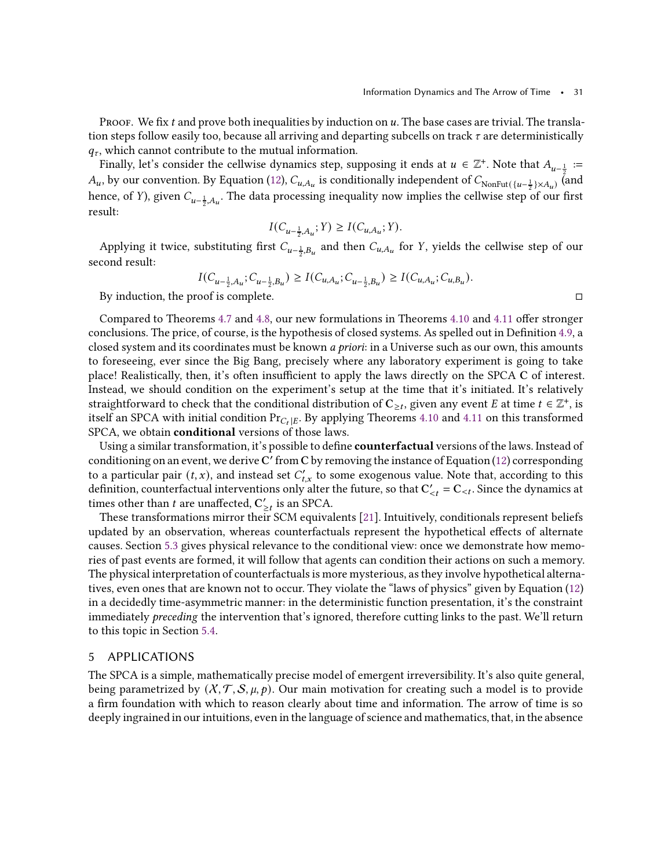PROOF. We fix  $t$  and prove both inequalities by induction on  $u$ . The base cases are trivial. The translation steps follow easily too, because all arriving and departing subcells on track  $\tau$  are deterministically  $q_{\tau}$ , which cannot contribute to the mutual information.

Finally, let's consider the cellwise dynamics step, supposing it ends at  $u \in \mathbb{Z}^+$ . Note that  $A_{u-\frac{1}{2}} :=$  $A_u$ , by our convention. By Equation [\(12\)](#page-24-3),  $C_{u,A_u}$  is conditionally independent of  $C_{\text{NonFut}({u-\frac{1}{2}}) \times A_u}$  (and hence, of *Y*), given  $C_{u-\frac{1}{2},A_u}$ . The data processing inequality now implies the cellwise step of our first result:

$$
I(C_{u-\frac{1}{2},A_u};Y) \ge I(C_{u,A_u};Y).
$$

Applying it twice, substituting first  $C_{u-\frac{1}{2},B_u}$  and then  $C_{u,A_u}$  for Y, yields the cellwise step of our second result:

$$
I(C_{u-\frac{1}{2},A_u}; C_{u-\frac{1}{2},B_u}) \ge I(C_{u,A_u}; C_{u-\frac{1}{2},B_u}) \ge I(C_{u,A_u}; C_{u,B_u}).
$$

By induction, the proof is complete.

Compared to Theorems [4.7](#page-27-1) and [4.8,](#page-27-0) our new formulations in Theorems [4.10](#page-28-1) and [4.11](#page-29-0) offer stronger conclusions. The price, of course, is the hypothesis of closed systems. As spelled out in Definition [4.9,](#page-28-0) a closed system and its coordinates must be known *a priori*: in a Universe such as our own, this amounts to foreseeing, ever since the Big Bang, precisely where any laboratory experiment is going to take place! Realistically, then, it's often insufficient to apply the laws directly on the SPCA C of interest. Instead, we should condition on the experiment's setup at the time that it's initiated. It's relatively straightforward to check that the conditional distribution of  $C_{\geq t}$ , given any event  $E$  at time  $t\in\mathbb{Z}^+$ , is itself an SPCA with initial condition  $Pr_{C_I|E}$ . By applying Theorems [4.10](#page-28-1) and [4.11](#page-29-0) on this transformed SPCA, we obtain conditional versions of those laws.

Using a similar transformation, it's possible to define **counterfactual** versions of the laws. Instead of conditioning on an event, we derive  $\overline{\text{C}}'$  from  $\overline{\text{C}}$  by removing the instance of Equation [\(12\)](#page-24-3) corresponding to a particular pair  $(t, x)$ , and instead set  $C'_{t, x}$  to some exogenous value. Note that, according to this definition, counterfactual interventions only alter the future, so that  $C'_{\leq t} = C_{\leq t}$ . Since the dynamics at times other than *t* are unaffected,  $C'_{\geq t}$  is an SPCA.

These transformations mirror their SCM equivalents [\[21](#page-43-1)]. Intuitively, conditionals represent beliefs updated by an observation, whereas counterfactuals represent the hypothetical effects of alternate causes. Section [5.3](#page-34-0) gives physical relevance to the conditional view: once we demonstrate how memories of past events are formed, it will follow that agents can condition their actions on such a memory. The physical interpretation of counterfactuals is more mysterious, as they involve hypothetical alternatives, even ones that are known not to occur. They violate the "laws of physics" given by Equation [\(12\)](#page-24-3) in a decidedly time-asymmetric manner: in the deterministic function presentation, it's the constraint immediately *preceding* the intervention that's ignored, therefore cutting links to the past. We'll return to this topic in Section [5.4.](#page-35-0)

# <span id="page-30-0"></span>5 APPLICATIONS

The SPCA is a simple, mathematically precise model of emergent irreversibility. It's also quite general, being parametrized by  $(X, \mathcal{T}, \mathcal{S}, \mu, p)$ . Our main motivation for creating such a model is to provide a firm foundation with which to reason clearly about time and information. The arrow of time is so deeply ingrained in our intuitions, even in the language of science and mathematics, that, in the absence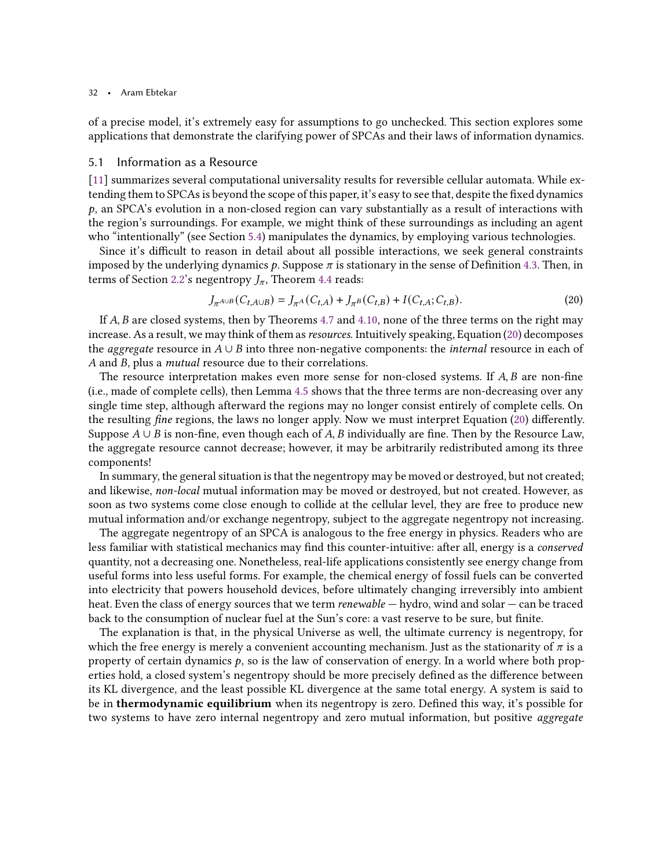of a precise model, it's extremely easy for assumptions to go unchecked. This section explores some applications that demonstrate the clarifying power of SPCAs and their laws of information dynamics.

# <span id="page-31-0"></span>5.1 Information as a Resource

[\[11\]](#page-42-10) summarizes several computational universality results for reversible cellular automata. While extending them to SPCAs is beyond the scope of this paper, it's easy to see that, despite the fixed dynamics  $p$ , an SPCA's evolution in a non-closed region can vary substantially as a result of interactions with the region's surroundings. For example, we might think of these surroundings as including an agent who "intentionally" (see Section [5.4\)](#page-35-0) manipulates the dynamics, by employing various technologies.

Since it's difficult to reason in detail about all possible interactions, we seek general constraints imposed by the underlying dynamics  $p$ . Suppose  $\pi$  is stationary in the sense of Definition [4.3.](#page-24-5) Then, in terms of Section [2.2'](#page-8-0)s negentropy  $J_{\pi}$ , Theorem [4.4](#page-25-3) reads:

<span id="page-31-1"></span>
$$
J_{\pi^{A \cup B}}(C_{t,A \cup B}) = J_{\pi^{A}}(C_{t,A}) + J_{\pi^{B}}(C_{t,B}) + I(C_{t,A}; C_{t,B}).
$$
\n(20)

If  $A$ ,  $B$  are closed systems, then by Theorems [4.7](#page-27-1) and [4.10,](#page-28-1) none of the three terms on the right may increase. As a result, we may think of them as resources. Intuitively speaking, Equation [\(20\)](#page-31-1) decomposes the *aggregate* resource in  $A \cup B$  into three non-negative components: the *internal* resource in each of A and B, plus a *mutual* resource due to their correlations.

The resource interpretation makes even more sense for non-closed systems. If  $A, B$  are non-fine (i.e., made of complete cells), then Lemma [4.5](#page-25-2) shows that the three terms are non-decreasing over any single time step, although afterward the regions may no longer consist entirely of complete cells. On the resulting fine regions, the laws no longer apply. Now we must interpret Equation [\(20\)](#page-31-1) differently. Suppose  $A \cup B$  is non-fine, even though each of A, B individually are fine. Then by the Resource Law, the aggregate resource cannot decrease; however, it may be arbitrarily redistributed among its three components!

In summary, the general situation is that the negentropy may be moved or destroyed, but not created; and likewise, non-local mutual information may be moved or destroyed, but not created. However, as soon as two systems come close enough to collide at the cellular level, they are free to produce new mutual information and/or exchange negentropy, subject to the aggregate negentropy not increasing.

The aggregate negentropy of an SPCA is analogous to the free energy in physics. Readers who are less familiar with statistical mechanics may find this counter-intuitive: after all, energy is a conserved quantity, not a decreasing one. Nonetheless, real-life applications consistently see energy change from useful forms into less useful forms. For example, the chemical energy of fossil fuels can be converted into electricity that powers household devices, before ultimately changing irreversibly into ambient heat. Even the class of energy sources that we term *renewable* — hydro, wind and solar — can be traced back to the consumption of nuclear fuel at the Sun's core: a vast reserve to be sure, but finite.

The explanation is that, in the physical Universe as well, the ultimate currency is negentropy, for which the free energy is merely a convenient accounting mechanism. Just as the stationarity of  $\pi$  is a property of certain dynamics  $p$ , so is the law of conservation of energy. In a world where both properties hold, a closed system's negentropy should be more precisely defined as the difference between its KL divergence, and the least possible KL divergence at the same total energy. A system is said to be in thermodynamic equilibrium when its negentropy is zero. Defined this way, it's possible for two systems to have zero internal negentropy and zero mutual information, but positive aggregate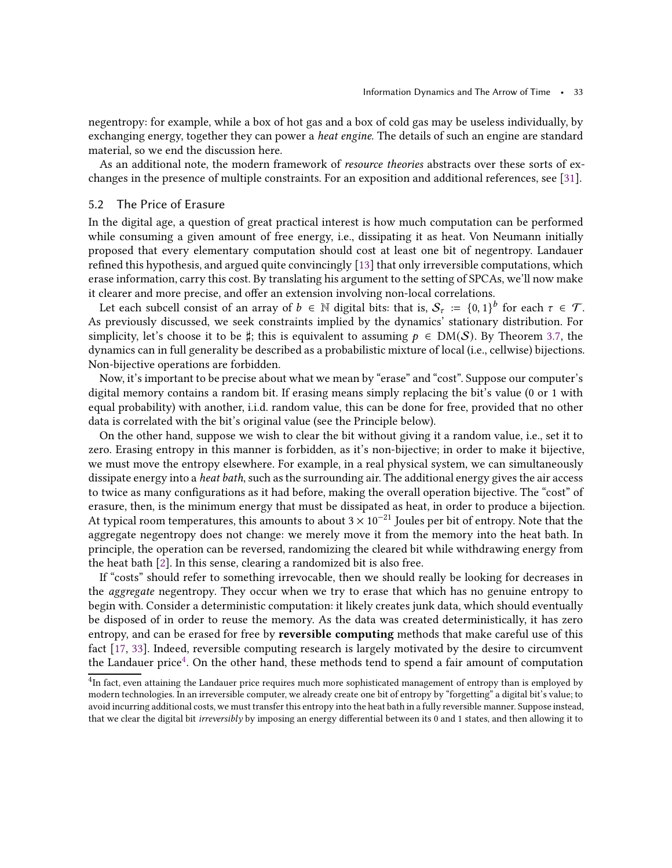negentropy: for example, while a box of hot gas and a box of cold gas may be useless individually, by exchanging energy, together they can power a *heat engine*. The details of such an engine are standard material, so we end the discussion here.

As an additional note, the modern framework of resource theories abstracts over these sorts of exchanges in the presence of multiple constraints. For an exposition and additional references, see [\[31](#page-43-9)].

# <span id="page-32-1"></span>5.2 The Price of Erasure

In the digital age, a question of great practical interest is how much computation can be performed while consuming a given amount of free energy, i.e., dissipating it as heat. Von Neumann initially proposed that every elementary computation should cost at least one bit of negentropy. Landauer refined this hypothesis, and argued quite convincingly [\[13](#page-42-13)] that only irreversible computations, which erase information, carry this cost. By translating his argument to the setting of SPCAs, we'll now make it clearer and more precise, and offer an extension involving non-local correlations.

Let each subcell consist of an array of  $b \in \mathbb{N}$  digital bits: that is,  $\mathcal{S}_{\tau} := \{0,1\}^{b}$  for each  $\tau \in \mathcal{T}$ . As previously discussed, we seek constraints implied by the dynamics' stationary distribution. For simplicity, let's choose it to be  $\sharp$ ; this is equivalent to assuming  $p \in DM(S)$ . By Theorem [3.7,](#page-16-0) the dynamics can in full generality be described as a probabilistic mixture of local (i.e., cellwise) bijections. Non-bijective operations are forbidden.

Now, it's important to be precise about what we mean by "erase" and "cost". Suppose our computer's digital memory contains a random bit. If erasing means simply replacing the bit's value (0 or 1 with equal probability) with another, i.i.d. random value, this can be done for free, provided that no other data is correlated with the bit's original value (see the Principle below).

On the other hand, suppose we wish to clear the bit without giving it a random value, i.e., set it to zero. Erasing entropy in this manner is forbidden, as it's non-bijective; in order to make it bijective, we must move the entropy elsewhere. For example, in a real physical system, we can simultaneously dissipate energy into a *heat bath*, such as the surrounding air. The additional energy gives the air access to twice as many configurations as it had before, making the overall operation bijective. The "cost" of erasure, then, is the minimum energy that must be dissipated as heat, in order to produce a bijection. At typical room temperatures, this amounts to about  $3 \times 10^{-21}$  Joules per bit of entropy. Note that the aggregate negentropy does not change: we merely move it from the memory into the heat bath. In principle, the operation can be reversed, randomizing the cleared bit while withdrawing energy from the heat bath [\[2\]](#page-42-4). In this sense, clearing a randomized bit is also free.

If "costs" should refer to something irrevocable, then we should really be looking for decreases in the aggregate negentropy. They occur when we try to erase that which has no genuine entropy to begin with. Consider a deterministic computation: it likely creates junk data, which should eventually be disposed of in order to reuse the memory. As the data was created deterministically, it has zero entropy, and can be erased for free by reversible computing methods that make careful use of this fact [\[17](#page-42-19), [33](#page-43-10)]. Indeed, reversible computing research is largely motivated by the desire to circumvent the Landauer price $^4$  $^4$ . On the other hand, these methods tend to spend a fair amount of computation

<span id="page-32-0"></span><sup>&</sup>lt;sup>4</sup>In fact, even attaining the Landauer price requires much more sophisticated management of entropy than is employed by modern technologies. In an irreversible computer, we already create one bit of entropy by "forgetting" a digital bit's value; to avoid incurring additional costs, we must transfer this entropy into the heat bath in a fully reversible manner. Suppose instead, that we clear the digital bit irreversibly by imposing an energy differential between its 0 and 1 states, and then allowing it to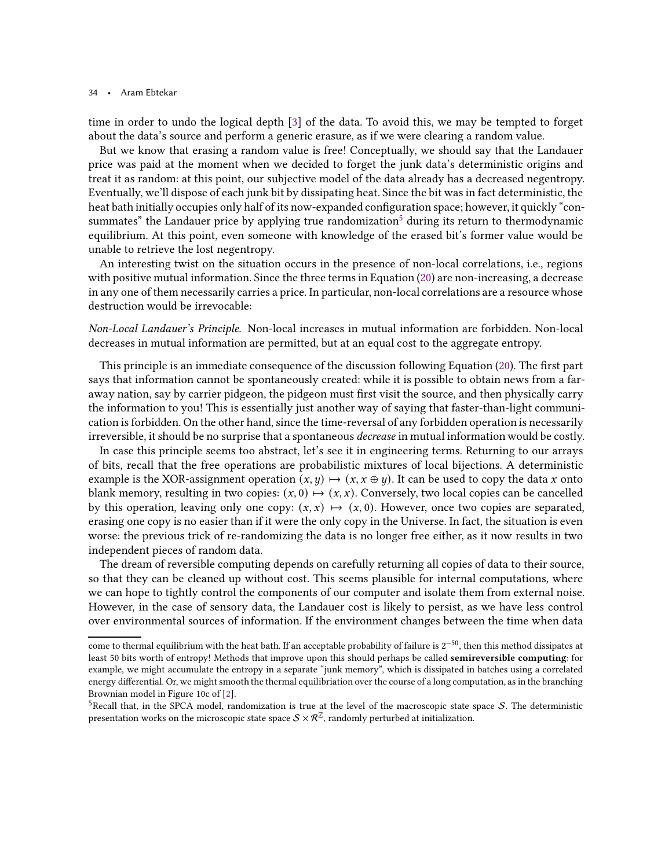time in order to undo the logical depth [\[3](#page-42-14)] of the data. To avoid this, we may be tempted to forget about the data's source and perform a generic erasure, as if we were clearing a random value.

But we know that erasing a random value is free! Conceptually, we should say that the Landauer price was paid at the moment when we decided to forget the junk data's deterministic origins and treat it as random: at this point, our subjective model of the data already has a decreased negentropy. Eventually, we'll dispose of each junk bit by dissipating heat. Since the bit was in fact deterministic, the heat bath initially occupies only half of its now-expanded configuration space; however, it quickly "con-summates" the Landauer price by applying true randomization<sup>[5](#page-33-0)</sup> during its return to thermodynamic equilibrium. At this point, even someone with knowledge of the erased bit's former value would be unable to retrieve the lost negentropy.

An interesting twist on the situation occurs in the presence of non-local correlations, i.e., regions with positive mutual information. Since the three terms in Equation [\(20\)](#page-31-1) are non-increasing, a decrease in any one of them necessarily carries a price. In particular, non-local correlations are a resource whose destruction would be irrevocable:

Non-Local Landauer's Principle. Non-local increases in mutual information are forbidden. Non-local decreases in mutual information are permitted, but at an equal cost to the aggregate entropy.

This principle is an immediate consequence of the discussion following Equation [\(20\)](#page-31-1). The first part says that information cannot be spontaneously created: while it is possible to obtain news from a faraway nation, say by carrier pidgeon, the pidgeon must first visit the source, and then physically carry the information to you! This is essentially just another way of saying that faster-than-light communication is forbidden. On the other hand, since the time-reversal of any forbidden operation is necessarily irreversible, it should be no surprise that a spontaneous *decrease* in mutual information would be costly.

In case this principle seems too abstract, let's see it in engineering terms. Returning to our arrays of bits, recall that the free operations are probabilistic mixtures of local bijections. A deterministic example is the XOR-assignment operation  $(x, y) \mapsto (x, x \oplus y)$ . It can be used to copy the data x onto blank memory, resulting in two copies:  $(x, 0) \mapsto (x, x)$ . Conversely, two local copies can be cancelled by this operation, leaving only one copy:  $(x, x) \mapsto (x, 0)$ . However, once two copies are separated, erasing one copy is no easier than if it were the only copy in the Universe. In fact, the situation is even worse: the previous trick of re-randomizing the data is no longer free either, as it now results in two independent pieces of random data.

The dream of reversible computing depends on carefully returning all copies of data to their source, so that they can be cleaned up without cost. This seems plausible for internal computations, where we can hope to tightly control the components of our computer and isolate them from external noise. However, in the case of sensory data, the Landauer cost is likely to persist, as we have less control over environmental sources of information. If the environment changes between the time when data

come to thermal equilibrium with the heat bath. If an acceptable probability of failure is 2−50, then this method dissipates at least 50 bits worth of entropy! Methods that improve upon this should perhaps be called semireversible computing: for example, we might accumulate the entropy in a separate "junk memory", which is dissipated in batches using a correlated energy differential. Or, we might smooth the thermal equilibriation over the course of a long computation, as in the branching Brownian model in Figure 10c of [\[2](#page-42-4)].

<span id="page-33-0"></span><sup>&</sup>lt;sup>5</sup>Recall that, in the SPCA model, randomization is true at the level of the macroscopic state space S. The deterministic presentation works on the microscopic state space  $S \times \mathcal{R}^{\mathbb{Z}}$ , randomly perturbed at initialization.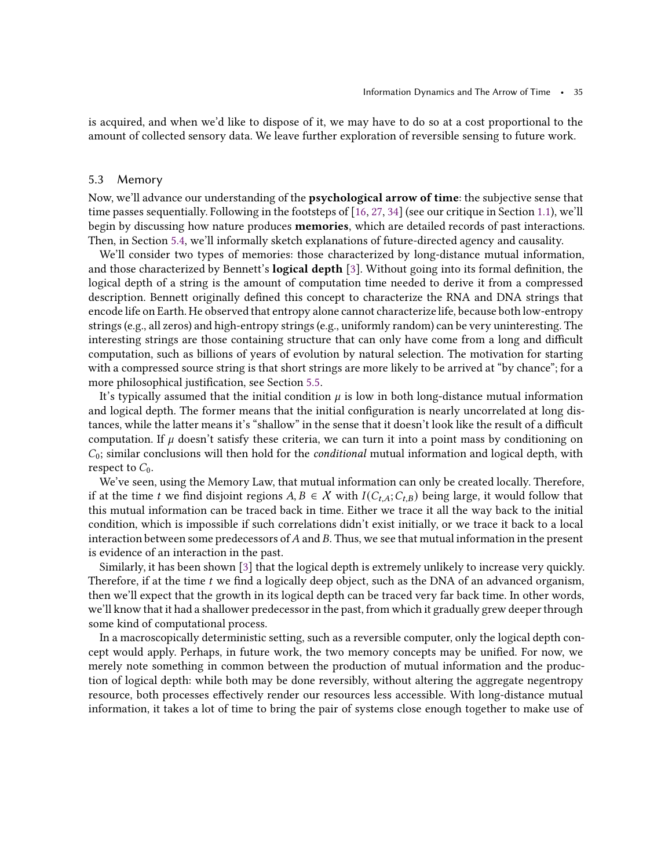is acquired, and when we'd like to dispose of it, we may have to do so at a cost proportional to the amount of collected sensory data. We leave further exploration of reversible sensing to future work.

# <span id="page-34-0"></span>5.3 Memory

Now, we'll advance our understanding of the psychological arrow of time: the subjective sense that time passes sequentially. Following in the footsteps of [\[16,](#page-42-5) [27,](#page-43-3) [34](#page-43-2)] (see our critique in Section [1.1\)](#page-1-1), we'll begin by discussing how nature produces **memories**, which are detailed records of past interactions. Then, in Section [5.4,](#page-35-0) we'll informally sketch explanations of future-directed agency and causality.

We'll consider two types of memories: those characterized by long-distance mutual information, and those characterized by Bennett's logical depth [\[3](#page-42-14)]. Without going into its formal definition, the logical depth of a string is the amount of computation time needed to derive it from a compressed description. Bennett originally defined this concept to characterize the RNA and DNA strings that encode life on Earth. He observed that entropy alone cannot characterize life, because both low-entropy strings (e.g., all zeros) and high-entropy strings (e.g., uniformly random) can be very uninteresting. The interesting strings are those containing structure that can only have come from a long and difficult computation, such as billions of years of evolution by natural selection. The motivation for starting with a compressed source string is that short strings are more likely to be arrived at "by chance"; for a more philosophical justification, see Section [5.5.](#page-37-0)

It's typically assumed that the initial condition  $\mu$  is low in both long-distance mutual information and logical depth. The former means that the initial configuration is nearly uncorrelated at long distances, while the latter means it's "shallow" in the sense that it doesn't look like the result of a difficult computation. If  $\mu$  doesn't satisfy these criteria, we can turn it into a point mass by conditioning on  $C_0$ ; similar conclusions will then hold for the *conditional* mutual information and logical depth, with respect to  $C_0$ .

We've seen, using the Memory Law, that mutual information can only be created locally. Therefore, if at the time t we find disjoint regions  $A, B \in \mathcal{X}$  with  $I(C_{t,A}; C_{t,B})$  being large, it would follow that this mutual information can be traced back in time. Either we trace it all the way back to the initial condition, which is impossible if such correlations didn't exist initially, or we trace it back to a local interaction between some predecessors of  $A$  and  $B$ . Thus, we see that mutual information in the present is evidence of an interaction in the past.

Similarly, it has been shown [\[3](#page-42-14)] that the logical depth is extremely unlikely to increase very quickly. Therefore, if at the time  $t$  we find a logically deep object, such as the DNA of an advanced organism, then we'll expect that the growth in its logical depth can be traced very far back time. In other words, we'll know that it had a shallower predecessor in the past, from which it gradually grew deeper through some kind of computational process.

In a macroscopically deterministic setting, such as a reversible computer, only the logical depth concept would apply. Perhaps, in future work, the two memory concepts may be unified. For now, we merely note something in common between the production of mutual information and the production of logical depth: while both may be done reversibly, without altering the aggregate negentropy resource, both processes effectively render our resources less accessible. With long-distance mutual information, it takes a lot of time to bring the pair of systems close enough together to make use of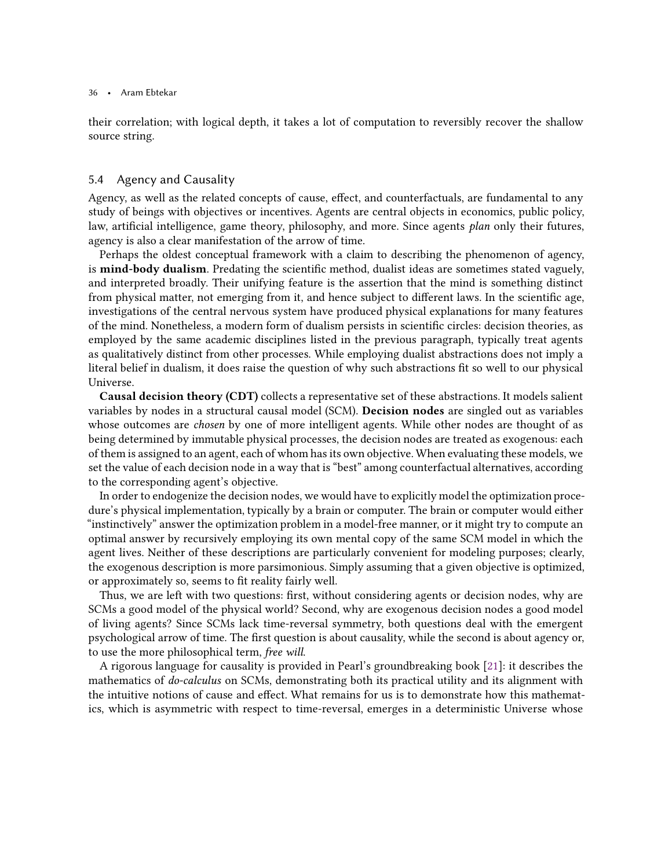their correlation; with logical depth, it takes a lot of computation to reversibly recover the shallow source string.

# <span id="page-35-0"></span>5.4 Agency and Causality

Agency, as well as the related concepts of cause, effect, and counterfactuals, are fundamental to any study of beings with objectives or incentives. Agents are central objects in economics, public policy, law, artificial intelligence, game theory, philosophy, and more. Since agents plan only their futures, agency is also a clear manifestation of the arrow of time.

Perhaps the oldest conceptual framework with a claim to describing the phenomenon of agency, is mind-body dualism. Predating the scientific method, dualist ideas are sometimes stated vaguely, and interpreted broadly. Their unifying feature is the assertion that the mind is something distinct from physical matter, not emerging from it, and hence subject to different laws. In the scientific age, investigations of the central nervous system have produced physical explanations for many features of the mind. Nonetheless, a modern form of dualism persists in scientific circles: decision theories, as employed by the same academic disciplines listed in the previous paragraph, typically treat agents as qualitatively distinct from other processes. While employing dualist abstractions does not imply a literal belief in dualism, it does raise the question of why such abstractions fit so well to our physical Universe.

Causal decision theory (CDT) collects a representative set of these abstractions. It models salient variables by nodes in a structural causal model (SCM). Decision nodes are singled out as variables whose outcomes are *chosen* by one of more intelligent agents. While other nodes are thought of as being determined by immutable physical processes, the decision nodes are treated as exogenous: each of them is assigned to an agent, each of whom has its own objective. When evaluating these models, we set the value of each decision node in a way that is "best" among counterfactual alternatives, according to the corresponding agent's objective.

In order to endogenize the decision nodes, we would have to explicitly model the optimization procedure's physical implementation, typically by a brain or computer. The brain or computer would either "instinctively" answer the optimization problem in a model-free manner, or it might try to compute an optimal answer by recursively employing its own mental copy of the same SCM model in which the agent lives. Neither of these descriptions are particularly convenient for modeling purposes; clearly, the exogenous description is more parsimonious. Simply assuming that a given objective is optimized, or approximately so, seems to fit reality fairly well.

Thus, we are left with two questions: first, without considering agents or decision nodes, why are SCMs a good model of the physical world? Second, why are exogenous decision nodes a good model of living agents? Since SCMs lack time-reversal symmetry, both questions deal with the emergent psychological arrow of time. The first question is about causality, while the second is about agency or, to use the more philosophical term, free will.

A rigorous language for causality is provided in Pearl's groundbreaking book [\[21](#page-43-1)]: it describes the mathematics of do-calculus on SCMs, demonstrating both its practical utility and its alignment with the intuitive notions of cause and effect. What remains for us is to demonstrate how this mathematics, which is asymmetric with respect to time-reversal, emerges in a deterministic Universe whose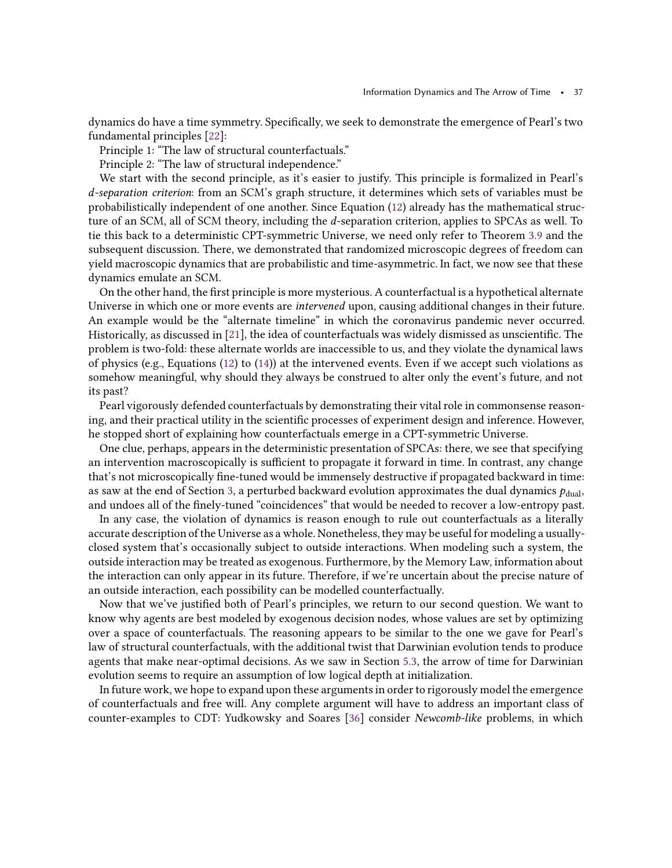dynamics do have a time symmetry. Specifically, we seek to demonstrate the emergence of Pearl's two fundamental principles [\[22](#page-43-11)]:

Principle 1: "The law of structural counterfactuals."

Principle 2: "The law of structural independence."

We start with the second principle, as it's easier to justify. This principle is formalized in Pearl's d-separation criterion: from an SCM's graph structure, it determines which sets of variables must be probabilistically independent of one another. Since Equation [\(12\)](#page-24-3) already has the mathematical structure of an SCM, all of SCM theory, including the *d*-separation criterion, applies to SPCAs as well. To tie this back to a deterministic CPT-symmetric Universe, we need only refer to Theorem [3.9](#page-17-1) and the subsequent discussion. There, we demonstrated that randomized microscopic degrees of freedom can yield macroscopic dynamics that are probabilistic and time-asymmetric. In fact, we now see that these dynamics emulate an SCM.

On the other hand, the first principle is more mysterious. A counterfactual is a hypothetical alternate Universe in which one or more events are *intervened* upon, causing additional changes in their future. An example would be the "alternate timeline" in which the coronavirus pandemic never occurred. Historically, as discussed in [\[21\]](#page-43-1), the idea of counterfactuals was widely dismissed as unscientific. The problem is two-fold: these alternate worlds are inaccessible to us, and they violate the dynamical laws of physics (e.g., Equations [\(12\)](#page-24-3) to [\(14\)](#page-24-1)) at the intervened events. Even if we accept such violations as somehow meaningful, why should they always be construed to alter only the event's future, and not its past?

Pearl vigorously defended counterfactuals by demonstrating their vital role in commonsense reasoning, and their practical utility in the scientific processes of experiment design and inference. However, he stopped short of explaining how counterfactuals emerge in a CPT-symmetric Universe.

One clue, perhaps, appears in the deterministic presentation of SPCAs: there, we see that specifying an intervention macroscopically is sufficient to propagate it forward in time. In contrast, any change that's not microscopically fine-tuned would be immensely destructive if propagated backward in time: as saw at the end of Section [3,](#page-11-0) a perturbed backward evolution approximates the dual dynamics  $p_{\text{dual}}$ , and undoes all of the finely-tuned "coincidences" that would be needed to recover a low-entropy past.

In any case, the violation of dynamics is reason enough to rule out counterfactuals as a literally accurate description of the Universe as a whole. Nonetheless, they may be useful for modeling a usuallyclosed system that's occasionally subject to outside interactions. When modeling such a system, the outside interaction may be treated as exogenous. Furthermore, by the Memory Law, information about the interaction can only appear in its future. Therefore, if we're uncertain about the precise nature of an outside interaction, each possibility can be modelled counterfactually.

Now that we've justified both of Pearl's principles, we return to our second question. We want to know why agents are best modeled by exogenous decision nodes, whose values are set by optimizing over a space of counterfactuals. The reasoning appears to be similar to the one we gave for Pearl's law of structural counterfactuals, with the additional twist that Darwinian evolution tends to produce agents that make near-optimal decisions. As we saw in Section [5.3,](#page-34-0) the arrow of time for Darwinian evolution seems to require an assumption of low logical depth at initialization.

In future work, we hope to expand upon these arguments in order to rigorously model the emergence of counterfactuals and free will. Any complete argument will have to address an important class of counter-examples to CDT: Yudkowsky and Soares [\[36](#page-43-7)] consider Newcomb-like problems, in which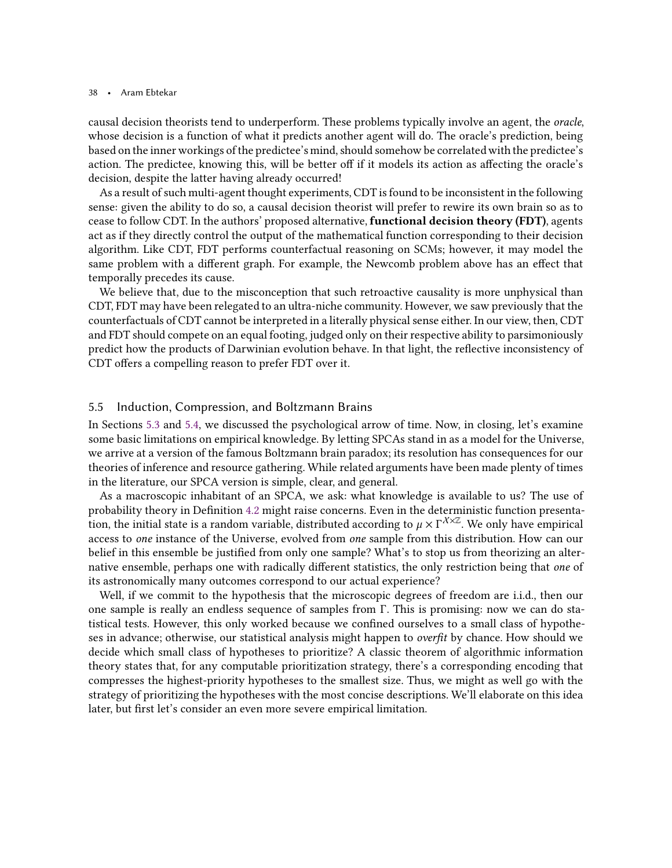causal decision theorists tend to underperform. These problems typically involve an agent, the oracle, whose decision is a function of what it predicts another agent will do. The oracle's prediction, being based on the inner workings of the predictee's mind, should somehow be correlated with the predictee's action. The predictee, knowing this, will be better off if it models its action as affecting the oracle's decision, despite the latter having already occurred!

As a result of such multi-agent thought experiments, CDT is found to be inconsistent in the following sense: given the ability to do so, a causal decision theorist will prefer to rewire its own brain so as to cease to follow CDT. In the authors' proposed alternative, **functional decision theory (FDT)**, agents act as if they directly control the output of the mathematical function corresponding to their decision algorithm. Like CDT, FDT performs counterfactual reasoning on SCMs; however, it may model the same problem with a different graph. For example, the Newcomb problem above has an effect that temporally precedes its cause.

We believe that, due to the misconception that such retroactive causality is more unphysical than CDT, FDT may have been relegated to an ultra-niche community. However, we saw previously that the counterfactuals of CDT cannot be interpreted in a literally physical sense either. In our view, then, CDT and FDT should compete on an equal footing, judged only on their respective ability to parsimoniously predict how the products of Darwinian evolution behave. In that light, the reflective inconsistency of CDT offers a compelling reason to prefer FDT over it.

## <span id="page-37-0"></span>5.5 Induction, Compression, and Boltzmann Brains

In Sections [5.3](#page-34-0) and [5.4,](#page-35-0) we discussed the psychological arrow of time. Now, in closing, let's examine some basic limitations on empirical knowledge. By letting SPCAs stand in as a model for the Universe, we arrive at a version of the famous Boltzmann brain paradox; its resolution has consequences for our theories of inference and resource gathering. While related arguments have been made plenty of times in the literature, our SPCA version is simple, clear, and general.

As a macroscopic inhabitant of an SPCA, we ask: what knowledge is available to us? The use of probability theory in Definition [4.2](#page-24-0) might raise concerns. Even in the deterministic function presentation, the initial state is a random variable, distributed according to  $\mu \times \Gamma^{X \times \mathbb{Z}}$ . We only have empirical access to one instance of the Universe, evolved from one sample from this distribution. How can our belief in this ensemble be justified from only one sample? What's to stop us from theorizing an alternative ensemble, perhaps one with radically different statistics, the only restriction being that one of its astronomically many outcomes correspond to our actual experience?

Well, if we commit to the hypothesis that the microscopic degrees of freedom are i.i.d., then our one sample is really an endless sequence of samples from Γ. This is promising: now we can do statistical tests. However, this only worked because we confined ourselves to a small class of hypotheses in advance; otherwise, our statistical analysis might happen to overfit by chance. How should we decide which small class of hypotheses to prioritize? A classic theorem of algorithmic information theory states that, for any computable prioritization strategy, there's a corresponding encoding that compresses the highest-priority hypotheses to the smallest size. Thus, we might as well go with the strategy of prioritizing the hypotheses with the most concise descriptions. We'll elaborate on this idea later, but first let's consider an even more severe empirical limitation.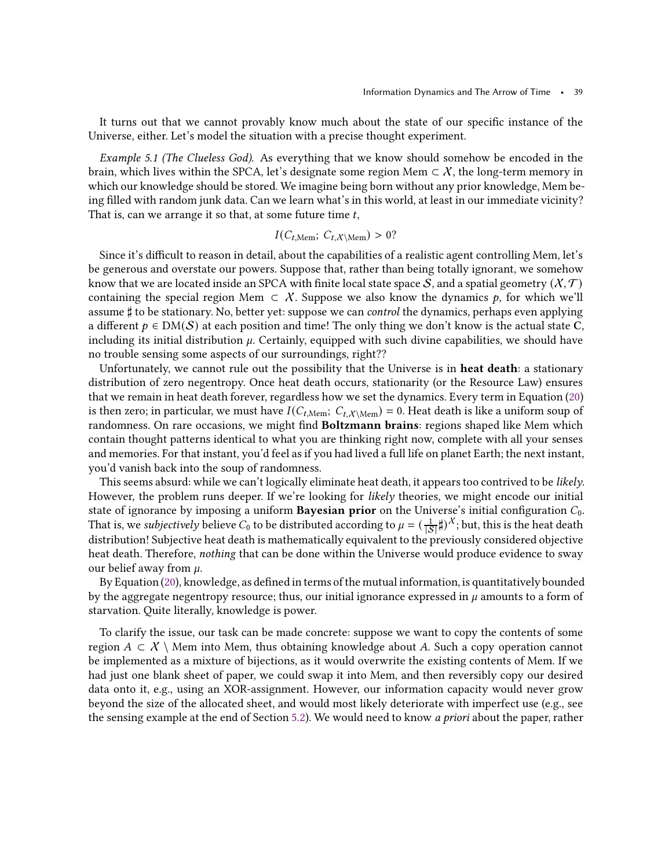It turns out that we cannot provably know much about the state of our specific instance of the Universe, either. Let's model the situation with a precise thought experiment.

Example 5.1 (The Clueless God). As everything that we know should somehow be encoded in the brain, which lives within the SPCA, let's designate some region Mem  $\subset X$ , the long-term memory in which our knowledge should be stored. We imagine being born without any prior knowledge, Mem being filled with random junk data. Can we learn what's in this world, at least in our immediate vicinity? That is, can we arrange it so that, at some future time  $t$ ,

# $I(C_{t, \text{Mem}}; C_{t, \text{X}\setminus\text{Mem}}) > 0?$

Since it's difficult to reason in detail, about the capabilities of a realistic agent controlling Mem, let's be generous and overstate our powers. Suppose that, rather than being totally ignorant, we somehow know that we are located inside an SPCA with finite local state space S, and a spatial geometry  $(X, \mathcal{T})$ containing the special region Mem  $\subset X$ . Suppose we also know the dynamics p, for which we'll assume ♯ to be stationary. No, better yet: suppose we can control the dynamics, perhaps even applying a different  $p \in DM(S)$  at each position and time! The only thing we don't know is the actual state C, including its initial distribution  $\mu$ . Certainly, equipped with such divine capabilities, we should have no trouble sensing some aspects of our surroundings, right??

Unfortunately, we cannot rule out the possibility that the Universe is in **heat death**: a stationary distribution of zero negentropy. Once heat death occurs, stationarity (or the Resource Law) ensures that we remain in heat death forever, regardless how we set the dynamics. Every term in Equation [\(20\)](#page-31-1) is then zero; in particular, we must have  $I(C_{t,\text{Mem}}; C_{t,\text{X}\setminus\text{Mem}}) = 0$ . Heat death is like a uniform soup of randomness. On rare occasions, we might find **Boltzmann brains**: regions shaped like Mem which contain thought patterns identical to what you are thinking right now, complete with all your senses and memories. For that instant, you'd feel as if you had lived a full life on planet Earth; the next instant, you'd vanish back into the soup of randomness.

This seems absurd: while we can't logically eliminate heat death, it appears too contrived to be likely. However, the problem runs deeper. If we're looking for likely theories, we might encode our initial state of ignorance by imposing a uniform **Bayesian prior** on the Universe's initial configuration  $C_0$ . That is, we *subjectively* believe  $C_0$  to be distributed according to  $\mu = (\frac{1}{|S|}\sharp)^{\mathcal{X}}$ ; but, this is the heat death distribution! Subjective heat death is mathematically equivalent to the previously considered objective heat death. Therefore, nothing that can be done within the Universe would produce evidence to sway our belief away from  $\mu$ .

By Equation [\(20\)](#page-31-1), knowledge, as defined in terms of the mutual information, is quantitatively bounded by the aggregate negentropy resource; thus, our initial ignorance expressed in  $\mu$  amounts to a form of starvation. Quite literally, knowledge is power.

To clarify the issue, our task can be made concrete: suppose we want to copy the contents of some region  $A \subset X \setminus$  Mem into Mem, thus obtaining knowledge about A. Such a copy operation cannot be implemented as a mixture of bijections, as it would overwrite the existing contents of Mem. If we had just one blank sheet of paper, we could swap it into Mem, and then reversibly copy our desired data onto it, e.g., using an XOR-assignment. However, our information capacity would never grow beyond the size of the allocated sheet, and would most likely deteriorate with imperfect use (e.g., see the sensing example at the end of Section [5.2\)](#page-32-1). We would need to know a priori about the paper, rather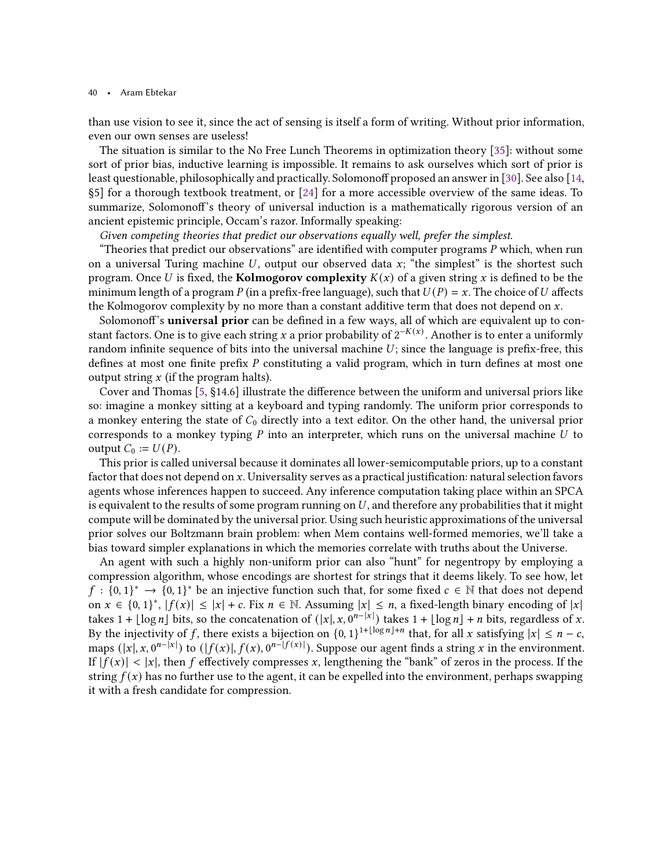than use vision to see it, since the act of sensing is itself a form of writing. Without prior information, even our own senses are useless!

The situation is similar to the No Free Lunch Theorems in optimization theory [\[35](#page-43-12)]: without some sort of prior bias, inductive learning is impossible. It remains to ask ourselves which sort of prior is least questionable, philosophically and practically. Solomonoff proposed an answer in [\[30](#page-43-13)]. See also [\[14](#page-42-12), §5] for a thorough textbook treatment, or [\[24](#page-43-14)] for a more accessible overview of the same ideas. To summarize, Solomonoff's theory of universal induction is a mathematically rigorous version of an ancient epistemic principle, Occam's razor. Informally speaking:

Given competing theories that predict our observations equally well, prefer the simplest.

"Theories that predict our observations" are identified with computer programs  $P$  which, when run on a universal Turing machine  $U$ , output our observed data  $x$ ; "the simplest" is the shortest such program. Once U is fixed, the **Kolmogorov complexity**  $K(x)$  of a given string x is defined to be the minimum length of a program P (in a prefix-free language), such that  $U(P) = x$ . The choice of U affects the Kolmogorov complexity by no more than a constant additive term that does not depend on  $x$ .

Solomonoff's universal prior can be defined in a few ways, all of which are equivalent up to constant factors. One is to give each string  $x$  a prior probability of  $2^{-K(x)}$ . Another is to enter a uniformly random infinite sequence of bits into the universal machine  $U$ ; since the language is prefix-free, this defines at most one finite prefix  $P$  constituting a valid program, which in turn defines at most one output string  $x$  (if the program halts).

Cover and Thomas [\[5](#page-42-3), §14.6] illustrate the difference between the uniform and universal priors like so: imagine a monkey sitting at a keyboard and typing randomly. The uniform prior corresponds to a monkey entering the state of  $C_0$  directly into a text editor. On the other hand, the universal prior corresponds to a monkey typing  $P$  into an interpreter, which runs on the universal machine  $U$  to output  $C_0 := U(P)$ .

This prior is called universal because it dominates all lower-semicomputable priors, up to a constant factor that does not depend on  $x$ . Universality serves as a practical justification: natural selection favors agents whose inferences happen to succeed. Any inference computation taking place within an SPCA is equivalent to the results of some program running on  $U$ , and therefore any probabilities that it might compute will be dominated by the universal prior. Using such heuristic approximations of the universal prior solves our Boltzmann brain problem: when Mem contains well-formed memories, we'll take a bias toward simpler explanations in which the memories correlate with truths about the Universe.

An agent with such a highly non-uniform prior can also "hunt" for negentropy by employing a compression algorithm, whose encodings are shortest for strings that it deems likely. To see how, let  $f: \{0,1\}^*$  →  $\{0,1\}^*$  be an injective function such that, for some fixed  $c \in \mathbb{N}$  that does not depend on  $x \in \{0,1\}^*, |f(x)| \le |x| + c$ . Fix  $n \in \mathbb{N}$ . Assuming  $|x| \le n$ , a fixed-length binary encoding of  $|x|$ takes 1 +  $\lfloor \log n \rfloor$  bits, so the concatenation of  $(|x|, x, 0^{n-|x|})$  takes 1 +  $\lfloor \log n \rfloor + n$  bits, regardless of x. By the injectivity of  $f$ , there exists a bijection on  $\{0,1\}^{1+\lfloor \log n \rfloor + n}$  that, for all  $x$  satisfying  $|x| \le n - c$ , maps  $(|x|, x, 0^{n-|x|})$  to  $(|f(x)|, f(x), 0^{n-|f(x)|})$ . Suppose our agent finds a string  $x$  in the environment. If  $|f(x)| < |x|$ , then f effectively compresses x, lengthening the "bank" of zeros in the process. If the string  $f(x)$  has no further use to the agent, it can be expelled into the environment, perhaps swapping it with a fresh candidate for compression.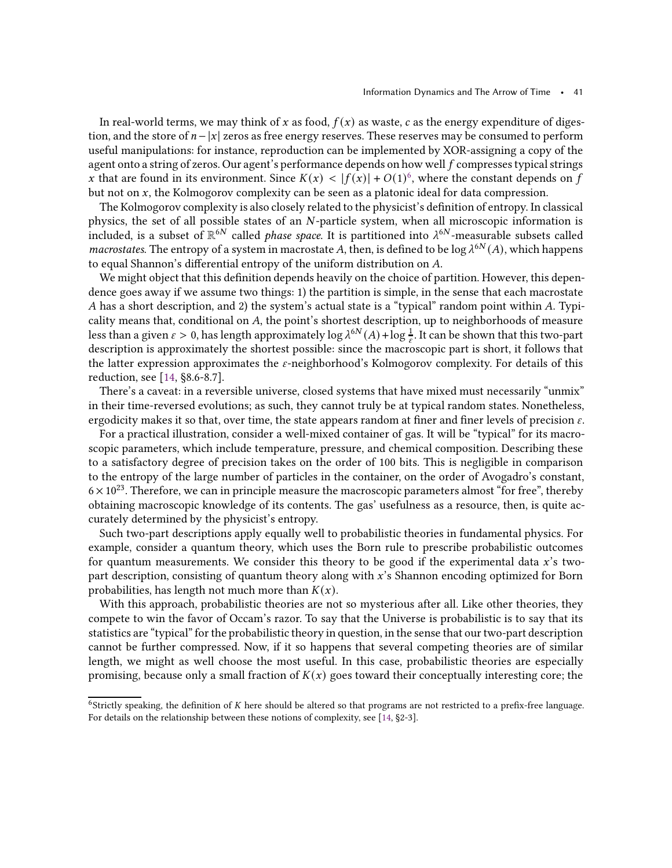In real-world terms, we may think of x as food,  $f(x)$  as waste, c as the energy expenditure of digestion, and the store of  $n-|x|$  zeros as free energy reserves. These reserves may be consumed to perform useful manipulations: for instance, reproduction can be implemented by XOR-assigning a copy of the agent onto a string of zeros. Our agent's performance depends on how well  $f$  compresses typical strings x that are found in its environment. Since  $K(x) < |f(x)| + O(1)^6$  $K(x) < |f(x)| + O(1)^6$ , where the constant depends on f but not on  $x$ , the Kolmogorov complexity can be seen as a platonic ideal for data compression.

The Kolmogorov complexity is also closely related to the physicist's definition of entropy. In classical physics, the set of all possible states of an  $N$ -particle system, when all microscopic information is included, is a subset of  $\mathbb{R}^{6N}$  called *phase space*. It is partitioned into  $\lambda^{6N}$ -measurable subsets called macrostates. The entropy of a system in macrostate A, then, is defined to be log  $\lambda^{6N}(A)$ , which happens to equal Shannon's differential entropy of the uniform distribution on  $A$ .

We might object that this definition depends heavily on the choice of partition. However, this dependence goes away if we assume two things: 1) the partition is simple, in the sense that each macrostate A has a short description, and 2) the system's actual state is a "typical" random point within  $A$ . Typicality means that, conditional on A, the point's shortest description, up to neighborhoods of measure less than a given  $\varepsilon > 0$ , has length approximately  $\log \lambda^{6N}(A) + \log \frac{1}{\varepsilon}$ . It can be shown that this two-part description is approximately the shortest possible: since the macroscopic part is short, it follows that the latter expression approximates the  $\varepsilon$ -neighborhood's Kolmogorov complexity. For details of this reduction, see [\[14](#page-42-12), §8.6-8.7].

There's a caveat: in a reversible universe, closed systems that have mixed must necessarily "unmix" in their time-reversed evolutions; as such, they cannot truly be at typical random states. Nonetheless, ergodicity makes it so that, over time, the state appears random at finer and finer levels of precision  $\varepsilon$ .

For a practical illustration, consider a well-mixed container of gas. It will be "typical" for its macroscopic parameters, which include temperature, pressure, and chemical composition. Describing these to a satisfactory degree of precision takes on the order of 100 bits. This is negligible in comparison to the entropy of the large number of particles in the container, on the order of Avogadro's constant,  $6 \times 10^{23}$ . Therefore, we can in principle measure the macroscopic parameters almost "for free", thereby obtaining macroscopic knowledge of its contents. The gas' usefulness as a resource, then, is quite accurately determined by the physicist's entropy.

Such two-part descriptions apply equally well to probabilistic theories in fundamental physics. For example, consider a quantum theory, which uses the Born rule to prescribe probabilistic outcomes for quantum measurements. We consider this theory to be good if the experimental data  $x$ 's twopart description, consisting of quantum theory along with x's Shannon encoding optimized for Born probabilities, has length not much more than  $K(x)$ .

With this approach, probabilistic theories are not so mysterious after all. Like other theories, they compete to win the favor of Occam's razor. To say that the Universe is probabilistic is to say that its statistics are "typical" for the probabilistic theory in question, in the sense that our two-part description cannot be further compressed. Now, if it so happens that several competing theories are of similar length, we might as well choose the most useful. In this case, probabilistic theories are especially promising, because only a small fraction of  $K(x)$  goes toward their conceptually interesting core; the

<span id="page-40-0"></span> $6$ Strictly speaking, the definition of  $K$  here should be altered so that programs are not restricted to a prefix-free language. For details on the relationship between these notions of complexity, see [\[14](#page-42-12), §2-3].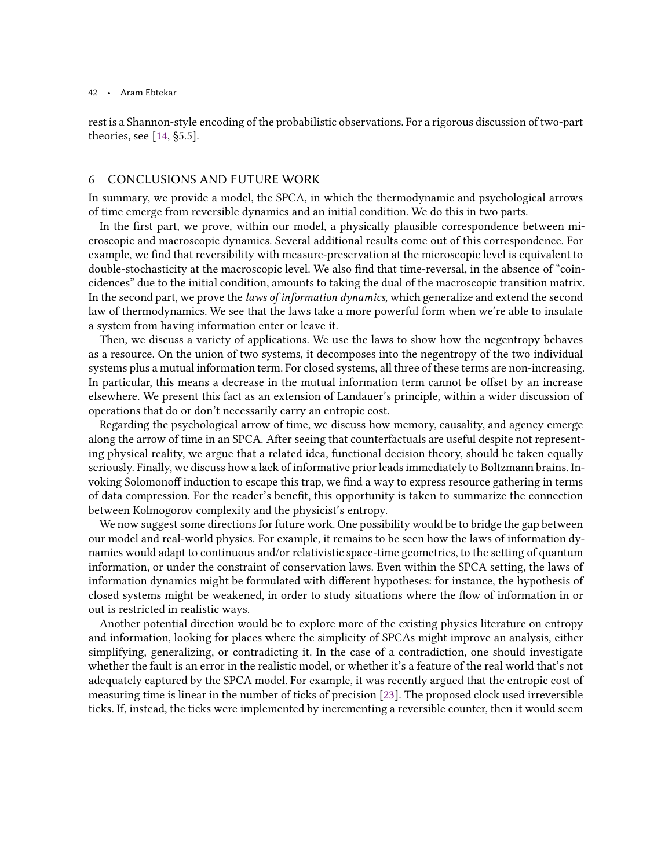rest is a Shannon-style encoding of the probabilistic observations. For a rigorous discussion of two-part theories, see [\[14,](#page-42-12) §5.5].

# <span id="page-41-0"></span>6 CONCLUSIONS AND FUTURE WORK

In summary, we provide a model, the SPCA, in which the thermodynamic and psychological arrows of time emerge from reversible dynamics and an initial condition. We do this in two parts.

In the first part, we prove, within our model, a physically plausible correspondence between microscopic and macroscopic dynamics. Several additional results come out of this correspondence. For example, we find that reversibility with measure-preservation at the microscopic level is equivalent to double-stochasticity at the macroscopic level. We also find that time-reversal, in the absence of "coincidences" due to the initial condition, amounts to taking the dual of the macroscopic transition matrix. In the second part, we prove the laws of information dynamics, which generalize and extend the second law of thermodynamics. We see that the laws take a more powerful form when we're able to insulate a system from having information enter or leave it.

Then, we discuss a variety of applications. We use the laws to show how the negentropy behaves as a resource. On the union of two systems, it decomposes into the negentropy of the two individual systems plus a mutual information term. For closed systems, all three of these terms are non-increasing. In particular, this means a decrease in the mutual information term cannot be offset by an increase elsewhere. We present this fact as an extension of Landauer's principle, within a wider discussion of operations that do or don't necessarily carry an entropic cost.

Regarding the psychological arrow of time, we discuss how memory, causality, and agency emerge along the arrow of time in an SPCA. After seeing that counterfactuals are useful despite not representing physical reality, we argue that a related idea, functional decision theory, should be taken equally seriously. Finally, we discuss how a lack of informative prior leadsimmediately to Boltzmann brains. Invoking Solomonoff induction to escape this trap, we find a way to express resource gathering in terms of data compression. For the reader's benefit, this opportunity is taken to summarize the connection between Kolmogorov complexity and the physicist's entropy.

We now suggest some directions for future work. One possibility would be to bridge the gap between our model and real-world physics. For example, it remains to be seen how the laws of information dynamics would adapt to continuous and/or relativistic space-time geometries, to the setting of quantum information, or under the constraint of conservation laws. Even within the SPCA setting, the laws of information dynamics might be formulated with different hypotheses: for instance, the hypothesis of closed systems might be weakened, in order to study situations where the flow of information in or out is restricted in realistic ways.

Another potential direction would be to explore more of the existing physics literature on entropy and information, looking for places where the simplicity of SPCAs might improve an analysis, either simplifying, generalizing, or contradicting it. In the case of a contradiction, one should investigate whether the fault is an error in the realistic model, or whether it's a feature of the real world that's not adequately captured by the SPCA model. For example, it was recently argued that the entropic cost of measuring time is linear in the number of ticks of precision [\[23\]](#page-43-15). The proposed clock used irreversible ticks. If, instead, the ticks were implemented by incrementing a reversible counter, then it would seem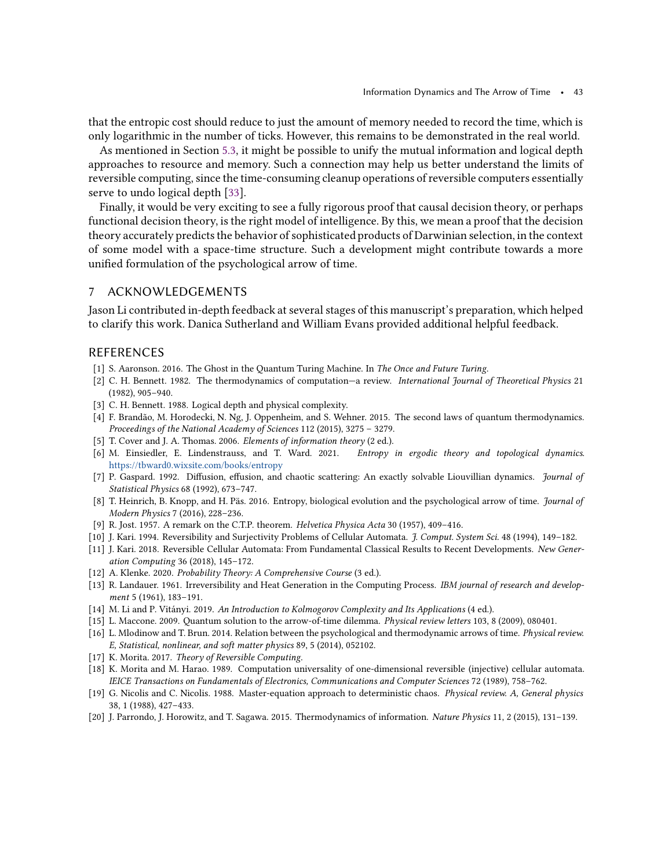that the entropic cost should reduce to just the amount of memory needed to record the time, which is only logarithmic in the number of ticks. However, this remains to be demonstrated in the real world.

As mentioned in Section [5.3,](#page-34-0) it might be possible to unify the mutual information and logical depth approaches to resource and memory. Such a connection may help us better understand the limits of reversible computing, since the time-consuming cleanup operations of reversible computers essentially serve to undo logical depth [\[33](#page-43-10)].

Finally, it would be very exciting to see a fully rigorous proof that causal decision theory, or perhaps functional decision theory, is the right model of intelligence. By this, we mean a proof that the decision theory accurately predicts the behavior of sophisticated products of Darwinian selection, in the context of some model with a space-time structure. Such a development might contribute towards a more unified formulation of the psychological arrow of time.

# 7 ACKNOWLEDGEMENTS

Jason Li contributed in-depth feedback at several stages of this manuscript's preparation, which helped to clarify this work. Danica Sutherland and William Evans provided additional helpful feedback.

### REFERENCES

- <span id="page-42-6"></span>[1] S. Aaronson. 2016. The Ghost in the Quantum Turing Machine. In The Once and Future Turing.
- <span id="page-42-4"></span>[2] C. H. Bennett. 1982. The thermodynamics of computation—a review. International Journal of Theoretical Physics 21 (1982), 905–940.
- <span id="page-42-14"></span>[3] C. H. Bennett. 1988. Logical depth and physical complexity.
- <span id="page-42-16"></span>[4] F. Brandão, M. Horodecki, N. Ng, J. Oppenheim, and S. Wehner. 2015. The second laws of quantum thermodynamics. Proceedings of the National Academy of Sciences 112 (2015), 3275 – 3279.
- <span id="page-42-3"></span>[5] T. Cover and J. A. Thomas. 2006. Elements of information theory (2 ed.).
- <span id="page-42-17"></span>[6] M. Einsiedler, E. Lindenstrauss, and T. Ward. 2021. Entropy in ergodic theory and topological dynamics. <https://tbward0.wixsite.com/books/entropy>
- <span id="page-42-2"></span>[7] P. Gaspard. 1992. Diffusion, effusion, and chaotic scattering: An exactly solvable Liouvillian dynamics. Journal of Statistical Physics 68 (1992), 673–747.
- <span id="page-42-7"></span>[8] T. Heinrich, B. Knopp, and H. Päs. 2016. Entropy, biological evolution and the psychological arrow of time. Journal of Modern Physics 7 (2016), 228–236.
- <span id="page-42-0"></span>[9] R. Jost. 1957. A remark on the C.T.P. theorem. Helvetica Physica Acta 30 (1957), 409–416.
- <span id="page-42-18"></span>[10] J. Kari. 1994. Reversibility and Surjectivity Problems of Cellular Automata. J. Comput. System Sci. 48 (1994), 149–182.
- <span id="page-42-10"></span>[11] J. Kari. 2018. Reversible Cellular Automata: From Fundamental Classical Results to Recent Developments. New Generation Computing 36 (2018), 145–172.
- <span id="page-42-15"></span>[12] A. Klenke. 2020. Probability Theory: A Comprehensive Course (3 ed.).
- <span id="page-42-13"></span>[13] R. Landauer. 1961. Irreversibility and Heat Generation in the Computing Process. IBM journal of research and development 5 (1961), 183–191.
- <span id="page-42-12"></span>[14] M. Li and P. Vitányi. 2019. An Introduction to Kolmogorov Complexity and Its Applications (4 ed.).
- <span id="page-42-8"></span>[15] L. Maccone. 2009. Quantum solution to the arrow-of-time dilemma. Physical review letters 103, 8 (2009), 080401.
- <span id="page-42-5"></span>[16] L. Mlodinow and T. Brun. 2014. Relation between the psychological and thermodynamic arrows of time. Physical review. E, Statistical, nonlinear, and soft matter physics 89, 5 (2014), 052102.
- <span id="page-42-19"></span>[17] K. Morita. 2017. Theory of Reversible Computing.
- <span id="page-42-11"></span>[18] K. Morita and M. Harao. 1989. Computation universality of one-dimensional reversible (injective) cellular automata. IEICE Transactions on Fundamentals of Electronics, Communications and Computer Sciences 72 (1989), 758–762.
- <span id="page-42-1"></span>[19] G. Nicolis and C. Nicolis. 1988. Master-equation approach to deterministic chaos. Physical review. A, General physics 38, 1 (1988), 427–433.
- <span id="page-42-9"></span>[20] J. Parrondo, J. Horowitz, and T. Sagawa. 2015. Thermodynamics of information. Nature Physics 11, 2 (2015), 131–139.